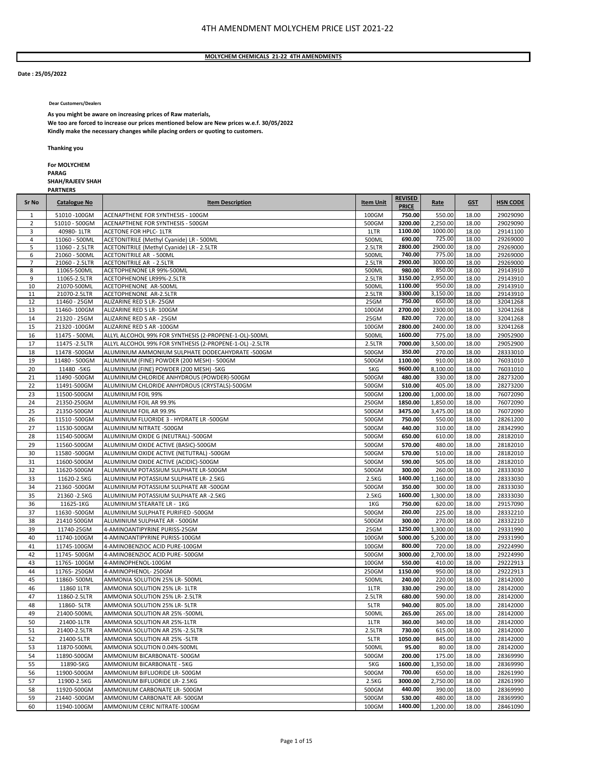#### **MOLYCHEM CHEMICALS 21‐22 4TH AMENDMENTS**

#### **Date : 25/05/2022**

**Dear Customers/Dealers**

**As you might be aware on increasing prices of Raw materials,** 

**We too are forced to increase our prices mentioned below are New prices w.e.f. 30/05/2022 Kindly make the necessary changes while placing orders or quoting to customers.**

**Thanking you**

**PARTNERS**

**For MOLYCHEM PARAG SHAH/RAJEEV SHAH**

| Sr No          | <b>Catalogue No</b>         | <b>Item Description</b>                                    | <b>Item Unit</b>            | <b>REVISED</b><br><b>PRICE</b> | Rate               | <b>GST</b>     | <b>HSN CODE</b>      |
|----------------|-----------------------------|------------------------------------------------------------|-----------------------------|--------------------------------|--------------------|----------------|----------------------|
| 1              | 51010-100GM                 | ACENAPTHENE FOR SYNTHESIS - 100GM                          | 100GM                       | 750.00                         | 550.00             | 18.00          | 29029090             |
| $\overline{2}$ | 51010 - 500GM               | ACENAPTHENE FOR SYNTHESIS - 500GM                          | 500GM                       | 3200.00                        | 2,250.00           | 18.00          | 29029090             |
| 3              | 40980-1LTR                  | <b>ACETONE FOR HPLC- 1LTR</b>                              | 1LTR                        | 1100.00                        | 1000.00            | 18.00          | 29141100             |
| 4              | 11060 - 500ML               | ACETONITRILE (Methyl Cyanide) LR - 500ML                   | 500ML                       | 690.00                         | 725.00             | 18.00          | 29269000             |
| 5              | 11060 - 2.5LTR              | ACETONITRILE (Methyl Cyanide) LR - 2.5LTR                  | 2.5LTR                      | 2800.00                        | 2900.00            | 18.00          | 29269000             |
| 6              | 21060 - 500ML               | <b>ACETONITRILE AR - 500ML</b>                             | 500ML                       | 740.00                         | 775.00             | 18.00          | 29269000             |
| $\overline{7}$ | 21060 - 2.5LTR              | <b>ACETONITRILE AR - 2.5LTR</b>                            | 2.5LTR                      | 2900.00                        | 3000.00            | 18.00          | 29269000             |
| 8<br>9         | 11065-500ML                 | ACETOPHENONE LR 99%-500ML                                  | 500ML                       | 980.00<br>3150.00              | 850.00<br>2,950.00 | 18.00          | 29143910<br>29143910 |
| 10             | 11065-2.5LTR<br>21070-500ML | ACETOPHENONE LR99%-2.5LTR<br>ACETOPHENONE AR-500ML         | 2.5LTR<br>500ML             | 1100.00                        | 950.00             | 18.00<br>18.00 | 29143910             |
| 11             | 21070-2.5LTR                | ACETOPHENONE AR-2.5LTR                                     | 2.5LTR                      | 3300.00                        | 3,150.00           | 18.00          | 29143910             |
| 12             | 11460 - 25GM                | ALIZARINE RED S LR-25GM                                    | 25GM                        | 750.00                         | 650.00             | 18.00          | 32041268             |
| 13             | 11460-100GM                 | ALIZARINE RED S LR-100GM                                   | 100GM                       | 2700.00                        | 2300.00            | 18.00          | 32041268             |
| 14             | 21320 - 25GM                | ALIZARINE RED S AR - 25GM                                  | 25GM                        | 820.00                         | 720.00             | 18.00          | 32041268             |
| 15             | 21320-100GM                 | ALIZARINE RED S AR -100GM                                  | 100GM                       | 2800.00                        | 2400.00            | 18.00          | 32041268             |
| 16             | 11475 - 500ML               | ALLYL ALCOHOL 99% FOR SYNTHESIS (2-PROPENE-1-OL)-500ML     | 500ML                       | 1600.00                        | 775.00             | 18.00          | 29052900             |
| 17             | 11475 - 2.5LTR              | ALLYL ALCOHOL 99% FOR SYNTHESIS (2-PROPENE-1-OL) -2.5LTR   | 2.5LTR                      | 7000.00                        | 3,500.00           | 18.00          | 29052900             |
| 18             | 11478-500GM                 | ALUMINIUM AMMONIUM SULPHATE DODECAHYDRATE -500GM           | 500GM                       | 350.00                         | 270.00             | 18.00          | 28333010             |
| 19             | 11480 - 500GM               | ALUMINIUM (FINE) POWDER (200 MESH) - 500GM                 | 500GM                       | 1100.00                        | 910.00             | 18.00          | 76031010             |
| 20             | 11480 - 5KG                 | ALUMINIUM (FINE) POWDER (200 MESH) -5KG                    | 5KG                         | 9600.00                        | 8,100.00           | 18.00          | 76031010             |
| 21             | 11490-500GM                 | ALUMINIUM CHLORIDE ANHYDROUS (POWDER)-500GM                | 500GM                       | 480.00                         | 330.00             | 18.00          | 28273200             |
| 22             | 11491-500GM                 | ALUMINIUM CHLORIDE ANHYDROUS (CRYSTALS)-500GM              | 500GM                       | 510.00                         | 405.00             | 18.00          | 28273200             |
| 23             | 11500-500GM                 | ALUMINIUM FOIL 99%                                         | 500GM                       | 1200.00                        | 1,000.00           | 18.00          | 76072090             |
| 24             | 21350-250GM                 | ALUMINIUM FOIL AR 99.9%                                    | 250GM                       | 1850.00                        | 1,850.00           | 18.00          | 76072090             |
| 25             | 21350-500GM                 | ALUMINIUM FOIL AR 99.9%                                    | 500GM                       | 3475.00                        | 3,475.00           | 18.00          | 76072090             |
| 26             | 11510-500GM                 | ALUMINIUM FLUORIDE 3 - HYDRATE LR -500GM                   | 500GM                       | 750.00                         | 550.00             | 18.00          | 28261200             |
| 27             | 11530-500GM                 | ALUMINIUM NITRATE -500GM                                   | 500GM                       | 440.00                         | 310.00             | 18.00          | 28342990             |
| 28             | 11540-500GM                 | ALUMINIUM OXIDE G (NEUTRAL) -500GM                         | 500GM                       | 650.00                         | 610.00             | 18.00          | 28182010             |
| 29             | 11560-500GM                 | ALUMINIUM OXIDE ACTIVE (BASIC)-500GM                       | 500GM                       | 570.00                         | 480.00             | 18.00          | 28182010             |
| 30             | 11580-500GM                 | ALUMINIUM OXIDE ACTIVE (NETUTRAL) -500GM                   | 500GM                       | 570.00                         | 510.00             | 18.00          | 28182010             |
| 31             | 11600-500GM                 | ALUMINIUM OXIDE ACTIVE (ACIDIC)-500GM                      | 500GM                       | 590.00                         | 505.00             | 18.00          | 28182010             |
| 32             | 11620-500GM                 | ALUMINIUM POTASSIUM SULPHATE LR-500GM                      | 500GM                       | 300.00                         | 260.00             | 18.00          | 28333030             |
| 33             | 11620-2.5KG                 | ALUMINIUM POTASSIUM SULPHATE LR- 2.5KG                     | 2.5KG                       | 1400.00                        | 1,160.00           | 18.00          | 28333030             |
| 34             | 21360-500GM                 | ALUMINIUM POTASSIUM SULPHATE AR -500GM                     | 500GM                       | 350.00                         | 300.00             | 18.00          | 28333030             |
| 35             | 21360 - 2.5KG               | ALUMINIUM POTASSIUM SULPHATE AR -2.5KG                     | 2.5KG                       | 1600.00                        | 1,300.00           | 18.00          | 28333030             |
| 36             | 11625-1KG                   | ALUMINIUM STEARATE LR - 1KG                                | 1KG                         | 750.00                         | 620.00             | 18.00          | 29157090             |
| 37             | 11630-500GM                 | ALUMINIUM SULPHATE PURIFIED -500GM                         | 500GM                       | 260.00                         | 225.00             | 18.00          | 28332210             |
| 38             | 21410 500GM                 | ALUMINIUM SULPHATE AR - 500GM                              | 500GM                       | 300.00                         | 270.00             | 18.00          | 28332210             |
| 39             | 11740-25GM                  | 4-AMINOANTIPYRINE PURISS-25GM                              | 25GM                        | 1250.00                        | 1,300.00           | 18.00          | 29331990             |
| 40             | 11740-100GM                 | 4-AMINOANTIPYRINE PURISS-100GM                             | 100GM                       | 5000.00                        | 5,200.00           | 18.00          | 29331990             |
| 41             | 11745-100GM                 | 4-AMINOBENZIOC ACID PURE-100GM                             | 100GM                       | 800.00                         | 720.00             | 18.00          | 29224990             |
| 42             | 11745-500GM                 | 4-AMINOBENZIOC ACID PURE-500GM                             | 500GM                       | 3000.00                        | 2,700.00           | 18.00          | 29224990             |
| 43             | 11765-100GM                 | 4-AMINOPHENOL-100GM                                        | 100GM                       | 550.00                         | 410.00             | 18.00          | 29222913             |
| 44             | 11765-250GM                 | 4-AMINOPHENOL-250GM                                        | 250GM                       | 1150.00                        | 950.00             | 18.00          | 29222913             |
| 45             | 11860-500ML                 | AMMONIA SOLUTION 25% LR-500ML                              | 500ML                       | 240.00                         | 220.00             | 18.00          | 28142000             |
| 46             | 11860 1LTR                  | AMMONIA SOLUTION 25% LR-1LTR                               | 1LTR                        | 330.00                         | 290.00             | 18.00          | 28142000             |
| 47             | 11860-2.5LTR                | AMMONIA SOLUTION 25% LR- 2.5LTR                            | 2.5LTR                      | 680.00                         | 590.00             | 18.00          | 28142000             |
| 48             | 11860-5LTR                  | AMMONIA SOLUTION 25% LR- 5LTR                              | 5LTR                        | 940.00                         | 805.00             | 18.00          | 28142000             |
| 49             | 21400-500ML                 | AMMONIA SOLUTION AR 25% -500ML                             | 500ML                       | 265.00                         | 265.00             | 18.00          | 28142000             |
| 50             | 21400-1LTR                  | AMMONIA SOLUTION AR 25%-1LTR                               | 1LTR                        | 360.00                         | 340.00             | 18.00          | 28142000             |
| 51             | 21400-2.5LTR                | AMMONIA SOLUTION AR 25% - 2.5LTR                           | 2.5LTR                      | 730.00                         | 615.00             | 18.00          | 28142000             |
| 52             | 21400-5LTR                  | AMMONIA SOLUTION AR 25% - 5LTR                             | 5LTR                        | 1050.00                        | 845.00             | 18.00          | 28142000             |
| 53             | 11870-500ML                 | AMMONIA SOLUTION 0.04%-500ML                               | 500ML                       | 95.00                          | 80.00              | 18.00          | 28142000             |
| 54             | 11890-500GM                 | AMMONIUM BICARBONATE-500GM                                 | 500GM                       | 200.00                         | 175.00             | 18.00          | 28369990             |
| 55             | 11890-5KG                   | AMMONIUM BICARBONATE - 5KG<br>AMMONIUM BIFLUORIDE LR-500GM | 5KG                         | 1600.00                        | 1,350.00           | 18.00          | 28369990             |
| 56             | 11900-500GM                 | AMMONIUM BIFLUORIDE LR- 2.5KG                              | 500GM                       | 700.00<br>3000.00              | 650.00             | 18.00          | 28261990             |
| 57             | 11900-2.5KG                 |                                                            | 2.5 <sub>K</sub> G<br>500GM |                                | 2,750.00           | 18.00          | 28261990             |
| 58             | 11920-500GM                 | AMMONIUM CARBONATE LR-500GM                                | 500GM                       | 440.00<br>530.00               | 390.00             | 18.00          | 28369990<br>28369990 |
| 59             | 21440-500GM                 | AMMONIUM CARBONATE AR-500GM                                |                             |                                | 480.00             | 18.00          |                      |
| 60             | 11940-100GM                 | AMMONIUM CERIC NITRATE-100GM                               | 100GM                       | 1400.00                        | 1,200.00           | 18.00          | 28461090             |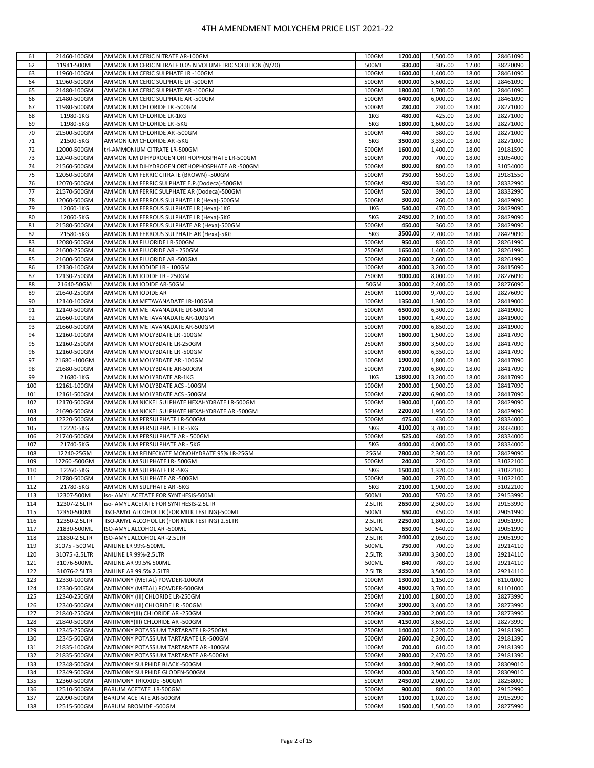| 61  | 21460-100GM    | AMMONIUM CERIC NITRATE AR-100GM                          | 100GM  | 1700.00  | 1,500.00  | 18.00 | 28461090 |
|-----|----------------|----------------------------------------------------------|--------|----------|-----------|-------|----------|
| 62  | 11941-500ML    | AMMONIUM CERIC NITRATE 0.05 N VOLUMETRIC SOLUTION (N/20) | 500ML  | 330.00   | 305.00    | 12.00 | 38220090 |
|     |                |                                                          |        |          |           |       |          |
| 63  | 11960-100GM    | AMMONIUM CERIC SULPHATE LR -100GM                        | 100GM  | 1600.00  | 1,400.00  | 18.00 | 28461090 |
| 64  | 11960-500GM    | AMMONIUM CERIC SULPHATE LR -500GM                        | 500GM  | 6000.00  | 5,600.00  | 18.00 | 28461090 |
| 65  | 21480-100GM    | AMMONIUM CERIC SULPHATE AR -100GM                        | 100GM  | 1800.00  | 1,700.00  | 18.00 | 28461090 |
| 66  | 21480-500GM    | AMMONIUM CERIC SULPHATE AR -500GM                        | 500GM  | 6400.00  | 6,000.00  | 18.00 | 28461090 |
| 67  | 11980-500GM    | AMMONIUM CHLORIDE LR -500GM                              | 500GM  | 280.00   | 230.00    | 18.00 | 28271000 |
| 68  | 11980-1KG      | AMMONIUM CHLORIDE LR-1KG                                 | 1KG    | 480.00   | 425.00    | 18.00 | 28271000 |
| 69  | 11980-5KG      | AMMONIUM CHLORIDE LR -5KG                                | 5KG    | 1800.00  | 1,600.00  | 18.00 | 28271000 |
|     |                |                                                          |        | 440.00   |           |       |          |
| 70  | 21500-500GM    | AMMONIUM CHLORIDE AR -500GM                              | 500GM  |          | 380.00    | 18.00 | 28271000 |
| 71  | 21500-5KG      | AMMONIUM CHLORIDE AR -5KG                                | 5KG    | 3500.00  | 3,350.00  | 18.00 | 28271000 |
| 72  | 12000-500GM    | tri-AMMONIUM CITRATE LR-500GM                            | 500GM  | 1600.00  | 1,400.00  | 18.00 | 29181590 |
| 73  | 12040-500GM    | AMMONIUM DIHYDROGEN ORTHOPHOSPHATE LR-500GM              | 500GM  | 700.00   | 700.00    | 18.00 | 31054000 |
| 74  | 21560-500GM    | AMMONIUM DIHYDROGEN ORTHOPHOSPHATE AR -500GM             | 500GM  | 800.00   | 800.00    | 18.00 | 31054000 |
| 75  | 12050-500GM    | AMMONIUM FERRIC CITRATE (BROWN) -500GM                   | 500GM  | 750.00   | 550.00    | 18.00 | 29181550 |
| 76  | 12070-500GM    | AMMONIUM FERRIC SULPHATE E.P.(Dodeca)-500GM              | 500GM  | 450.00   | 330.00    | 18.00 | 28332990 |
| 77  | 21570-500GM    |                                                          | 500GM  | 520.00   | 390.00    | 18.00 | 28332990 |
|     |                | AMMONIUM FERRIC SULPHATE AR (Dodeca)-500GM               |        |          |           |       |          |
| 78  | 12060-500GM    | AMMONIUM FERROUS SULPHATE LR (Hexa)-500GM                | 500GM  | 300.00   | 260.00    | 18.00 | 28429090 |
| 79  | 12060-1KG      | AMMONIUM FERROUS SULPHATE LR (Hexa)-1KG                  | 1KG    | 540.00   | 470.00    | 18.00 | 28429090 |
| 80  | 12060-5KG      | AMMONIUM FERROUS SULPHATE LR (Hexa)-5KG                  | 5KG    | 2450.00  | 2,100.00  | 18.00 | 28429090 |
| 81  | 21580-500GM    | AMMONIUM FERROUS SULPHATE AR (Hexa)-500GM                | 500GM  | 450.00   | 360.00    | 18.00 | 28429090 |
| 82  | 21580-5KG      | AMMONIUM FERROUS SULPHATE AR (Hexa)-5KG                  | 5KG    | 3500.00  | 2,700.00  | 18.00 | 28429090 |
| 83  | 12080-500GM    | AMMONIUM FLUORIDE LR-500GM                               | 500GM  | 950.00   | 830.00    | 18.00 | 28261990 |
| 84  | 21600-250GM    |                                                          | 250GM  | 1650.00  | 1,400.00  |       | 28261990 |
|     |                | AMMONIUM FLUORIDE AR - 250GM                             |        |          |           | 18.00 |          |
| 85  | 21600-500GM    | AMMONIUM FLUORIDE AR -500GM                              | 500GM  | 2600.00  | 2,600.00  | 18.00 | 28261990 |
| 86  | 12130-100GM    | AMMONIUM IODIDE LR - 100GM                               | 100GM  | 4000.00  | 3,200.00  | 18.00 | 28415090 |
| 87  | 12130-250GM    | AMMONIUM IODIDE LR - 250GM                               | 250GM  | 9000.00  | 8,000.00  | 18.00 | 28276090 |
| 88  | 21640-50GM     | AMMONIUM IODIDE AR-50GM                                  | 50GM   | 3000.00  | 2,400.00  | 18.00 | 28276090 |
| 89  | 21640-250GM    | AMMONIUM IODIDE AR                                       | 250GM  | 11000.00 | 9,700.00  | 18.00 | 28276090 |
| 90  | 12140-100GM    | AMMONIUM METAVANADATE LR-100GM                           | 100GM  | 1350.00  | 1,300.00  | 18.00 | 28419000 |
| 91  | 12140-500GM    | AMMONIUM METAVANADATE LR-500GM                           | 500GM  | 6500.00  | 6,300.00  | 18.00 | 28419000 |
|     |                |                                                          | 100GM  | 1600.00  | 1,490.00  |       | 28419000 |
| 92  | 21660-100GM    | AMMONIUM METAVANADATE AR-100GM                           |        |          |           | 18.00 |          |
| 93  | 21660-500GM    | AMMONIUM METAVANADATE AR-500GM                           | 500GM  | 7000.00  | 6,850.00  | 18.00 | 28419000 |
| 94  | 12160-100GM    | AMMONIUM MOLYBDATE LR-100GM                              | 100GM  | 1600.00  | 1,500.00  | 18.00 | 28417090 |
| 95  | 12160-250GM    | AMMONIUM MOLYBDATE LR-250GM                              | 250GM  | 3600.00  | 3,500.00  | 18.00 | 28417090 |
| 96  | 12160-500GM    | AMMONIUM MOLYBDATE LR -500GM                             | 500GM  | 6600.00  | 6,350.00  | 18.00 | 28417090 |
| 97  | 21680-100GM    | AMMONIUM MOLYBDATE AR -100GM                             | 100GM  | 1900.00  | 1,800.00  | 18.00 | 28417090 |
| 98  | 21680-500GM    | AMMONIUM MOLYBDATE AR-500GM                              | 500GM  | 7100.00  | 6,800.00  | 18.00 | 28417090 |
| 99  | 21680-1KG      | AMMONIUM MOLYBDATE AR-1KG                                | 1KG    | 13800.00 | 13,200.00 | 18.00 | 28417090 |
|     |                |                                                          |        | 2000.00  |           |       |          |
| 100 | 12161-100GM    | AMMONIUM MOLYBDATE ACS -100GM                            | 100GM  |          | 1,900.00  | 18.00 | 28417090 |
| 101 | 12161-500GM    | AMMONIUM MOLYBDATE ACS -500GM                            | 500GM  | 7200.00  | 6,900.00  | 18.00 | 28417090 |
| 102 | 12170-500GM    | AMMONIUM NICKEL SULPHATE HEXAHYDRATE LR-500GM            | 500GM  | 1900.00  | 1,600.00  | 18.00 | 28429090 |
| 103 | 21690-500GM    | AMMONIUM NICKEL SULPHATE HEXAHYDRATE AR -500GM           | 500GM  | 2200.00  | 1,950.00  | 18.00 | 28429090 |
| 104 | 12220-500GM    | AMMONIUM PERSULPHATE LR-500GM                            | 500GM  | 475.00   | 430.00    | 18.00 | 28334000 |
| 105 | 12220-5KG      | AMMONIUM PERSULPHATE LR -5KG                             | 5KG    | 4100.00  | 3,700.00  | 18.00 | 28334000 |
| 106 | 21740-500GM    | AMMONIUM PERSULPHATE AR - 500GM                          | 500GM  | 525.00   | 480.00    | 18.00 | 28334000 |
| 107 | 21740-5KG      | AMMONIUM PERSULPHATE AR - 5KG                            | 5KG    | 4400.00  | 4,000.00  | 18.00 | 28334000 |
|     |                |                                                          |        |          |           |       |          |
| 108 | 12240-25GM     | AMMONIUM REINECKATE MONOHYDRATE 95% LR-25GM              | 25GM   | 7800.00  | 2,300.00  | 18.00 | 28429090 |
| 109 | 12260-500GM    | AMMONIUM SULPHATE LR-500GM                               | 500GM  | 240.00   | 220.00    | 18.00 | 31022100 |
| 110 | 12260-5KG      | AMMONIUM SULPHATE LR -5KG                                | 5KG    | 1500.00  | 1,320.00  | 18.00 | 31022100 |
| 111 | 21780-500GM    | AMMONIUM SULPHATE AR -500GM                              | 500GM  | 300.00   | 270.00    | 18.00 | 31022100 |
| 112 | 21780-5KG      | AMMONIUM SULPHATE AR -5KG                                | 5KG    | 2100.00  | 1,900.00  | 18.00 | 31022100 |
| 113 | 12307-500ML    | iso- AMYL ACETATE FOR SYNTHESIS-500ML                    | 500ML  | 700.00   | 570.00    | 18.00 | 29153990 |
| 114 | 12307-2.5LTR   | iso- AMYL ACETATE FOR SYNTHESIS-2.5LTR                   | 2.5LTR | 2650.00  | 2,300.00  | 18.00 | 29153990 |
| 115 | 12350-500ML    | ISO-AMYL ALCOHOL LR (FOR MILK TESTING)-500ML             | 500ML  | 550.00   | 450.00    | 18.00 | 29051990 |
| 116 | 12350-2.5LTR   | ISO-AMYL ALCOHOL LR (FOR MILK TESTING) 2.5LTR            | 2.5LTR | 2250.00  | 1,800.00  | 18.00 | 29051990 |
|     |                | ISO-AMYL ALCOHOL AR -500ML                               |        |          |           |       | 29051990 |
| 117 | 21830-500ML    |                                                          | 500ML  | 650.00   | 540.00    | 18.00 |          |
| 118 | 21830-2.5LTR   | ISO-AMYL ALCOHOL AR -2.5LTR                              | 2.5LTR | 2400.00  | 2,050.00  | 18.00 | 29051990 |
| 119 | 31075 - 500ML  | ANILINE LR 99%-500ML                                     | 500ML  | 750.00   | 700.00    | 18.00 | 29214110 |
| 120 | 31075 - 2.5LTR | ANILINE LR 99%-2.5LTR                                    | 2.5LTR | 3200.00  | 3,300.00  | 18.00 | 29214110 |
| 121 | 31076-500ML    | ANILINE AR 99.5% 500ML                                   | 500ML  | 840.00   | 780.00    | 18.00 | 29214110 |
| 122 | 31076-2.5LTR   | ANILINE AR 99.5% 2.5LTR                                  | 2.5LTR | 3350.00  | 3,500.00  | 18.00 | 29214110 |
| 123 | 12330-100GM    | ANTIMONY (METAL) POWDER-100GM                            | 100GM  | 1300.00  | 1,150.00  | 18.00 | 81101000 |
| 124 | 12330-500GM    | ANTIMONY (METAL) POWDER-500GM                            | 500GM  | 4600.00  | 3,700.00  | 18.00 | 81101000 |
|     |                |                                                          |        |          |           |       |          |
| 125 | 12340-250GM    | ANTIMONY (III) CHLORIDE LR-250GM                         | 250GM  | 2100.00  | 1,800.00  | 18.00 | 28273990 |
| 126 | 12340-500GM    | ANTIMONY (III) CHLORIDE LR -500GM                        | 500GM  | 3900.00  | 3,400.00  | 18.00 | 28273990 |
| 127 | 21840-250GM    | ANTIMONY(III) CHLORIDE AR -250GM                         | 250GM  | 2300.00  | 2,000.00  | 18.00 | 28273990 |
| 128 | 21840-500GM    | ANTIMONY(III) CHLORIDE AR -500GM                         | 500GM  | 4150.00  | 3,650.00  | 18.00 | 28273990 |
| 129 | 12345-250GM    | ANTIMONY POTASSIUM TARTARATE LR-250GM                    | 250GM  | 1400.00  | 1,220.00  | 18.00 | 29181390 |
| 130 | 12345-500GM    | ANTIMONY POTASSIUM TARTARATE LR -500GM                   | 500GM  | 2600.00  | 2,300.00  | 18.00 | 29181390 |
| 131 | 21835-100GM    | ANTIMONY POTASSIUM TARTARATE AR -100GM                   | 100GM  | 700.00   | 610.00    | 18.00 | 29181390 |
| 132 | 21835-500GM    | ANTIMONY POTASSIUM TARTARATE AR-500GM                    | 500GM  | 2800.00  | 2,470.00  | 18.00 | 29181390 |
| 133 | 12348-500GM    | ANTIMONY SULPHIDE BLACK -500GM                           | 500GM  | 3400.00  | 2,900.00  | 18.00 | 28309010 |
|     |                |                                                          |        |          |           |       |          |
| 134 | 12349-500GM    | ANTIMONY SULPHIDE GLODEN-500GM                           | 500GM  | 4000.00  | 3,500.00  | 18.00 | 28309010 |
| 135 | 12360-500GM    | ANTIMONY TRIOXIDE -500GM                                 | 500GM  | 2450.00  | 2,000.00  | 18.00 | 28258000 |
| 136 | 12510-500GM    | BARIUM ACETATE LR-500GM                                  | 500GM  | 900.00   | 800.00    | 18.00 | 29152990 |
|     |                | BARIUM ACETATE AR-500GM                                  | 500GM  | 1100.00  | 1,020.00  | 18.00 | 29152990 |
| 137 | 22090-500GM    |                                                          |        |          |           |       |          |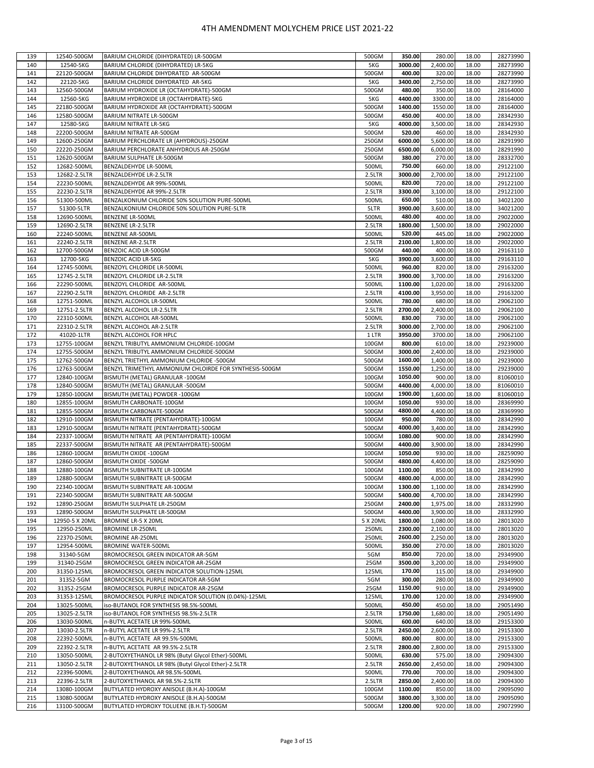| 139        | 12540-500GM    | BARIUM CHLORIDE (DIHYDRATED) LR-500GM                      | 500GM    | 350.00  | 280.00               | 18.00          | 28273990 |
|------------|----------------|------------------------------------------------------------|----------|---------|----------------------|----------------|----------|
|            |                |                                                            |          |         |                      |                |          |
| 140        | 12540-5KG      | BARIUM CHLORIDE (DIHYDRATED) LR-5KG                        | 5KG      | 3000.00 | 2,400.00             | 18.00          | 28273990 |
| 141        | 22120-500GM    | BARIUM CHLORIDE DIHYDRATED AR-500GM                        | 500GM    | 400.00  | 320.00               | 18.00          | 28273990 |
| 142        | 22120-5KG      | BARIUM CHLORIDE DIHYDRATED AR-5KG                          | 5KG      | 3400.00 | 2,750.00             | 18.00          | 28273990 |
| 143        | 12560-500GM    | BARIUM HYDROXIDE LR (OCTAHYDRATE)-500GM                    | 500GM    | 480.00  | 350.00               | 18.00          | 28164000 |
| 144        | 12560-5KG      | BARIUM HYDROXIDE LR (OCTAHYDRATE)-5KG                      | 5KG      | 4400.00 | 3300.00              | 18.00          | 28164000 |
| 145        | 22180-500GM    | BARIUM HYDROXIDE AR (OCTAHYDRATE)-500GM                    | 500GM    | 1400.00 | 1550.00              | 18.00          | 28164000 |
| 146        | 12580-500GM    | BARIUM NITRATE LR-500GM                                    | 500GM    | 450.00  | 400.00               | 18.00          | 28342930 |
| 147        | 12580-5KG      | <b>BARIUM NITRATE LR-5KG</b>                               | 5KG      | 4000.00 | 3,500.00             | 18.00          | 28342930 |
| 148        | 22200-500GM    | BARIUM NITRATE AR-500GM                                    | 500GM    | 520.00  | 460.00               | 18.00          | 28342930 |
| 149        | 12600-250GM    | BARIUM PERCHLORATE LR (AHYDROUS)-250GM                     | 250GM    | 6000.00 | 5,600.00             | 18.00          | 28291990 |
|            |                |                                                            |          |         |                      |                | 28291990 |
| 150        | 22220-250GM    | BARIUM PERCHLORATE ANHYDROUS AR-250GM                      | 250GM    | 6500.00 | 6,000.00             | 18.00          |          |
| 151        | 12620-500GM    | BARIUM SULPHATE LR-500GM                                   | 500GM    | 380.00  | 270.00               | 18.00          | 28332700 |
| 152        | 12682-500ML    | BENZALDEHYDE LR-500ML                                      | 500ML    | 750.00  | 660.00               | 18.00          | 29122100 |
| 153        | 12682-2.5LTR   | <b>BENZALDEHYDE LR-2.5LTR</b>                              | 2.5LTR   | 3000.00 | 2,700.00             | 18.00          | 29122100 |
| 154        | 22230-500ML    | BENZALDEHYDE AR 99%-500ML                                  | 500ML    | 820.00  | 720.00               | 18.00          | 29122100 |
| 155        | 22230-2.5LTR   | BENZALDEHYDE AR 99%-2.5LTR                                 | 2.5LTR   | 3300.00 | 3,100.00             | 18.00          | 29122100 |
| 156        | 51300-500ML    | BENZALKONIUM CHLORIDE 50% SOLUTION PURE-500ML              | 500ML    | 650.00  | 510.00               | 18.00          | 34021200 |
| 157        | 51300-5LTR     | BENZALKONIUM CHLORIDE 50% SOLUTION PURE-5LTR               | 5LTR     | 3900.00 | 3,600.00             | 18.00          | 34021200 |
| 158        | 12690-500ML    | BENZENE LR-500ML                                           | 500ML    | 480.00  | 400.00               | 18.00          | 29022000 |
| 159        | 12690-2.5LTR   | <b>BENZENE LR-2.5LTR</b>                                   | 2.5LTR   | 1800.00 | 1,500.00             | 18.00          | 29022000 |
| 160        | 22240-500ML    | BENZENE AR-500ML                                           | 500ML    | 520.00  | 445.00               | 18.00          | 29022000 |
| 161        | 22240-2.5LTR   | BENZENE AR-2.5LTR                                          | 2.5LTR   | 2100.00 | 1,800.00             | 18.00          | 29022000 |
| 162        | 12700-500GM    | BENZOIC ACID LR-500GM                                      | 500GM    | 440.00  | 400.00               | 18.00          | 29163110 |
|            |                |                                                            |          | 3900.00 |                      |                |          |
| 163        | 12700-5KG      | <b>BENZOIC ACID LR-5KG</b>                                 | 5KG      |         | 3,600.00             | 18.00          | 29163110 |
| 164        | 12745-500ML    | BENZOYL CHLORIDE LR-500ML                                  | 500ML    | 960.00  | 820.00               | 18.00          | 29163200 |
| 165        | 12745-2.5LTR   | BENZOYL CHLORIDE LR-2.5LTR                                 | 2.5LTR   | 3900.00 | 3,700.00             | 18.00          | 29163200 |
| 166        | 22290-500ML    | BENZOYL CHLORIDE AR-500ML                                  | 500ML    | 1100.00 | 1,020.00             | 18.00          | 29163200 |
| 167        | 22290-2.5LTR   | BENZOYL CHLORIDE AR-2.5LTR                                 | 2.5LTR   | 4100.00 | 3,950.00             | 18.00          | 29163200 |
| 168        | 12751-500ML    | BENZYL ALCOHOL LR-500ML                                    | 500ML    | 780.00  | 680.00               | 18.00          | 29062100 |
| 169        | 12751-2.5LTR   | BENZYL ALCOHOL LR-2.5LTR                                   | 2.5LTR   | 2700.00 | 2,400.00             | 18.00          | 29062100 |
| 170        | 22310-500ML    | BENZYL ALCOHOL AR-500ML                                    | 500ML    | 830.00  | 730.00               | 18.00          | 29062100 |
| 171        | 22310-2.5LTR   | BENZYL ALCOHOL AR-2.5LTR                                   | 2.5LTR   | 3000.00 | 2,700.00             | 18.00          | 29062100 |
| 172        | 41020-1LTR     | BENZYL ALCOHOL FOR HPLC                                    | 1 LTR    | 3950.00 | 3700.00              | 18.00          | 29062100 |
| 173        | 12755-100GM    | BENZYL TRIBUTYL AMMONIUM CHLORIDE-100GM                    | 100GM    | 800.00  | 610.00               | 18.00          | 29239000 |
| 174        | 12755-500GM    | BENZYL TRIBUTYL AMMONIUM CHLORIDE-500GM                    | 500GM    | 3000.00 | 2,400.00             | 18.00          | 29239000 |
| 175        | 12762-500GM    | BENZYL TRIETHYL AMMONIUM CHLORIDE -500GM                   | 500GM    | 1600.00 | 1,400.00             | 18.00          | 29239000 |
| 176        | 12763-500GM    | BENZYL TRIMETHYL AMMONIUM CHLOIRDE FOR SYNTHESIS-500GM     | 500GM    | 1550.00 | 1,250.00             | 18.00          | 29239000 |
|            |                |                                                            |          |         |                      |                |          |
| 177        | 12840-100GM    | BISMUTH (METAL) GRANULAR -100GM                            | 100GM    | 1050.00 | 900.00               | 18.00          | 81060010 |
| 178        | 12840-500GM    | BISMUTH (METAL) GRANULAR -500GM                            | 500GM    | 4400.00 | 4,000.00             | 18.00          | 81060010 |
| 179        | 12850-100GM    | BISMUTH (METAL) POWDER -100GM                              | 100GM    | 1900.00 | 1,600.00             | 18.00          | 81060010 |
| 180        | 12855-100GM    | BISMUTH CARBONATE-100GM                                    | 100GM    | 1050.00 | 930.00               | 18.00          | 28369990 |
| 181        | 12855-500GM    | BISMUTH CARBONATE-500GM                                    | 500GM    | 4800.00 | 4,400.00             | 18.00          | 28369990 |
| 182        | 12910-100GM    | BISMUTH NITRATE (PENTAHYDRATE)-100GM                       | 100GM    | 950.00  | 780.00               | 18.00          | 28342990 |
| 183        | 12910-500GM    | BISMUTH NITRATE (PENTAHYDRATE)-500GM                       | 500GM    | 4000.00 | 3,400.00             | 18.00          | 28342990 |
| 184        | 22337-100GM    | BISMUTH NITRATE AR (PENTAHYDRATE)-100GM                    | 100GM    | 1080.00 | 900.00               | 18.00          | 28342990 |
| 185        | 22337-500GM    | BISMUTH NITRATE AR (PENTAHYDRATE)-500GM                    | 500GM    | 4400.00 | 3,900.00             | 18.00          | 28342990 |
| 186        | 12860-100GM    | BISMUTH OXIDE -100GM                                       | 100GM    | 1050.00 | 930.00               | 18.00          | 28259090 |
| 187        | 12860-500GM    | BISMUTH OXIDE -500GM                                       | 500GM    | 4800.00 | 4,400.00             | 18.00          | 28259090 |
| 188        | 12880-100GM    | BISMUTH SUBNITRATE LR-100GM                                | 100GM    | 1100.00 | 850.00               | 18.00          | 28342990 |
| 189        | 12880-500GM    | BISMUTH SUBNITRATE LR-500GM                                | 500GM    | 4800.00 | 4,000.00             | 18.00          | 28342990 |
|            |                |                                                            |          |         |                      |                |          |
| 190<br>191 | 22340-100GM    | BISMUTH SUBNITRATE AR-100GM<br>BISMUTH SUBNITRATE AR-500GM | 100GM    | 1300.00 | 1,100.00<br>4,700.00 | 18.00<br>18.00 | 28342990 |
|            | 22340-500GM    |                                                            | 500GM    | 5400.00 |                      |                | 28342990 |
| 192        | 12890-250GM    | BISMUTH SULPHATE LR-250GM                                  | 250GM    | 2400.00 | 1,975.00             | 18.00          | 28332990 |
| 193        | 12890-500GM    | BISMUTH SULPHATE LR-500GM                                  | 500GM    | 4400.00 | 3,900.00             | 18.00          | 28332990 |
| 194        | 12950-5 X 20ML | <b>BROMINE LR-5 X 20ML</b>                                 | 5 X 20ML | 1800.00 | 1,080.00             | 18.00          | 28013020 |
| 195        | 12950-250ML    | <b>BROMINE LR-250ML</b>                                    | 250ML    | 2300.00 | 2,100.00             | 18.00          | 28013020 |
| 196        | 22370-250ML    | <b>BROMINE AR-250ML</b>                                    | 250ML    | 2600.00 | 2,250.00             | 18.00          | 28013020 |
| 197        | 12954-500ML    | <b>BROMINE WATER-500ML</b>                                 | 500ML    | 350.00  | 270.00               | 18.00          | 28013020 |
| 198        | 31340-5GM      | BROMOCRESOL GREEN INDICATOR AR-5GM                         | 5GM      | 850.00  | 720.00               | 18.00          | 29349900 |
| 199        | 31340-25GM     | BROMOCRESOL GREEN INDICATOR AR-25GM                        | 25GM     | 3500.00 | 3,200.00             | 18.00          | 29349900 |
| 200        | 31350-125ML    | BROMOCRESOL GREEN INDICATOR SOLUTION-125ML                 | 125ML    | 170.00  | 115.00               | 18.00          | 29349900 |
| 201        | 31352-5GM      | BROMOCRESOL PURPLE INDICATOR AR-5GM                        | 5GM      | 300.00  | 280.00               | 18.00          | 29349900 |
| 202        | 31352-25GM     | BROMOCRESOL PURPLE INDICATOR AR-25GM                       | 25GM     | 1150.00 | 910.00               | 18.00          | 29349900 |
| 203        | 31353-125ML    | BROMOCRESOL PURPLE INDICATOR SOLUTION (0.04%)-125ML        | 125ML    | 170.00  | 120.00               | 18.00          | 29349900 |
| 204        | 13025-500ML    | iso-BUTANOL FOR SYNTHESIS 98.5%-500ML                      | 500ML    | 450.00  | 450.00               | 18.00          | 29051490 |
| 205        | 13025-2.5LTR   | iso-BUTANOL FOR SYNTHESIS 98.5%-2.5LTR                     | 2.5LTR   | 1750.00 | 1,680.00             | 18.00          | 29051490 |
| 206        | 13030-500ML    | n-BUTYL ACETATE LR 99%-500ML                               | 500ML    | 600.00  | 640.00               | 18.00          | 29153300 |
|            |                |                                                            |          |         |                      |                |          |
| 207        | 13030-2.5LTR   | n-BUTYL ACETATE LR 99%-2.5LTR                              | 2.5LTR   | 2450.00 | 2,600.00             | 18.00          | 29153300 |
| 208        | 22392-500ML    | n-BUTYL ACETATE AR 99.5%-500ML                             | 500ML    | 800.00  | 800.00               | 18.00          | 29153300 |
| 209        | 22392-2.5LTR   | n-BUTYL ACETATE AR 99.5%-2.5LTR                            | 2.5LTR   | 2800.00 | 2,800.00             | 18.00          | 29153300 |
| 210        | 13050-500ML    | 2-BUTOXYETHANOL LR 98% (Butyl Glycol Ether)-500ML          | 500ML    | 630.00  | 575.00               | 18.00          | 29094300 |
| 211        | 13050-2.5LTR   | 2-BUTOXYETHANOL LR 98% (Butyl Glycol Ether)-2.5LTR         | 2.5LTR   | 2650.00 | 2,450.00             | 18.00          | 29094300 |
| 212        | 22396-500ML    | 2-BUTOXYETHANOL AR 98.5%-500ML                             | 500ML    | 770.00  | 700.00               | 18.00          | 29094300 |
| 213        | 22396-2.5LTR   | 2-BUTOXYETHANOL AR 98.5%-2.5LTR                            | 2.5LTR   | 2850.00 | 2,400.00             | 18.00          | 29094300 |
| 214        | 13080-100GM    | BUTYLATED HYDROXY ANISOLE (B.H.A)-100GM                    | 100GM    | 1100.00 | 850.00               | 18.00          | 29095090 |
| 215        | 13080-500GM    | BUTYLATED HYDROXY ANISOLE (B.H.A)-500GM                    | 500GM    | 3800.00 | 3,300.00             | 18.00          | 29095090 |
| 216        | 13100-500GM    | BUTYLATED HYDROXY TOLUENE (B.H.T)-500GM                    | 500GM    | 1200.00 | 920.00               | 18.00          | 29072990 |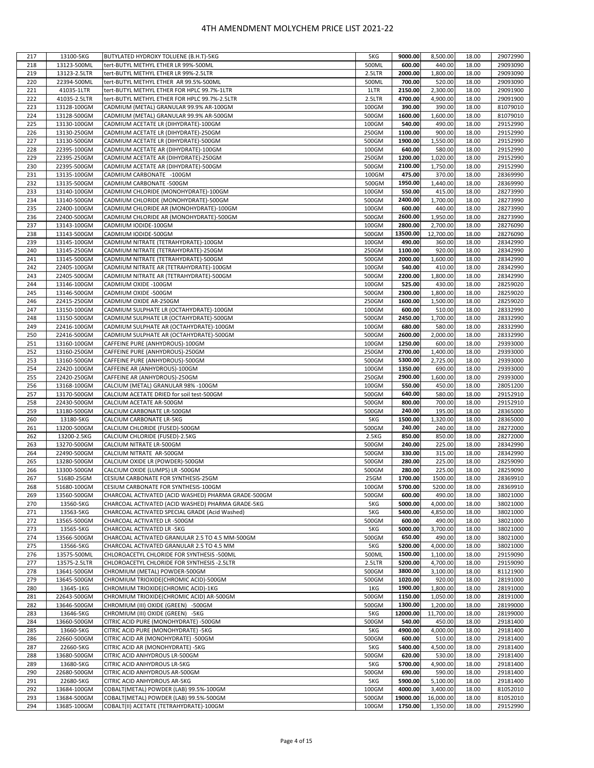| 217 | 13100-5KG    | BUTYLATED HYDROXY TOLUENE (B.H.T)-5KG               | 5KG    | 9000.00  | 8,500.00  | 18.00 | 29072990 |
|-----|--------------|-----------------------------------------------------|--------|----------|-----------|-------|----------|
| 218 | 13123-500ML  | tert-BUTYL METHYL ETHER LR 99%-500ML                | 500ML  | 600.00   | 440.00    | 18.00 | 29093090 |
| 219 | 13123-2.5LTR | tert-BUTYL METHYL ETHER LR 99%-2.5LTR               | 2.5LTR | 2000.00  | 1,800.00  | 18.00 | 29093090 |
| 220 | 22394-500ML  | tert-BUTYL METHYL ETHER AR 99.5%-500ML              | 500ML  | 700.00   | 520.00    | 18.00 | 29093090 |
|     |              |                                                     | 1LTR   | 2150.00  |           |       |          |
| 221 | 41035-1LTR   | tert-BUTYL METHYL ETHER FOR HPLC 99.7%-1LTR         |        |          | 2,300.00  | 18.00 | 29091900 |
| 222 | 41035-2.5LTR | tert-BUTYL METHYL ETHER FOR HPLC 99.7%-2.5LTR       | 2.5LTR | 4700.00  | 4,900.00  | 18.00 | 29091900 |
| 223 | 13128-100GM  | CADMIUM (METAL) GRANULAR 99.9% AR-100GM             | 100GM  | 390.00   | 390.00    | 18.00 | 81079010 |
| 224 | 13128-500GM  | CADMIUM (METAL) GRANULAR 99.9% AR-500GM             | 500GM  | 1600.00  | 1,600.00  | 18.00 | 81079010 |
| 225 | 13130-100GM  | CADMIUM ACETATE LR (DIHYDRATE)-100GM                | 100GM  | 540.00   | 490.00    | 18.00 | 29152990 |
| 226 | 13130-250GM  | CADMIUM ACETATE LR (DIHYDRATE)-250GM                | 250GM  | 1100.00  | 900.00    | 18.00 | 29152990 |
| 227 | 13130-500GM  | CADMIUM ACETATE LR (DIHYDRATE)-500GM                | 500GM  | 1900.00  | 1,550.00  | 18.00 | 29152990 |
| 228 | 22395-100GM  | CADMIUM ACETATE AR (DIHYDRATE)-100GM                | 100GM  | 640.00   | 580.00    | 18.00 | 29152990 |
| 229 | 22395-250GM  | CADMIUM ACETATE AR (DIHYDRATE)-250GM                | 250GM  | 1200.00  | 1,020.00  | 18.00 | 29152990 |
|     |              |                                                     |        |          |           |       |          |
| 230 | 22395-500GM  | CADMIUM ACETATE AR (DIHYDRATE)-500GM                | 500GM  | 2100.00  | 1,750.00  | 18.00 | 29152990 |
| 231 | 13135-100GM  | CADMIUM CARBONATE -100GM                            | 100GM  | 475.00   | 370.00    | 18.00 | 28369990 |
| 232 | 13135-500GM  | CADMIUM CARBONATE -500GM                            | 500GM  | 1950.00  | 1,440.00  | 18.00 | 28369990 |
| 233 | 13140-100GM  | CADMIUM CHLORIDE (MONOHYDRATE)-100GM                | 100GM  | 550.00   | 415.00    | 18.00 | 28273990 |
| 234 | 13140-500GM  | CADMIUM CHLORIDE (MONOHYDRATE)-500GM                | 500GM  | 2400.00  | 1,700.00  | 18.00 | 28273990 |
| 235 | 22400-100GM  | CADMIUM CHLORIDE AR (MONOHYDRATE)-100GM             | 100GM  | 600.00   | 440.00    | 18.00 | 28273990 |
| 236 | 22400-500GM  | CADMIUM CHLORIDE AR (MONOHYDRATE)-500GM             | 500GM  | 2600.00  | 1,950.00  | 18.00 | 28273990 |
| 237 | 13143-100GM  | CADMIUM IODIDE-100GM                                | 100GM  | 2800.00  | 2,700.00  | 18.00 | 28276090 |
|     |              |                                                     |        |          |           |       |          |
| 238 | 13143-500GM  | CADMIUM IODIDE-500GM                                | 500GM  | 13500.00 | 12,700.00 | 18.00 | 28276090 |
| 239 | 13145-100GM  | CADMIUM NITRATE (TETRAHYDRATE)-100GM                | 100GM  | 490.00   | 360.00    | 18.00 | 28342990 |
| 240 | 13145-250GM  | CADMIUM NITRATE (TETRAHYDRATE)-250GM                | 250GM  | 1100.00  | 920.00    | 18.00 | 28342990 |
| 241 | 13145-500GM  | CADMIUM NITRATE (TETRAHYDRATE)-500GM                | 500GM  | 2000.00  | 1,600.00  | 18.00 | 28342990 |
| 242 | 22405-100GM  | CADMIUM NITRATE AR (TETRAHYDRATE)-100GM             | 100GM  | 540.00   | 410.00    | 18.00 | 28342990 |
| 243 | 22405-500GM  | CADMIUM NITRATE AR (TETRAHYDRATE)-500GM             | 500GM  | 2200.00  | 1,800.00  | 18.00 | 28342990 |
| 244 | 13146-100GM  | CADMIUM OXIDE -100GM                                | 100GM  | 525.00   | 430.00    | 18.00 | 28259020 |
| 245 | 13146-500GM  | CADMIUM OXIDE -500GM                                | 500GM  | 2300.00  | 1,800.00  | 18.00 | 28259020 |
|     |              |                                                     |        |          |           |       |          |
| 246 | 22415-250GM  | CADMIUM OXIDE AR-250GM                              | 250GM  | 1600.00  | 1,500.00  | 18.00 | 28259020 |
| 247 | 13150-100GM  | CADMIUM SULPHATE LR (OCTAHYDRATE)-100GM             | 100GM  | 600.00   | 510.00    | 18.00 | 28332990 |
| 248 | 13150-500GM  | CADMIUM SULPHATE LR (OCTAHYDRATE)-500GM             | 500GM  | 2450.00  | 1.700.00  | 18.00 | 28332990 |
| 249 | 22416-100GM  | CADMIUM SULPHATE AR (OCTAHYDRATE)-100GM             | 100GM  | 680.00   | 580.00    | 18.00 | 28332990 |
| 250 | 22416-500GM  | CADMIUM SULPHATE AR (OCTAHYDRATE)-500GM             | 500GM  | 2600.00  | 2,000.00  | 18.00 | 28332990 |
| 251 | 13160-100GM  | CAFFEINE PURE (ANHYDROUS)-100GM                     | 100GM  | 1250.00  | 600.00    | 18.00 | 29393000 |
| 252 | 13160-250GM  | CAFFEINE PURE (ANHYDROUS)-250GM                     | 250GM  | 2700.00  | 1,400.00  | 18.00 | 29393000 |
| 253 | 13160-500GM  | CAFFEINE PURE (ANHYDROUS)-500GM                     | 500GM  | 5300.00  | 2,725.00  | 18.00 | 29393000 |
|     |              |                                                     |        |          |           |       |          |
| 254 | 22420-100GM  | CAFFEINE AR (ANHYDROUS)-100GM                       | 100GM  | 1350.00  | 690.00    | 18.00 | 29393000 |
| 255 | 22420-250GM  | CAFFEINE AR (ANHYDROUS)-250GM                       | 250GM  | 2900.00  | 1,600.00  | 18.00 | 29393000 |
| 256 | 13168-100GM  | CALCIUM (METAL) GRANULAR 98% -100GM                 | 100GM  | 550.00   | 450.00    | 18.00 | 28051200 |
| 257 | 13170-500GM  | CALCIUM ACETATE DRIED for soil test-500GM           | 500GM  | 640.00   | 580.00    | 18.00 | 29152910 |
| 258 | 22430-500GM  | CALCIUM ACETATE AR-500GM                            | 500GM  | 800.00   | 700.00    | 18.00 | 29152910 |
| 259 | 13180-500GM  | CALCIUM CARBONATE LR-500GM                          | 500GM  | 240.00   | 195.00    | 18.00 | 28365000 |
| 260 | 13180-5KG    | CALCIUM CARBONATE LR-5KG                            | 5KG    | 1500.00  | 1,320.00  | 18.00 | 28365000 |
| 261 | 13200-500GM  | CALCIUM CHLORIDE (FUSED)-500GM                      | 500GM  | 240.00   | 240.00    | 18.00 | 28272000 |
|     |              |                                                     |        | 850.00   |           |       |          |
| 262 | 13200-2.5KG  | CALCIUM CHLORIDE (FUSED)-2.5KG                      | 2.5KG  |          | 850.00    | 18.00 | 28272000 |
| 263 | 13270-500GM  | CALCIUM NITRATE LR-500GM                            | 500GM  | 240.00   | 225.00    | 18.00 | 28342990 |
| 264 | 22490-500GM  | CALCIUM NITRATE AR-500GM                            | 500GM  | 330.00   | 315.00    | 18.00 | 28342990 |
| 265 | 13280-500GM  | CALCIUM OXIDE LR (POWDER)-500GM                     | 500GM  | 280.00   | 225.00    | 18.00 | 28259090 |
| 266 | 13300-500GM  | CALCIUM OXIDE (LUMPS) LR -500GM                     | 500GM  | 280.00   | 225.00    | 18.00 | 28259090 |
| 267 | 51680-25GM   | CESIUM CARBONATE FOR SYNTHESIS-25GM                 | 25GM   | 1700.00  | 1500.00   | 18.00 | 28369910 |
| 268 | 51680-100GM  | CESIUM CARBONATE FOR SYNTHESIS-100GM                | 100GM  | 5700.00  | 5200.00   | 18.00 | 28369910 |
| 269 | 13560-500GM  | CHARCOAL ACTIVATED (ACID WASHED) PHARMA GRADE-500GM | 500GM  | 600.00   | 490.00    | 18.00 | 38021000 |
| 270 | 13560-5KG    | CHARCOAL ACTIVATED (ACID WASHED) PHARMA GRADE-5KG   | 5KG    | 5000.00  | 4,000.00  | 18.00 | 38021000 |
| 271 | 13563-5KG    | CHARCOAL ACTIVATED SPECIAL GRADE (Acid Washed)      | 5KG    | 5400.00  | 4,850.00  | 18.00 | 38021000 |
|     |              |                                                     |        |          |           |       |          |
| 272 | 13565-500GM  | CHARCOAL ACTIVATED LR -500GM                        | 500GM  | 600.00   | 490.00    | 18.00 | 38021000 |
| 273 | 13565-5KG    | CHARCOAL ACTIVATED LR -5KG                          | 5KG    | 5000.00  | 3,700.00  | 18.00 | 38021000 |
| 274 | 13566-500GM  | CHARCOAL ACTIVATED GRANULAR 2.5 TO 4.5 MM-500GM     | 500GM  | 650.00   | 490.00    | 18.00 | 38021000 |
| 275 | 13566-5KG    | CHARCOAL ACTIVATED GRANULAR 2.5 TO 4.5 MM           | 5KG    | 5200.00  | 4,000.00  | 18.00 | 38021000 |
| 276 | 13575-500ML  | CHLOROACETYL CHLORIDE FOR SYNTHESIS -500ML          | 500ML  | 1500.00  | 1,100.00  | 18.00 | 29159090 |
| 277 | 13575-2.5LTR | CHLOROACETYL CHLORIDE FOR SYNTHESIS -2.5LTR         | 2.5LTR | 5200.00  | 4,700.00  | 18.00 | 29159090 |
| 278 | 13641-500GM  | CHROMIUM (METAL) POWDER-500GM                       | 500GM  | 3800.00  | 3,100.00  | 18.00 | 81121900 |
| 279 | 13645-500GM  | CHROMIUM TRIOXIDE(CHROMIC ACID)-500GM               | 500GM  | 1020.00  | 920.00    | 18.00 | 28191000 |
| 280 | 13645-1KG    | CHROMIUM TRIOXIDE(CHROMIC ACID)-1KG                 | 1KG    | 1900.00  | 1,800.00  | 18.00 | 28191000 |
|     |              |                                                     |        |          |           |       |          |
| 281 | 22643-500GM  | CHROMIUM TRIOXIDE(CHROMIC ACID) AR-500GM            | 500GM  | 1150.00  | 1,050.00  | 18.00 | 28191000 |
| 282 | 13646-500GM  | CHROMIUM (III) OXIDE (GREEN) -500GM                 | 500GM  | 1300.00  | 1,200.00  | 18.00 | 28199000 |
| 283 | 13646-5KG    | CHROMIUM (III) OXIDE (GREEN) -5KG                   | 5KG    | 12000.00 | 11,700.00 | 18.00 | 28199000 |
| 284 | 13660-500GM  | CITRIC ACID PURE (MONOHYDRATE) -500GM               | 500GM  | 540.00   | 450.00    | 18.00 | 29181400 |
| 285 | 13660-5KG    | CITRIC ACID PURE (MONOHYDRATE) -5KG                 | 5KG    | 4900.00  | 4,000.00  | 18.00 | 29181400 |
| 286 | 22660-500GM  | CITRIC ACID AR (MONOHYDRATE) -500GM                 | 500GM  | 600.00   | 510.00    | 18.00 | 29181400 |
| 287 | 22660-5KG    | CITRIC ACID AR (MONOHYDRATE) -5KG                   | 5KG    | 5400.00  | 4,500.00  | 18.00 | 29181400 |
| 288 | 13680-500GM  | CITRIC ACID ANHYDROUS LR-500GM                      | 500GM  | 620.00   | 530.00    | 18.00 | 29181400 |
| 289 | 13680-5KG    | CITRIC ACID ANHYDROUS LR-5KG                        | 5KG    | 5700.00  | 4,900.00  | 18.00 | 29181400 |
|     |              |                                                     |        |          |           |       |          |
| 290 | 22680-500GM  | CITRIC ACID ANHYDROUS AR-500GM                      | 500GM  | 690.00   | 590.00    | 18.00 | 29181400 |
| 291 | 22680-5KG    | CITRIC ACID ANHYDROUS AR-5KG                        | 5KG    | 5900.00  | 5,100.00  | 18.00 | 29181400 |
| 292 | 13684-100GM  | COBALT(METAL) POWDER (LAB) 99.5%-100GM              | 100GM  | 4000.00  | 3,400.00  | 18.00 | 81052010 |
| 293 | 13684-500GM  | COBALT(METAL) POWDER (LAB) 99.5%-500GM              | 500GM  | 19000.00 | 16,000.00 | 18.00 | 81052010 |
| 294 | 13685-100GM  | COBALT(II) ACETATE (TETRAHYDRATE)-100GM             | 100GM  | 1750.00  | 1,350.00  | 18.00 | 29152990 |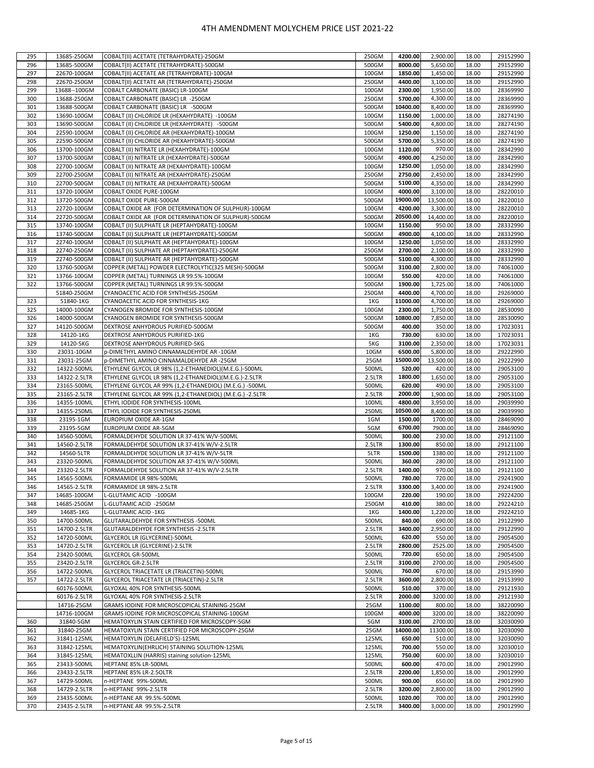| 295        | 13685-250GM                 | COBALT(II) ACETATE (TETRAHYDRATE)-250GM                  | 250GM           | 4200.00            | 2,900.00           | 18.00          | 29152990             |
|------------|-----------------------------|----------------------------------------------------------|-----------------|--------------------|--------------------|----------------|----------------------|
| 296        | 13685-500GM                 | COBALT(II) ACETATE (TETRAHYDRATE)-500GM                  | 500GM           | 8000.00            | 5,650.00           | 18.00          | 29152990             |
| 297        | 22670-100GM                 | COBALT(II) ACETATE AR (TETRAHYDRATE)-100GM               | 100GM           | 1850.00            | 1,450.00           | 18.00          | 29152990             |
| 298        | 22670-250GM                 | COBALT(II) ACETATE AR (TETRAHYDRATE)-250GM               | 250GM           | 4400.00            | 3.100.00           | 18.00          | 29152990             |
| 299        | 13688--100GM                | COBALT CARBONATE (BASIC) LR-100GM                        | 100GM           | 2300.00            | 1,950.00           | 18.00          | 28369990             |
| 300        | 13688-250GM                 | COBALT CARBONATE (BASIC) LR -250GM                       | 250GM           | 5700.00            | 4,300.00           | 18.00          | 28369990             |
| 301        | 13688-500GM                 | COBALT CARBONATE (BASIC) LR -500GM                       | 500GM           | 10400.00           | 8,400.00           | 18.00          | 28369990             |
| 302        | 13690-100GM                 | COBALT (II) CHLORIDE LR (HEXAHYDRATE) -100GM             | 100GM           | 1150.00            | 1,000.00           | 18.00          | 28274190             |
|            |                             |                                                          |                 |                    |                    |                |                      |
| 303        | 13690-500GM                 | COBALT (II) CHLORIDE LR (HEXAHYDRATE) -500GM             | 500GM           | 5400.00            | 4,800.00           | 18.00          | 28274190             |
| 304        | 22590-100GM                 | COBALT (II) CHLORIDE AR (HEXAHYDRATE)-100GM              | 100GM           | 1250.00            | 1,150.00           | 18.00          | 28274190             |
| 305        | 22590-500GM                 | COBALT (II) CHLORIDE AR (HEXAHYDRATE)-500GM              | 500GM           | 5700.00            | 5,350.00           | 18.00          | 28274190             |
| 306        | 13700-100GM                 | COBALT (II) NITRATE LR (HEXAHYDRATE)-100GM               | 100GM           | 1120.00            | 970.00             | 18.00          | 28342990             |
| 307        | 13700-500GM                 | COBALT (II) NITRATE LR (HEXAHYDRATE)-500GM               | 500GM           | 4900.00            | 4,250.00           | 18.00          | 28342990             |
| 308        | 22700-100GM                 | COBALT (II) NITRATE AR (HEXAHYDRATE)-100GM               | 100GM           | 1250.00            | 1,050.00           | 18.00          | 28342990             |
| 309        | 22700-250GM                 | COBALT (II) NITRATE AR (HEXAHYDRATE)-250GM               | 250GM           | 2750.00            | 2,450.00           | 18.00          | 28342990             |
| 310        | 22700-500GM                 | COBALT (II) NITRATE AR (HEXAHYDRATE)-500GM               | 500GM           | 5100.00            | 4,350.00           | 18.00          | 28342990             |
| 311        | 13720-100GM                 | COBALT OXIDE PURE-100GM                                  | 100GM           | 4000.00            | 3,100.00           | 18.00          | 28220010             |
| 312        | 13720-500GM                 | COBALT OXIDE PURE-500GM                                  | 500GM           | 19000.00           | 13,500.00          | 18.00          | 28220010             |
| 313        | 22720-100GM                 | COBALT OXIDE AR (FOR DETERMINATION OF SULPHUR)-100GM     | 100GM           | 4200.00            | 3,300.00           | 18.00          | 28220010             |
| 314        | 22720-500GM                 | COBALT OXIDE AR (FOR DETERMINATION OF SULPHUR)-500GM     | 500GM           | 20500.00           | 14,400.00          | 18.00          | 28220010             |
| 315        | 13740-100GM                 | COBALT (II) SULPHATE LR (HEPTAHYDRATE)-100GM             | 100GM           | 1150.00            | 950.00             | 18.00          | 28332990             |
| 316        | 13740-500GM                 | COBALT (II) SULPHATE LR (HEPTAHYDRATE)-500GM             | 500GM           | 4900.00            | 4,100.00           | 18.00          | 28332990             |
| 317        | 22740-100GM                 | COBALT (II) SULPHATE AR (HEPTAHYDRATE)-100GM             | 100GM           | 1250.00            | 1,050.00           | 18.00          | 28332990             |
| 318        | 22740-250GM                 | COBALT (II) SULPHATE AR (HEPTAHYDRATE)-250GM             | 250GM           | 2700.00            | 2.100.00           | 18.00          | 28332990             |
| 319        |                             |                                                          |                 | 5100.00            |                    |                |                      |
|            | 22740-500GM                 | COBALT (II) SULPHATE AR (HEPTAHYDRATE)-500GM             | 500GM           |                    | 4,300.00           | 18.00          | 28332990             |
| 320        | 13760-500GM                 | COPPER (METAL) POWDER ELECTROLYTIC(325 MESH)-500GM       | 500GM           | 3100.00            | 2,800.00           | 18.00          | 74061000             |
| 321        | 13766-100GM                 | COPPER (METAL) TURNINGS LR 99.5%-100GM                   | 100GM           | 550.00             | 420.00             | 18.00          | 74061000             |
| 322        | 13766-500GM                 | COPPER (METAL) TURNINGS LR 99.5%-500GM                   | 500GM           | 1900.00            | 1,725.00           | 18.00          | 74061000             |
|            | 51840-250GM                 | CYANOACETIC ACID FOR SYNTHESIS-250GM                     | 250GM           | 4400.00            | 4,700.00           | 18.00          | 29269000             |
| 323        | 51840-1KG                   | CYANOACETIC ACID FOR SYNTHESIS-1KG                       | 1KG             | 11000.00           | 4,700.00           | 18.00          | 29269000             |
| 325        | 14000-100GM                 | CYANOGEN BROMIDE FOR SYNTHESIS-100GM                     | 100GM           | 2300.00            | 1,750.00           | 18.00          | 28530090             |
| 326        | 14000-500GM                 | CYANOGEN BROMIDE FOR SYNTHESIS-500GM                     | 500GM           | 10800.00           | 7.850.00           | 18.00          | 28530090             |
| 327        | 14120-500GM                 | DEXTROSE ANHYDROUS PURIFIED-500GM                        | 500GM           | 400.00             | 350.00             | 18.00          | 17023031             |
| 328        | 14120-1KG                   | DEXTROSE ANHYDROUS PURIFIED-1KG                          | 1KG             | 730.00             | 630.00             | 18.00          | 17023031             |
| 329        | 14120-5KG                   | DEXTROSE ANHYDROUS PURIFIED-5KG                          | 5KG             | 3100.00            | 2,350.00           | 18.00          | 17023031             |
| 330        | 23031-10GM                  | p-DIMETHYL AMINO CINNAMALDEHYDE AR -10GM                 | 10GM            | 6500.00            | 5,800.00           | 18.00          | 29222990             |
| 331        | 23031-25GM                  | p-DIMETHYL AMINO CINNAMALDEHYDE AR -25GM                 | 25GM            | 15000.00           | 13,500.00          | 18.00          | 29222990             |
| 332        | 14322-500ML                 | ETHYLENE GLYCOL LR 98% (1,2-ETHANEDIOL)(M.E.G.)-500ML    | 500ML           | 520.00             | 420.00             | 18.00          | 29053100             |
| 333        | 14322-2.5LTR                | ETHYLENE GLYCOL LR 98% (1,2-ETHANEDIOL)(M.E.G.)-2.5LTR   | 2.5LTR          | 1800.00            | 1,650.00           | 18.00          | 29053100             |
| 334        | 23165-500ML                 | ETHYLENE GLYCOL AR 99% (1,2-ETHANEDIOL) (M.E.G.) -500ML  | 500ML           | 620.00             | 490.00             | 18.00          | 29053100             |
| 335        | 23165-2.5LTR                | ETHYLENE GLYCOL AR 99% (1,2-ETHANEDIOL) (M.E.G.) -2.5LTR | 2.5LTR          | 2000.00            | 1,900.00           | 18.00          | 29053100             |
| 336        | 14355-100ML                 | ETHYL IODIDE FOR SYNTHESIS-100ML                         | 100ML           | 4800.00            | 3,950.00           | 18.00          | 29039990             |
| 337        | 14355-250ML                 | ETHYL IODIDE FOR SYNTHESIS-250ML                         | 250ML           | 10500.00           | 8,400.00           | 18.00          | 29039990             |
| 338        | 23195-1GM                   | EUROPIUM OXIDE AR-1GM                                    | 1GM             | 1500.00            | 1700.00            | 18.00          | 28469090             |
| 339        | 23195-5GM                   | EUROPIUM OXIDE AR-5GM                                    | 5GM             | 6700.00            | 7900.00            | 18.00          | 28469090             |
| 340        | 14560-500ML                 | FORMALDEHYDE SOLUTION LR 37-41% W/V-500ML                | 500ML           | 300.00             | 230.00             | 18.00          | 29121100             |
| 341        | 14560-2.5LTR                |                                                          | 2.5LTR          | 1300.00            | 850.00             | 18.00          | 29121100             |
|            |                             | FORMALDEHYDE SOLUTION LR 37-41% W/V-2.5LTR               |                 |                    |                    |                |                      |
| 342        | 14560-5LTR                  | FORMALDEHYDE SOLUTION LR 37-41% W/V-5LTR                 | 5LTR            | 1500.00            | 1380.00            | 18.00          | 29121100             |
| 343        | 23320-500ML                 | FORMALDEHYDE SOLUTION AR 37-41% W/V-500ML                | 500ML           | 360.00             | 280.00             | 18.00          | 29121100             |
| 344        | 23320-2.5LTR                | FORMALDEHYDE SOLUTION AR 37-41% W/V-2.5LTR               | 2.5LTR          | 1400.00            | 970.00             | 18.00          | 29121100             |
| 345        | 14565-500ML                 | FORMAMIDE LR 98%-500ML                                   | 500ML           | 780.00             | 720.00             | 18.00          | 29241900             |
| 346        | 14565-2.5LTR                | FORMAMIDE LR 98%-2.5LTR                                  | 2.5LTR          | 3300.00            | 3,400.00           | 18.00          | 29241900             |
| 347        | 14685-100GM                 | L-GLUTAMIC ACID -100GM                                   | 100GM           | 220.00             | 190.00             | 18.00          | 29224200             |
| 348        | 14685-250GM                 | L-GLUTAMIC ACID -250GM                                   | 250GM           | 410.00             | 380.00             | 18.00          | 29224210             |
| 349        | 14685-1KG                   | L-GLUTAMIC ACID -1KG                                     | 1KG             | 1400.00            | 1,220.00           | 18.00          | 29224210             |
| 350        | 14700-500ML                 | GLUTARALDEHYDE FOR SYNTHESIS -500ML                      | 500ML           | 840.00             | 690.00             | 18.00          | 29122990             |
| 351        | 14700-2.5LTR                | GLUTARALDEHYDE FOR SYNTHESIS -2.5LTR                     | 2.5LTR          | 3400.00            | 2,950.00           | 18.00          | 29122990             |
| 352        | 14720-500ML                 | GLYCEROL LR {GLYCERINE}-500ML                            | 500ML           | 620.00             | 550.00             | 18.00          | 29054500             |
| 353        | 14720-2.5LTR                | GLYCEROL LR {GLYCERINE}-2.5LTR                           | 2.5LTR          | 2800.00            | 2525.00            | 18.00          | 29054500             |
| 354        | 23420-500ML                 | <b>GLYCEROL GR-500ML</b>                                 | 500ML           | 720.00             | 650.00             | 18.00          | 29054500             |
| 355        | 23420-2.5LTR                | <b>GLYCEROL GR-2.5LTR</b>                                | 2.5LTR          | 3100.00            | 2700.00            | 18.00          | 29054500             |
| 356        | 14722-500ML                 | GLYCEROL TRIACETATE LR (TRIACETIN)-500ML                 | 500ML           | 760.00             | 670.00             | 18.00          | 29153990             |
| 357        | 14722-2.5LTR                | GLYCEROL TRIACETATE LR (TRIACETIN)-2.5LTR                | 2.5LTR          | 3600.00            | 2,800.00           | 18.00          | 29153990             |
|            | 60176-500ML                 | GLYOXAL 40% FOR SYNTHESIS-500ML                          | 500ML           | 510.00             | 370.00             | 18.00          | 29121930             |
|            | 60176-2.5LTR                | GLYOXAL 40% FOR SYNTHESIS-2.5LTR                         | 2.5LTR          | 2000.00            | 3200.00            | 18.00          | 29121930             |
|            | 14716-25GM                  | GRAMS IODINE FOR MICROSCOPICAL STAINING-25GM             | 25GM            | 1100.00            | 800.00             | 18.00          | 38220090             |
|            | 14716-100GM                 | GRAMS IODINE FOR MICROSCOPICAL STAINING-100GM            | 100GM           | 4000.00            | 3200.00            | 18.00          | 38220090             |
| 360        | 31840-5GM                   | HEMATOXYLIN STAIN CERTIFIED FOR MICROSCOPY-5GM           | 5GM             | 3100.00            | 2700.00            | 18.00          | 32030090             |
| 361        | 31840-25GM                  | HEMATOXYLIN STAIN CERTIFIED FOR MICROSCOPY-25GM          | 25GM            | 14000.00           | 11300.00           | 18.00          | 32030090             |
| 362        |                             |                                                          |                 |                    |                    |                |                      |
|            |                             |                                                          |                 |                    |                    |                |                      |
|            | 31841-125ML                 | HEMATOXYLIN (DELAFIELD'S)-125ML                          | 125ML           | 650.00             | 510.00             | 18.00          | 32030090             |
| 363        | 31842-125ML                 | HEMATOXYLIN(EHRLICH) STAINING SOLUTION-125ML             | 125ML           | 700.00             | 550.00             | 18.00          | 32030010             |
| 364        | 31845-125ML                 | HEMATOXLLIN (HARRIS) staining solution-125ML             | 125ML           | 750.00             | 600.00             | 18.00          | 32030010             |
| 365        | 23433-500ML                 | HEPTANE 85% LR-500ML                                     | 500ML           | 600.00             | 470.00             | 18.00          | 29012990             |
| 366        | 23433-2.5LTR                | HEPTANE 85% LR-2.5OLTR                                   | 2.5LTR          | 2200.00            | 1,850.00           | 18.00          | 29012990             |
| 367        | 14729-500ML                 | n-HEPTANE 99%-500ML                                      | 500ML           | 900.00             | 650.00             | 18.00          | 29012990             |
| 368        | 14729-2.5LTR                | n-HEPTANE 99%-2.5LTR                                     | 2.5LTR          | 3200.00            | 2,800.00           | 18.00          | 29012990             |
| 369<br>370 | 23435-500ML<br>23435-2.5LTR | n-HEPTANE AR 99.5%-500ML<br>n-HEPTANE AR 99.5%-2.5LTR    | 500ML<br>2.5LTR | 1020.00<br>3400.00 | 700.00<br>3,000.00 | 18.00<br>18.00 | 29012990<br>29012990 |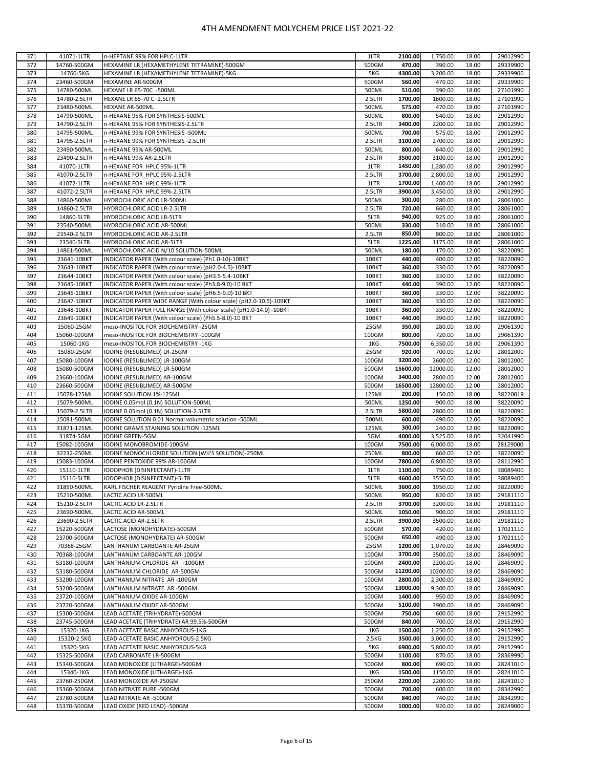|            | 41071-1LTR                 | n-HEPTANE 99% FOR HPLC-1LTR                                        | 1LTR           | 2100.00           | 1,750.00         | 18.00          | 29012990             |
|------------|----------------------------|--------------------------------------------------------------------|----------------|-------------------|------------------|----------------|----------------------|
| 371        |                            | HEXAMINE LR (HEXAMETHYLENE TETRAMINE)-500GM                        |                | 470.00            |                  |                |                      |
| 372        | 14760-500GM                |                                                                    | 500GM          |                   | 390.00           | 18.00          | 29339900             |
| 373        | 14760-5KG                  | HEXAMINE LR (HEXAMETHYLENE TETRAMINE)-5KG                          | 5KG            | 4300.00           | 3,200.00         | 18.00          | 29339900             |
| 374        | 23460-500GM                | HEXAMINE AR-500GM                                                  | 500GM          | 560.00            | 470.00           | 18.00          | 29339900             |
| 375        | 14780-500ML                | HEXANE LR 65-70C -500ML                                            | 500ML          | 510.00            | 390.00           | 18.00          | 27101990             |
| 376        | 14780-2.5LTR               | <b>HEXANE LR 65-70 C -2.5LTR</b>                                   | 2.5LTR         | 1700.00           | 1600.00          | 18.00          | 27101990             |
| 377        | 23480-500ML                | HEXANE AR-500ML                                                    | 500ML          | 575.00            | 470.00           | 18.00          | 27101990             |
| 378        | 14790-500ML                | n-HEXANE 95% FOR SYNTHESIS-500ML                                   | 500ML          | 800.00            | 540.00           | 18.00          | 29012990             |
| 379        | 14790-2.5LTR               | n-HEXANE 95% FOR SYNTHESIS-2.5LTR                                  | 2.5LTR         | 3400.00           | 2200.00          | 18.00          | 29012990             |
| 380        | 14795-500ML                | n-HEXANE 99% FOR SYNTHESIS -500ML                                  | 500ML          | 700.00            | 575.00           | 18.00          | 29012990             |
|            |                            |                                                                    |                |                   |                  |                |                      |
| 381        | 14795-2.5LTR               | n-HEXANE 99% FOR SYNTHESIS -2.5LTR                                 | 2.5LTR         | 3100.00           | 2700.00          | 18.00          | 29012990             |
| 382        | 23490-500ML                | n-HEXANE 99% AR-500ML                                              | 500ML          | 800.00            | 640.00           | 18.00          | 29012990             |
| 383        | 23490-2.5LTR               | n-HEXANE 99% AR-2.5LTR                                             | 2.5LTR         | 3500.00           | 3100.00          | 18.00          | 29012990             |
| 384        | 41070-1LTR                 | n-HEXANE FOR HPLC 95%-1LTR                                         | 1LTR           | 1450.00           | 1,280.00         | 18.00          | 29012990             |
| 385        | 41070-2.5LTR               | n-HEXANE FOR HPLC 95%-2.5LTR                                       | 2.5LTR         | 3700.00           | 2,800.00         | 18.00          | 29012990             |
| 386        | 41072-1LTR                 | n-HEXANE FOR HPLC 99%-1LTR                                         | 1LTR           | 1700.00           | 1,400.00         | 18.00          | 29012990             |
| 387        | 41072-2.5LTR               | n-HEXANE FOR HPLC 99%-2.5LTR                                       | 2.5LTR         | 3900.00           | 3,450.00         | 18.00          | 29012990             |
| 388        | 14860-500ML                | HYDROCHLORIC ACID LR-500ML                                         | 500ML          | 300.00            | 280.00           | 18.00          | 28061000             |
|            |                            |                                                                    |                | 720.00            | 660.00           |                |                      |
| 389        | 14860-2.5LTR               | HYDROCHLORIC ACID LR-2.5LTR                                        | 2.5LTR         |                   |                  | 18.00          | 28061000             |
| 390        | 14860-5LTR                 | HYDROCHLORIC ACID LR-5LTR                                          | 5LTR           | 940.00            | 925.00           | 18.00          | 28061000             |
| 391        | 23540-500ML                | HYDROCHLORIC ACID AR-500ML                                         | 500ML          | 330.00            | 310.00           | 18.00          | 28061000             |
| 392        | 23540-2.5LTR               | HYDROCHLORIC ACID AR-2.5LTR                                        | 2.5LTR         | 850.00            | 800.00           | 18.00          | 28061000             |
| 393        | 23540-5LTR                 | HYDROCHLORIC ACID AR-5LTR                                          | 5LTR           | 1225.00           | 1175.00          | 18.00          | 28061000             |
| 394        | 14861-500ML                | HYDROCHLORIC ACID N/10 SOLUTION-500ML                              | 500ML          | 180.00            | 170.00           | 12.00          | 38220090             |
| 395        | 23641-10BKT                | INDICATOR PAPER (With colour scale) (Ph1.0-10)-10BKT               | 10BKT          | 440.00            | 400.00           | 12.00          | 38220090             |
| 396        | 23643-10BKT                | INDICATOR PAPER (With colour scale) (pH2.0-4.5)-10BKT              | 10BKT          | 360.00            | 330.00           | 12.00          | 38220090             |
| 397        | 23644-10BKT                | INDICATOR PAPER (With colour scale) (pH3.5-5.4-10BKT               | 10BKT          | 360.00            | 330.00           | 12.00          | 38220090             |
|            |                            |                                                                    |                | 440.00            |                  |                |                      |
| 398        | 23645-10BKT                | INDICATOR PAPER (With colour scale) (Ph3.8-9.0)-10 BKT             | 10BKT          |                   | 390.00           | 12.00          | 38220090             |
| 399        | 23646-10BKT                | INDICATOR PAPER (With colour scale) (pH6.5-9.0)-10 BKT             | 10BKT          | 360.00            | 330.00           | 12.00          | 38220090             |
| 400        | 23647-10BKT                | INDICATOR PAPER WIDE RANGE (With colour scale) (pH2.0-10.5)-10BKT  | 10BKT          | 360.00            | 330.00           | 12.00          | 38220090             |
| 401        | 23648-10BKT                | INDICATOR PAPER FULL RANGE (With colour scale) (pH1.0-14.0) -10BKT | 10BKT          | 360.00            | 330.00           | 12.00          | 38220090             |
| 402        | 23649-10BKT                | INDICATOR PAPER (With colour scale) (Ph5.5-8.0)-10 BKT             | 10BKT          | 440.00            | 390.00           | 12.00          | 38220090             |
| 403        | 15060-25GM                 | meso-INOSITOL FOR BIOCHEMISTRY -25GM                               | 25GM           | 350.00            | 280.00           | 18.00          | 29061390             |
| 404        | 15060-100GM                | meso-INOSITOL FOR BIOCHEMISTRY -100GM                              | 100GM          | 800.00            | 720.00           | 18.00          | 29061390             |
| 405        | 15060-1KG                  |                                                                    | 1KG            | 7500.00           | 6,350.00         | 18.00          | 29061390             |
|            |                            | meso-INOSITOL FOR BIOCHEMISTRY -1KG                                |                |                   |                  |                |                      |
| 406        | 15080-25GM                 | IODINE (RESUBLIMED) LR-25GM                                        | 25GM           | 920.00            | 700.00           | 12.00          | 28012000             |
| 407        | 15080-100GM                | IODINE (RESUBLIMED) LR-100GM                                       | 100GM          | 3200.00           | 2600.00          | 12.00          | 28012000             |
| 408        | 15080-500GM                | IODINE (RESUBLIMED) LR-500GM                                       | 500GM          | 15600.00          | 12000.00         | 12.00          | 28012000             |
| 409        | 23660-100GM                | IODINE (RESUBLIMED) AR-100GM                                       | 100GM          | 3400.00           | 2800.00          | 12.00          | 28012000             |
| 410        | 23660-500GM                | IODINE (RESUBLIMED) AR-500GM                                       | 500GM          | 16500.00          | 12800.00         | 12.00          | 28012000             |
| 411        | 15078-125ML                | IODINE SOLUTION 1%-125ML                                           | 125ML          | 200.00            | 150.00           | 18.00          | 38220019             |
| 412        | 15079-500ML                | IODINE 0.05mol (0.1N) SOLUTION-500ML                               | 500ML          | 1250.00           | 900.00           | 18.00          | 38220090             |
|            |                            |                                                                    |                |                   |                  |                |                      |
|            |                            |                                                                    |                |                   |                  |                |                      |
| 413        | 15079-2.5LTR               | IODINE 0.05mol (0.1N) SOLUTION-2.5LTR                              | 2.5LTR         | 5800.00           | 2800.00          | 18.00          | 38220090             |
| 414        | 15081-500ML                | IODINE SOLUTION 0.01 Normal volumetric solution -500ML             | 500ML          | 600.00            | 490.00           | 12.00          | 38220090             |
| 415        | 31871-125ML                | IODINE GRAMS STAINING SOLUTION -125ML                              | 125ML          | 300.00            | 240.00           | 12.00          | 38220090             |
| 416        | 31874-5GM                  | <b>IODINE GREEN-5GM</b>                                            | 5GM            | 4000.00           | 3,525.00         | 18.00          | 32041990             |
| 417        | 15082-100GM                | IODINE MONOBROMIDE-100GM                                           | 100GM          | 7500.00           | 6,000.00         | 18.00          | 28129000             |
| 418        | 32232-250ML                | IODINE MONOCHLORIDE SOLUTION (WIJ'S SOLUTION)-250ML                | 250ML          | 800.00            | 660.00           | 12.00          | 38220090             |
| 419        | 15083-100GM                | IODINE PENTOXIDE 99% AR-100GM                                      | 100GM          | 7800.00           | 6,800.00         | 18.00          | 28112990             |
| 420        | 15110-1LTR                 | IODOPHOR (DISINFECTANT)-1LTR                                       | 1LTR           | 1100.00           | 750.00           | 18.00          | 38089400             |
| 421        | 15110-5LTR                 | IODOPHOR (DISINFECTANT)-5LTR                                       | 5LTR           | 4600.00           | 3550.00          | 18.00          | 38089400             |
|            |                            |                                                                    |                |                   |                  |                |                      |
| 422        | 31850-500ML                | KARL FISCHER REAGENT Pyridine Free-500ML                           | 500ML          | 3600.00           | 1950.00          | 12.00          | 38220090             |
| 423        | 15210-500ML                | LACTIC ACID LR-500ML                                               | 500ML          | 950.00            | 820.00           | 18.00          | 29181110             |
| 424        | 15210-2.5LTR               | LACTIC ACID LR-2.5LTR                                              | 2.5LTR         | 3700.00           | 3200.00          | 18.00          | 29181110             |
| 425        | 23690-500ML                | LACTIC ACID AR-500ML                                               | 500ML          | 1050.00           | 900.00           | 18.00          | 29181110             |
| 426        | 23690-2.5LTR               | LACTIC ACID AR-2.5LTR                                              | 2.5LTR         | 3900.00           | 3500.00          | 18.00          | 29181110             |
| 427        | 15220-500GM                | LACTOSE (MONOHYDRATE)-500GM                                        | 500GM          | 570.00            | 420.00           | 18.00          | 17021110             |
| 428        | 23700-500GM                | LACTOSE (MONOHYDRATE) AR-500GM                                     | 500GM          | 650.00            | 490.00           | 18.00          | 17021110             |
| 429        | 70368-25GM                 | LANTHANUM CARBOANTE AR-25GM                                        | 25GM           | 1200.00           | 1,070.00         | 18.00          | 28469090             |
| 430        | 70368-100GM                | LANTHANUM CARBOANTE AR-100GM                                       | 100GM          | 3700.00           | 3500.00          | 18.00          | 28469090             |
| 431        | 53180-100GM                | LANTHANIUM CHLORIDE AR -100GM                                      | 100GM          | 2400.00           | 2200.00          | 18.00          | 28469090             |
| 432        | 53180-500GM                | LANTHANIUM CHLORIDE AR-500GM                                       | 500GM          | 11200.00          | 10200.00         | 18.00          | 28469090             |
|            |                            | LANTHANIUM NITRATE AR-100GM                                        |                |                   |                  |                |                      |
| 433        | 53200-100GM                |                                                                    | 100GM          | 2800.00           | 2,300.00         | 18.00          | 28469090             |
| 434        | 53200-500GM                | LANTHANIUM NITRATE AR -500GM                                       | 500GM          | 13000.00          | 9,300.00         | 18.00          | 28469090             |
| 435        | 23720-100GM                | LANTHANIUM OXIDE AR-100GM                                          | 100GM          | 1400.00           | 950.00           | 18.00          | 28469090             |
| 436        | 23720-500GM                | LANTHANIUM OXIDE AR-500GM                                          | 500GM          | 5100.00           | 3900.00          | 18.00          | 28469090             |
| 437        | 15300-500GM                | LEAD ACETATE (TRIHYDRATE)-500GM                                    | 500GM          | 750.00            | 600.00           | 18.00          | 29152990             |
| 438        | 23745-500GM                | LEAD ACETATE (TRIHYDRATE) AR 99.5%-500GM                           | 500GM          | 840.00            | 700.00           | 18.00          | 29152990             |
| 439        | 15320-1KG                  | LEAD ACETATE BASIC ANHYDROUS-1KG                                   | 1KG            | 1500.00           | 1,250.00         | 18.00          | 29152990             |
| 440        | 15320-2.5KG                | LEAD ACETATE BASIC ANHYDROUS-2.5KG                                 | 2.5KG          | 3500.00           | 3,000.00         | 18.00          | 29152990             |
| 441        | 15320-5KG                  | LEAD ACETATE BASIC ANHYDROUS-5KG                                   | 5KG            | 6900.00           | 5,800.00         | 18.00          | 29152990             |
| 442        | 15325-500GM                | LEAD CARBONATE LR-500GM                                            | 500GM          | 1100.00           | 870.00           | 18.00          | 28369990             |
|            |                            |                                                                    |                |                   |                  |                |                      |
| 443        | 15340-500GM                | LEAD MONOXIDE (LITHARGE)-500GM                                     | 500GM          | 800.00            | 690.00           | 18.00          | 28241010             |
| 444        | 15340-1KG                  | LEAD MONOXIDE (LITHARGE)-1KG                                       | 1KG            | 1500.00           | 1150.00          | 18.00          | 28241010             |
| 445        | 23760-250GM                | LEAD MONOXIDE AR-250GM                                             | 250GM          | 2200.00           | 2200.00          | 18.00          | 28241010             |
| 446        | 15360-500GM                | LEAD NITRATE PURE -500GM                                           | 500GM          | 700.00            | 600.00           | 18.00          | 28342990             |
| 447<br>448 | 23780-500GM<br>15370-500GM | LEAD NITRATE AR -500GM<br>LEAD OXIDE (RED LEAD) -500GM             | 500GM<br>500GM | 840.00<br>1000.00 | 740.00<br>920.00 | 18.00<br>18.00 | 28342990<br>28249000 |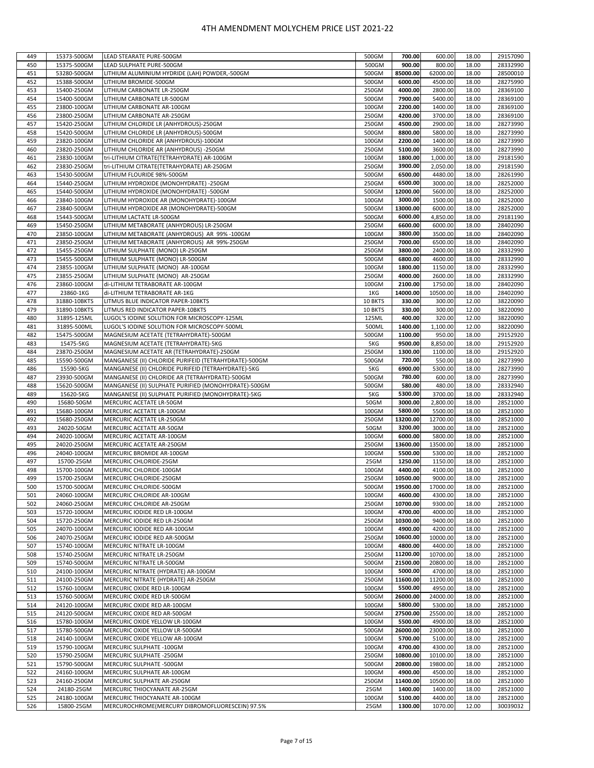| 449        | 15373-500GM               | LEAD STEARATE PURE-500GM                                                         | 500GM         | 700.00             | 600.00             | 18.00          | 29157090             |
|------------|---------------------------|----------------------------------------------------------------------------------|---------------|--------------------|--------------------|----------------|----------------------|
| 450        | 15375-500GM               | LEAD SULPHATE PURE-500GM                                                         | 500GM         | 900.00             | 800.00             | 18.00          | 28332990             |
|            |                           |                                                                                  |               |                    |                    |                |                      |
| 451        | 53280-500GM               | LITHIUM ALUMINIUM HYDRIDE (LAH) POWDER,-500GM                                    | 500GM         | 85000.00           | 62000.00           | 18.00          | 28500010             |
| 452        | 15388-500GM               | LITHIUM BROMIDE-500GM                                                            | 500GM         | 6000.00            | 4500.00            | 18.00          | 28275990             |
| 453        | 15400-250GM               | LITHIUM CARBONATE LR-250GM                                                       | 250GM         | 4000.00            | 2800.00            | 18.00          | 28369100             |
| 454        | 15400-500GM               | LITHIUM CARBONATE LR-500GM                                                       | 500GM         | 7900.00            | 5400.00            | 18.00          | 28369100             |
| 455        | 23800-100GM               | LITHIUM CARBONATE AR-100GM                                                       | 100GM         | 2200.00            | 1400.00            | 18.00          | 28369100             |
| 456        | 23800-250GM               | LITHIUM CARBONATE AR-250GM                                                       | 250GM         | 4200.00            | 3700.00            | 18.00          | 28369100             |
| 457        | 15420-250GM               | LITHIUM CHLORIDE LR (ANHYDROUS)-250GM                                            | 250GM         | 4500.00            | 2900.00            | 18.00          | 28273990             |
|            |                           |                                                                                  |               | 8800.00            |                    |                |                      |
| 458        | 15420-500GM               | LITHIUM CHLORIDE LR (ANHYDROUS)-500GM                                            | 500GM         |                    | 5800.00            | 18.00          | 28273990             |
| 459        | 23820-100GM               | LITHIUM CHLORIDE AR (ANHYDROUS)-100GM                                            | 100GM         | 2200.00            | 1400.00            | 18.00          | 28273990             |
| 460        | 23820-250GM               | LITHIUM CHLORIDE AR (ANHYDROUS) -250GM                                           | 250GM         | 5100.00            | 3600.00            | 18.00          | 28273990             |
| 461        | 23830-100GM               | tri-LITHIUM CITRATE(TETRAHYDRATE) AR-100GM                                       | 100GM         | 1800.00            | 1,000.00           | 18.00          | 29181590             |
| 462        | 23830-250GM               | tri-LITHIUM CITRATE(TETRAHYDRATE) AR-250GM                                       | 250GM         | 3900.00            | 2.050.00           | 18.00          | 29181590             |
| 463        | 15430-500GM               | LITHIUM FLOURIDE 98%-500GM                                                       | 500GM         | 6500.00            | 4480.00            | 18.00          | 28261990             |
| 464        | 15440-250GM               | LITHIUM HYDROXIDE (MONOHYDRATE) -250GM                                           | 250GM         | 6500.00            | 3000.00            | 18.00          | 28252000             |
| 465        | 15440-500GM               | LITHIUM HYDROXIDE (MONOHYDRATE) -500GM                                           | 500GM         | 12000.00           | 5600.00            | 18.00          | 28252000             |
| 466        | 23840-100GM               |                                                                                  | 100GM         | 3000.00            | 1500.00            | 18.00          | 28252000             |
|            |                           | LITHIUM HYDROXIDE AR (MONOHYDRATE)-100GM                                         |               |                    |                    |                |                      |
| 467        | 23840-500GM               | LITHIUM HYDROXIDE AR (MONOHYDRATE)-500GM                                         | 500GM         | 13000.00           | 6000.00            | 18.00          | 28252000             |
| 468        | 15443-500GM               | LITHIUM LACTATE LR-500GM                                                         | 500GM         | 6000.00            | 4,850.00           | 18.00          | 29181190             |
| 469        | 15450-250GM               | LITHIUM METABORATE (ANHYDROUS) LR-250GM                                          | 250GM         | 6600.00            | 6000.00            | 18.00          | 28402090             |
| 470        | 23850-100GM               | LITHIUM METABORATE (ANHYDROUS) AR 99% -100GM                                     | 100GM         | 3800.00            | 3500.00            | 18.00          | 28402090             |
| 471        | 23850-250GM               | LITHIUM METABORATE (ANHYDROUS) AR 99%-250GM                                      | 250GM         | 7000.00            | 6500.00            | 18.00          | 28402090             |
| 472        | 15455-250GM               | LITHIUM SULPHATE (MONO) LR-250GM                                                 | 250GM         | 3800.00            | 2400.00            | 18.00          | 28332990             |
| 473        | 15455-500GM               | LITHIUM SULPHATE (MONO) LR-500GM                                                 | 500GM         | 6800.00            | 4600.00            | 18.00          | 28332990             |
| 474        | 23855-100GM               | LITHIUM SULPHATE (MONO) AR-100GM                                                 | 100GM         | 1800.00            | 1150.00            | 18.00          | 28332990             |
|            |                           |                                                                                  |               |                    |                    |                |                      |
| 475        | 23855-250GM               | LITHIUM SULPHATE (MONO) AR-250GM                                                 | 250GM         | 4000.00            | 2600.00            | 18.00          | 28332990             |
| 476        | 23860-100GM               | di-LITHIUM TETRABORATE AR-100GM                                                  | 100GM         | 2100.00            | 1750.00            | 18.00          | 28402090             |
| 477        | 23860-1KG                 | di-LITHIUM TETRABORATE AR-1KG                                                    | 1KG           | 14000.00           | 10500.00           | 18.00          | 28402090             |
| 478        | 31880-10BKTS              | LITMUS BLUE INDICATOR PAPER-10BKTS                                               | 10 BKTS       | 330.00             | 300.00             | 12.00          | 38220090             |
| 479        | 31890-10BKTS              | LITMUS RED INDICATOR PAPER-10BKTS                                                | 10 BKTS       | 330.00             | 300.00             | 12.00          | 38220090             |
| 480        | 31895-125ML               | LUGOL'S IODINE SOLUTION FOR MICROSCOPY-125ML                                     | 125ML         | 400.00             | 320.00             | 12.00          | 38220090             |
| 481        | 31895-500ML               | LUGOL'S IODINE SOLUTION FOR MICROSCOPY-500ML                                     | 500ML         | 1400.00            | 1,100.00           | 12.00          | 38220090             |
| 482        | 15475-500GM               | MAGNESIUM ACETATE (TETRAHYDRATE)-500GM                                           | 500GM         | 1100.00            | 950.00             | 18.00          | 29152920             |
|            |                           |                                                                                  | 5KG           | 9500.00            | 8,850.00           |                |                      |
| 483        | 15475-5KG                 | MAGNESIUM ACETATE (TETRAHYDRATE)-5KG                                             |               |                    |                    | 18.00          | 29152920             |
| 484        | 23870-250GM               | MAGNESIUM ACETATE AR (TETRAHYDRATE)-250GM                                        | 250GM         | 1300.00            | 1100.00            | 18.00          | 29152920             |
| 485        | 15590-500GM               | MANGANESE (II) CHLORIDE PURIFEID (TETRAHYDRATE)-500GM                            | 500GM         | 720.00             | 550.00             | 18.00          | 28273990             |
| 486        | 15590-5KG                 | MANGANESE (II) CHLORIDE PURIFEID (TETRAHYDRATE)-5KG                              | 5KG           | 6900.00            | 5300.00            | 18.00          | 28273990             |
| 487        | 23930-500GM               | MANGANESE (II) CHLORIDE AR (TETRAHYDRATE)-500GM                                  | 500GM         | 780.00             | 600.00             | 18.00          | 28273990             |
| 488        | 15620-500GM               | MANGANESE (II) SULPHATE PURIFIED (MONOHYDRATE)-500GM                             | 500GM         | 580.00             | 480.00             | 18.00          | 28332940             |
| 489        | 15620-5KG                 | MANGANESE (II) SULPHATE PURIFIED (MONOHYDRATE)-5KG                               | 5KG           | 5300.00            | 3700.00            | 18.00          | 28332940             |
| 490        | 15680-50GM                | MERCURIC ACETATE LR-50GM                                                         | 50GM          | 3000.00            | 2,800.00           | 18.00          | 28521000             |
| 491        | 15680-100GM               | MERCURIC ACETATE LR-100GM                                                        | 100GM         | 5800.00            | 5500.00            | 18.00          | 28521000             |
|            |                           |                                                                                  | 250GM         | 13200.00           | 12700.00           |                |                      |
| 492        | 15680-250GM               | MERCURIC ACETATE LR-250GM                                                        |               |                    |                    | 18.00          | 28521000             |
| 493        | 24020-50GM                | MERCURIC ACETATE AR-50GM                                                         | 50GM          | 3200.00            | 3000.00            | 18.00          | 28521000             |
| 494        | 24020-100GM               | MERCURIC ACETATE AR-100GM                                                        | 100GM         | 6000.00            | 5800.00            | 18.00          | 28521000             |
| 495        | 24020-250GM               | MERCURIC ACETATE AR-250GM                                                        | 250GM         | 13600.00           | 13500.00           | 18.00          | 28521000             |
| 496        | 24040-100GM               | MERCURIC BROMIDE AR-100GM                                                        | 100GM         | 5500.00            | 5300.00            | 18.00          | 28521000             |
| 497        | 15700-25GM                | MERCURIC CHLORIDE-25GM                                                           | 25GM          | 1250.00            | 1150.00            | 18.00          | 28521000             |
| 498        | 15700-100GM               | MERCURIC CHLORIDE-100GM                                                          | 100GM         | 4400.00            | 4100.00            | 18.00          | 28521000             |
| 499        | 15700-250GM               | MERCURIC CHLORIDE-250GM                                                          | 250GM         | 10500.00           | 9000.00            | 18.00          | 28521000             |
| 500        | 15700-500GM               | MERCURIC CHLORIDE-500GM                                                          | 500GM         | 19500.00           | 17000.00           | 18.00          | 28521000             |
| 501        | 24060-100GM               | MERCURIC CHLORIDE AR-100GM                                                       | 100GM         | 4600.00            | 4300.00            | 18.00          | 28521000             |
| 502        | 24060-250GM               | MERCURIC CHLORIDE AR-250GM                                                       | 250GM         | 10700.00           | 9300.00            | 18.00          | 28521000             |
| 503        | 15720-100GM               | MERCURIC IODIDE RED LR-100GM                                                     | 100GM         | 4700.00            | 4000.00            | 18.00          | 28521000             |
|            |                           |                                                                                  |               | 10300.00           |                    |                | 28521000             |
| 504        | 15720-250GM               | MERCURIC IODIDE RED LR-250GM                                                     | 250GM         |                    | 9400.00            | 18.00          |                      |
| 505        | 24070-100GM               | MERCURIC IODIDE RED AR-100GM                                                     | 100GM         | 4900.00            | 4200.00            | 18.00          | 28521000             |
| 506        |                           |                                                                                  |               |                    | 10000.00           | 18.00          | 28521000             |
| 507        | 24070-250GM               | MERCURIC IODIDE RED AR-500GM                                                     | 250GM         | 10600.00           |                    |                | 28521000             |
|            | 15740-100GM               | MERCURIC NITRATE LR-100GM                                                        | 100GM         | 4800.00            | 4400.00            | 18.00          |                      |
| 508        | 15740-250GM               | MERCURIC NITRATE LR-250GM                                                        | 250GM         | 11200.00           | 10700.00           | 18.00          | 28521000             |
| 509        | 15740-500GM               | MERCURIC NITRATE LR-500GM                                                        | 500GM         | 21500.00           | 20800.00           | 18.00          | 28521000             |
| 510        | 24100-100GM               | MERCURIC NITRATE (HYDRATE) AR-100GM                                              | 100GM         | 5000.00            | 4700.00            | 18.00          | 28521000             |
|            |                           |                                                                                  |               |                    |                    |                |                      |
| 511        | 24100-250GM               | MERCURIC NITRATE (HYDRATE) AR-250GM                                              | 250GM         | 11600.00           | 11200.00           | 18.00          | 28521000             |
| 512        | 15760-100GM               | MERCURIC OXIDE RED LR-100GM                                                      | 100GM         | 5500.00            | 4950.00            | 18.00          | 28521000             |
| 513        | 15760-500GM               | MERCURIC OXIDE RED LR-500GM                                                      | 500GM         | 26000.00           | 24000.00           | 18.00          | 28521000             |
| 514        | 24120-100GM               | MERCURIC OXIDE RED AR-100GM                                                      | 100GM         | 5800.00            | 5300.00            | 18.00          | 28521000             |
| 515        | 24120-500GM               | MERCURIC OXIDE RED AR-500GM                                                      | 500GM         | 27500.00           | 25500.00           | 18.00          | 28521000             |
| 516        | 15780-100GM               | MERCURIC OXIDE YELLOW LR-100GM                                                   | 100GM         | 5500.00            | 4900.00            | 18.00          | 28521000             |
| 517        | 15780-500GM               | MERCURIC OXIDE YELLOW LR-500GM                                                   | 500GM         | 26000.00           | 23000.00           | 18.00          | 28521000             |
| 518        | 24140-100GM               | MERCURIC OXIDE YELLOW AR-100GM                                                   | 100GM         | 5700.00            | 5100.00            | 18.00          | 28521000             |
| 519        | 15790-100GM               | MERCURIC SULPHATE -100GM                                                         | 100GM         | 4700.00            | 4300.00            | 18.00          | 28521000             |
| 520        |                           | MERCURIC SULPHATE -250GM                                                         | 250GM         | 10800.00           | 10100.00           | 18.00          | 28521000             |
|            | 15790-250GM               |                                                                                  |               |                    |                    |                |                      |
| 521        | 15790-500GM               | MERCURIC SULPHATE -500GM                                                         | 500GM         | 20800.00           | 19800.00           | 18.00          | 28521000             |
| 522        | 24160-100GM               | MERCURIC SULPHATE AR-100GM                                                       | 100GM         | 4900.00            | 4500.00            | 18.00          | 28521000             |
| 523        | 24160-250GM               | MERCURIC SULPHATE AR-250GM                                                       | 250GM         | 11400.00           | 10500.00           | 18.00          | 28521000             |
| 524        | 24180-25GM                | MERCURIC THIOCYANATE AR-25GM                                                     | 25GM          | 1400.00            | 1400.00            | 18.00          | 28521000             |
| 525<br>526 | 24180-100GM<br>15800-25GM | MERCURIC THIOCYANATE AR-100GM<br>MERCUROCHROME(MERCURY DIBROMOFLUORESCEIN) 97.5% | 100GM<br>25GM | 5100.00<br>1300.00 | 4400.00<br>1070.00 | 18.00<br>12.00 | 28521000<br>30039032 |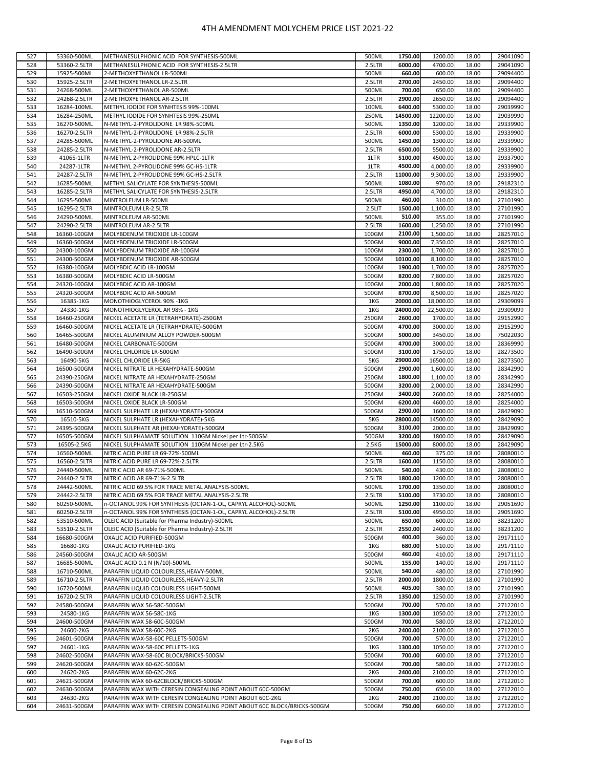| 527        |                          |                                                                                                                                     | 500ML        | 1750.00           | 1200.00           | 18.00          |                      |
|------------|--------------------------|-------------------------------------------------------------------------------------------------------------------------------------|--------------|-------------------|-------------------|----------------|----------------------|
|            | 53360-500ML              | METHANESULPHONIC ACID FOR SYNTHESIS-500ML                                                                                           |              |                   |                   |                | 29041090             |
| 528        | 53360-2.5LTR             | METHANESULPHONIC ACID FOR SYNTHESIS-2.5LTR                                                                                          | 2.5LTR       | 6000.00           | 4700.00           | 18.00          | 29041090             |
| 529        | 15925-500ML              | 2-METHOXYETHANOL LR-500ML                                                                                                           | 500ML        | 660.00            | 600.00            | 18.00          | 29094400             |
| 530        | 15925-2.5LTR             | 2-METHOXYETHANOL LR-2.5LTR                                                                                                          | 2.5LTR       | 2700.00           | 2450.00           | 18.00          | 29094400             |
| 531        | 24268-500ML              | 2-METHOXYETHANOL AR-500ML                                                                                                           | 500ML        | 700.00            | 650.00            | 18.00          | 29094400             |
|            |                          |                                                                                                                                     |              |                   |                   |                |                      |
| 532        | 24268-2.5LTR             | 2-METHOXYETHANOL AR-2.5LTR                                                                                                          | 2.5LTR       | 2900.00           | 2650.00           | 18.00          | 29094400             |
| 533        | 16284-100ML              | METHYL IODIDE FOR SYNHTESIS 99%-100ML                                                                                               | 100ML        | 6400.00           | 5300.00           | 18.00          | 29039990             |
| 534        | 16284-250ML              | METHYL IODIDE FOR SYNHTESIS 99%-250ML                                                                                               | 250ML        | 14500.00          | 12200.00          | 18.00          | 29039990             |
| 535        | 16270-500ML              | N-METHYL-2-PYROLIDONE LR 98%-500ML                                                                                                  | 500ML        | 1350.00           | 1200.00           | 18.00          | 29339900             |
|            |                          |                                                                                                                                     |              |                   |                   |                |                      |
| 536        | 16270-2.5LTR             | N-METHYL-2-PYROLIDONE LR 98%-2.5LTR                                                                                                 | 2.5LTR       | 6000.00           | 5300.00           | 18.00          | 29339900             |
| 537        | 24285-500ML              | N-METHYL-2-PYROLIDONE AR-500ML                                                                                                      | 500ML        | 1450.00           | 1300.00           | 18.00          | 29339900             |
| 538        | 24285-2.5LTR             | N-METHYL-2-PYROLIDONE AR-2.5LTR                                                                                                     | 2.5LTR       | 6500.00           | 5500.00           | 18.00          | 29339900             |
| 539        | 41065-1LTR               | N-METHYL 2-PYROLIDONE 99% HPLC-1LTR                                                                                                 | 1LTR         | 5100.00           | 4500.00           | 18.00          | 29337900             |
|            |                          |                                                                                                                                     |              | 4500.00           |                   |                |                      |
| 540        | 24287-1LTR               | N-METHYL 2-PYROLIDONE 99% GC-HS-1LTR                                                                                                | 1LTR         |                   | 4,000.00          | 18.00          | 29339900             |
| 541        | 24287-2.5LTR             | N-METHYL 2-PYROLIDONE 99% GC-HS-2.5LTR                                                                                              | 2.5LTR       | 11000.00          | 9,300.00          | 18.00          | 29339900             |
| 542        | 16285-500ML              | METHYL SALICYLATE FOR SYNTHESIS-500ML                                                                                               | 500ML        | 1080.00           | 970.00            | 18.00          | 29182310             |
| 543        | 16285-2.5LTR             | METHYL SALICYLATE FOR SYNTHESIS-2.5LTR                                                                                              | 2.5LTR       | 4950.00           | 4,700.00          | 18.00          | 29182310             |
| 544        | 16295-500ML              | MINTROLEUM LR-500ML                                                                                                                 | 500ML        | 460.00            | 310.00            | 18.00          | 27101990             |
|            |                          |                                                                                                                                     |              |                   |                   |                |                      |
| 545        | 16295-2.5LTR             | MINTROLEUM LR-2.5LTR                                                                                                                | 2.5LIT       | 1500.00           | 1,100.00          | 18.00          | 27101990             |
| 546        | 24290-500ML              | MINTROLEUM AR-500ML                                                                                                                 | 500ML        | 510.00            | 355.00            | 18.00          | 27101990             |
| 547        | 24290-2.5LTR             | MINTROLEUM AR-2.5LTR                                                                                                                | 2.5LTR       | 1600.00           | 1,250.00          | 18.00          | 27101990             |
| 548        | 16360-100GM              | MOLYBDENUM TRIOXIDE LR-100GM                                                                                                        | 100GM        | 2100.00           | 1,500.00          | 18.00          | 28257010             |
|            |                          |                                                                                                                                     |              |                   |                   |                |                      |
| 549        | 16360-500GM              | MOLYBDENUM TRIOXIDE LR-500GM                                                                                                        | 500GM        | 9000.00           | 7,350.00          | 18.00          | 28257010             |
| 550        | 24300-100GM              | MOLYBDENUM TRIOXIDE AR-100GM                                                                                                        | 100GM        | 2300.00           | 1,700.00          | 18.00          | 28257010             |
| 551        | 24300-500GM              | MOLYBDENUM TRIOXIDE AR-500GM                                                                                                        | 500GM        | 10100.00          | 8,100.00          | 18.00          | 28257010             |
| 552        | 16380-100GM              | MOLYBDIC ACID LR-100GM                                                                                                              | 100GM        | 1900.00           | 1,700.00          | 18.00          | 28257020             |
| 553        | 16380-500GM              | MOLYBDIC ACID LR-500GM                                                                                                              | 500GM        | 8200.00           | 7,800.00          | 18.00          | 28257020             |
|            |                          |                                                                                                                                     |              |                   |                   |                |                      |
| 554        | 24320-100GM              | MOLYBDIC ACID AR-100GM                                                                                                              | 100GM        | 2000.00           | 1,800.00          | 18.00          | 28257020             |
| 555        | 24320-500GM              | MOLYBDIC ACID AR-500GM                                                                                                              | 500GM        | 8700.00           | 8,500.00          | 18.00          | 28257020             |
| 556        | 16385-1KG                | MONOTHIOGLYCEROL 90% -1KG                                                                                                           | 1KG          | 20000.00          | 18,000.00         | 18.00          | 29309099             |
| 557        | 24330-1KG                | MONOTHIOGLYCEROL AR 98% - 1KG                                                                                                       | 1KG          | 24000.00          | 22,500.00         | 18.00          | 29309099             |
|            |                          |                                                                                                                                     |              |                   |                   |                |                      |
| 558        | 16460-250GM              | NICKEL ACETATE LR (TETRAHYDRATE)-250GM                                                                                              | 250GM        | 2600.00           | 1700.00           | 18.00          | 29152990             |
| 559        | 16460-500GM              | NICKEL ACETATE LR (TETRAHYDRATE)-500GM                                                                                              | 500GM        | 4700.00           | 3000.00           | 18.00          | 29152990             |
| 560        | 16465-500GM              | NICKEL ALUMINIUM ALLOY POWDER-500GM                                                                                                 | 500GM        | 5000.00           | 3450.00           | 18.00          | 75022030             |
| 561        | 16480-500GM              | NICKEL CARBONATE-500GM                                                                                                              | 500GM        | 4700.00           | 3000.00           | 18.00          | 28369990             |
|            |                          |                                                                                                                                     |              |                   |                   |                |                      |
| 562        | 16490-500GM              | NICKEL CHLORIDE LR-500GM                                                                                                            | 500GM        | 3100.00           | 1750.00           | 18.00          | 28273500             |
| 563        | 16490-5KG                | NICKEL CHLORIDE LR-5KG                                                                                                              | 5KG          | 29000.00          | 16500.00          | 18.00          | 28273500             |
| 564        | 16500-500GM              | NICKEL NITRATE LR HEXAHYDRATE-500GM                                                                                                 | 500GM        | 2900.00           | 1,600.00          | 18.00          | 28342990             |
| 565        | 24390-250GM              | NICKEL NITRATE AR HEXAHYDRATE-250GM                                                                                                 | 250GM        | 1800.00           | 1,100.00          | 18.00          | 28342990             |
| 566        | 24390-500GM              | NICKEL NITRATE AR HEXAHYDRATE-500GM                                                                                                 | 500GM        | 3200.00           | 2,000.00          | 18.00          | 28342990             |
|            |                          |                                                                                                                                     |              |                   |                   |                |                      |
| 567        | 16503-250GM              | NICKEL OXIDE BLACK LR-250GM                                                                                                         | 250GM        | 3400.00           | 2600.00           | 18.00          | 28254000             |
| 568        | 16503-500GM              | NICKEL OXIDE BLACK LR-500GM                                                                                                         | 500GM        | 6200.00           | 4600.00           | 18.00          | 28254000             |
| 569        | 16510-500GM              | NICKEL SULPHATE LR (HEXAHYDRATE)-500GM                                                                                              | 500GM        | 2900.00           | 1600.00           | 18.00          | 28429090             |
| 570        | 16510-5KG                | NICKEL SULPHATE LR (HEXAHYDRATE)-5KG                                                                                                | 5KG          | 28000.00          | 14500.00          | 18.00          | 28429090             |
|            |                          |                                                                                                                                     |              | 3100.00           |                   |                |                      |
| 571        | 24395-500GM              | NICKEL SULPHATE AR (HEXAHYDRATE)-500GM                                                                                              | 500GM        |                   | 2000.00           | 18.00          | 28429090             |
| 572        | 16505-500GM              | NICKEL SULPHAMATE SOLUTION 110GM Nickel per Ltr-500GM                                                                               | 500GM        | 3200.00           | 1800.00           | 18.00          | 28429090             |
| 573        | 16505-2.5KG              | NICKEL SULPHAMATE SOLUTION 110GM Nickel per Ltr-2.5KG                                                                               | 2.5KG        | 15000.00          | 8000.00           | 18.00          | 28429090             |
| 574        | 16560-500ML              | NITRIC ACID PURE LR 69-72%-500ML                                                                                                    | 500ML        | 460.00            | 375.00            | 18.00          | 28080010             |
| 575        | 16560-2.5LTR             | NITRIC ACID PURE LR 69-72%-2.5LTR                                                                                                   | 2.5LTR       | 1600.00           | 1150.00           | 18.00          | 28080010             |
|            |                          |                                                                                                                                     |              |                   |                   |                |                      |
| 576        | 24440-500ML              | NITRIC ACID AR 69-71%-500ML                                                                                                         | 500ML        | 540.00            | 430.00            | 18.00          | 28080010             |
| 577        | 24440-2.5LTR             | NITRIC ACID AR 69-71%-2.5LTR                                                                                                        | 2.5LTR       | 1800.00           | 1200.00           | 18.00          | 28080010             |
| 578        | 24442-500ML              | NITRIC ACID 69.5% FOR TRACE METAL ANALYSIS-500ML                                                                                    | 500ML        | 1700.00           | 1350.00           | 18.00          | 28080010             |
| 579        | 24442-2.5LTR             | NITRIC ACID 69.5% FOR TRACE METAL ANALYSIS-2.5LTR                                                                                   | 2.5LTR       | 5100.00           | 3730.00           | 18.00          | 28080010             |
| 580        | 60250-500ML              | n-OCTANOL 99% FOR SYNTHESIS (OCTAN-1-OL, CAPRYL ALCOHOL)-500ML                                                                      | 500ML        | 1250.00           | 1100.00           | 18.00          | 29051690             |
|            |                          |                                                                                                                                     |              |                   |                   |                |                      |
| 581        | 60250-2.5LTR             | n-OCTANOL 99% FOR SYNTHESIS (OCTAN-1-OL, CAPRYL ALCOHOL)-2.5LTR                                                                     | 2.5LTR       | 5100.00           | 4950.00           | 18.00          | 29051690             |
| 582        | 53510-500ML              | OLEIC ACID (Suitable for Pharma Industry)-500ML                                                                                     | 500ML        | 650.00            | 600.00            | 18.00          | 38231200             |
| 583        | 53510-2.5LTR             | OLEIC ACID (Suitable for Pharma Industry)-2.5LTR                                                                                    | 2.5LTR       | 2550.00           | 2400.00           | 18.00          | 38231200             |
| 584        | 16680-500GM              | OXALIC ACID PURIFIED-500GM                                                                                                          | 500GM        | 400.00            | 360.00            | 18.00          | 29171110             |
| 585        | 16680-1KG                | OXALIC ACID PURIFIED-1KG                                                                                                            | 1KG          | 680.00            | 510.00            | 18.00          | 29171110             |
|            |                          |                                                                                                                                     |              |                   |                   |                |                      |
| 586        | 24560-500GM              | OXALIC ACID AR-500GM                                                                                                                | 500GM        | 460.00            | 410.00            | 18.00          | 29171110             |
| 587        | 16685-500ML              | OXALIC ACID 0.1 N (N/10)-500ML                                                                                                      | 500ML        | 155.00            | 140.00            | 18.00          | 29171110             |
| 588        | 16710-500ML              | PARAFFIN LIQUID COLOURLESS, HEAVY-500ML                                                                                             | 500ML        | 540.00            | 480.00            | 18.00          | 27101990             |
| 589        | 16710-2.5LTR             | PARAFFIN LIQUID COLOURLESS, HEAVY-2.5LTR                                                                                            | 2.5LTR       | 2000.00           | 1800.00           | 18.00          | 27101990             |
| 590        | 16720-500ML              | PARAFFIN LIQUID COLOURLESS LIGHT-500ML                                                                                              | 500ML        | 405.00            | 380.00            | 18.00          | 27101990             |
|            |                          |                                                                                                                                     |              |                   |                   |                |                      |
| 591        | 16720-2.5LTR             | PARAFFIN LIQUID COLOURLESS LIGHT-2.5LTR                                                                                             | 2.5LTR       | 1350.00           | 1250.00           | 18.00          | 27101990             |
| 592        | 24580-500GM              | PARAFFIN WAX 56-58C-500GM                                                                                                           | 500GM        | 700.00            | 570.00            | 18.00          | 27122010             |
| 593        | 24580-1KG                | PARAFFIN WAX 56-58C-1KG                                                                                                             | 1KG          | 1300.00           | 1050.00           | 18.00          | 27122010             |
| 594        | 24600-500GM              | PARAFFIN WAX 58-60C-500GM                                                                                                           | 500GM        | 700.00            | 580.00            | 18.00          | 27122010             |
|            |                          |                                                                                                                                     |              | 2400.00           |                   |                |                      |
| 595        | 24600-2KG                | PARAFFIN WAX 58-60C-2KG                                                                                                             | 2KG          |                   | 2100.00           | 18.00          | 27122010             |
| 596        | 24601-500GM              | PARAFFIN WAX-58-60C PELLETS-500GM                                                                                                   | 500GM        | 700.00            | 570.00            | 18.00          | 27122010             |
| 597        | 24601-1KG                | PARAFFIN WAX-58-60C PELLETS-1KG                                                                                                     | 1KG          | 1300.00           | 1050.00           | 18.00          | 27122010             |
| 598        | 24602-500GM              | PARAFFIN WAX-58-60C BLOCK/BRICKS-500GM                                                                                              | 500GM        | 700.00            | 600.00            | 18.00          | 27122010             |
| 599        | 24620-500GM              | PARAFFIN WAX 60-62C-500GM                                                                                                           | 500GM        | 700.00            | 580.00            | 18.00          | 27122010             |
|            |                          |                                                                                                                                     |              |                   |                   |                |                      |
| 600        | 24620-2KG                | PARAFFIN WAX 60-62C-2KG                                                                                                             | 2KG          | 2400.00           | 2100.00           | 18.00          | 27122010             |
|            |                          |                                                                                                                                     |              |                   |                   |                |                      |
| 601        | 24621-500GM              | PARAFFIN WAX 60-62CBLOCK/BRICKS-500GM                                                                                               | 500GM        | 700.00            | 600.00            | 18.00          | 27122010             |
| 602        | 24630-500GM              | PARAFFIN WAX WITH CERESIN CONGEALING POINT ABOUT 60C-500GM                                                                          | 500GM        | 750.00            | 650.00            | 18.00          | 27122010             |
|            |                          |                                                                                                                                     |              |                   |                   |                |                      |
| 603<br>604 | 24630-2KG<br>24631-500GM | PARAFFIN WAX WITH CERESIN CONGEALING POINT ABOUT 60C-2KG<br>PARAFFIN WAX WITH CERESIN CONGEALING POINT ABOUT 60C BLOCK/BRICKS-500GM | 2KG<br>500GM | 2400.00<br>750.00 | 2100.00<br>660.00 | 18.00<br>18.00 | 27122010<br>27122010 |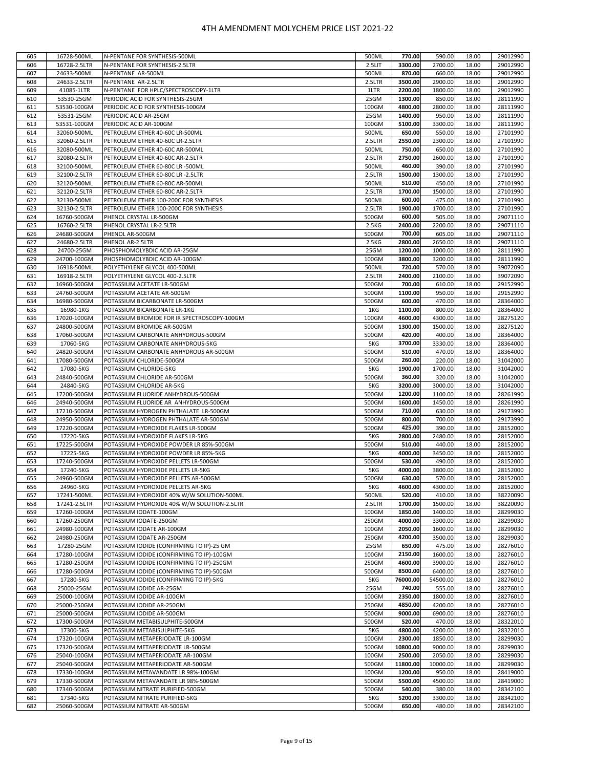| 605 | 16728-500ML  | N-PENTANE FOR SYNTHESIS-500ML               | 500ML  | 770.00   | 590.00   | 18.00 | 29012990 |
|-----|--------------|---------------------------------------------|--------|----------|----------|-------|----------|
| 606 | 16728-2.5LTR | N-PENTANE FOR SYNTHESIS-2.5LTR              | 2.5LIT | 3300.00  | 2700.00  | 18.00 | 29012990 |
| 607 | 24633-500ML  | N-PENTANE AR-500ML                          | 500ML  | 870.00   | 660.00   | 18.00 | 29012990 |
| 608 | 24633-2.5LTR | N-PENTANE AR-2.5LTR                         | 2.5LTR | 3500.00  | 2900.00  | 18.00 | 29012990 |
|     |              |                                             |        |          |          |       |          |
| 609 | 41085-1LTR   | N-PENTANE FOR HPLC/SPECTROSCOPY-1LTR        | 1LTR   | 2200.00  | 1800.00  | 18.00 | 29012990 |
| 610 | 53530-25GM   | PERIODIC ACID FOR SYNTHESIS-25GM            | 25GM   | 1300.00  | 850.00   | 18.00 | 28111990 |
| 611 | 53530-100GM  | PERIODIC ACID FOR SYNTHESIS-100GM           | 100GM  | 4800.00  | 2800.00  | 18.00 | 28111990 |
|     | 53531-25GM   |                                             |        |          |          |       |          |
| 612 |              | PERIODIC ACID AR-25GM                       | 25GM   | 1400.00  | 950.00   | 18.00 | 28111990 |
| 613 | 53531-100GM  | PERIODIC ACID AR-100GM                      | 100GM  | 5100.00  | 3300.00  | 18.00 | 28111990 |
| 614 | 32060-500ML  | PETROLEUM ETHER 40-60C LR-500ML             | 500ML  | 650.00   | 550.00   | 18.00 | 27101990 |
| 615 | 32060-2.5LTR |                                             | 2.5LTR | 2550.00  | 2300.00  | 18.00 | 27101990 |
|     |              | PETROLEUM ETHER 40-60C LR-2.5LTR            |        |          |          |       |          |
| 616 | 32080-500ML  | PETROLEUM ETHER 40-60C AR-500ML             | 500ML  | 750.00   | 650.00   | 18.00 | 27101990 |
| 617 | 32080-2.5LTR | PETROLEUM ETHER 40-60C AR-2.5LTR            | 2.5LTR | 2750.00  | 2600.00  | 18.00 | 27101990 |
| 618 | 32100-500ML  | PETROLEUM ETHER 60-80C LR -500ML            | 500ML  | 460.00   | 390.00   | 18.00 | 27101990 |
|     |              |                                             |        |          |          |       |          |
| 619 | 32100-2.5LTR | PETROLEUM ETHER 60-80C LR -2.5LTR           | 2.5LTR | 1500.00  | 1300.00  | 18.00 | 27101990 |
| 620 | 32120-500ML  | PETROLEUM ETHER 60-80C AR-500ML             | 500ML  | 510.00   | 450.00   | 18.00 | 27101990 |
| 621 | 32120-2.5LTR | PETROLEUM ETHER 60-80C AR-2.5LTR            | 2.5LTR | 1700.00  | 1500.00  | 18.00 | 27101990 |
|     |              |                                             |        |          |          |       |          |
| 622 | 32130-500ML  | PETROLEUM ETHER 100-200C FOR SYNTHESIS      | 500ML  | 600.00   | 475.00   | 18.00 | 27101990 |
| 623 | 32130-2.5LTR | PETROLEUM ETHER 100-200C FOR SYNTHESIS      | 2.5LTR | 1900.00  | 1700.00  | 18.00 | 27101990 |
| 624 | 16760-500GM  | PHENOL CRYSTAL LR-500GM                     | 500GM  | 600.00   | 505.00   | 18.00 | 29071110 |
|     |              |                                             |        |          |          |       |          |
| 625 | 16760-2.5LTR | PHENOL CRYSTAL LR-2.5LTR                    | 2.5KG  | 2400.00  | 2200.00  | 18.00 | 29071110 |
| 626 | 24680-500GM  | PHENOL AR-500GM                             | 500GM  | 700.00   | 605.00   | 18.00 | 29071110 |
| 627 | 24680-2.5LTR | PHENOL AR-2.5LTR                            | 2.5KG  | 2800.00  | 2650.00  | 18.00 | 29071110 |
|     | 24700-25GM   |                                             |        | 1200.00  | 1000.00  |       |          |
| 628 |              | PHOSPHOMOLYBDIC ACID AR-25GM                | 25GM   |          |          | 18.00 | 28111990 |
| 629 | 24700-100GM  | PHOSPHOMOLYBDIC ACID AR-100GM               | 100GM  | 3800.00  | 3200.00  | 18.00 | 28111990 |
| 630 | 16918-500ML  | POLYETHYLENE GLYCOL 400-500ML               | 500ML  | 720.00   | 570.00   | 18.00 | 39072090 |
| 631 | 16918-2.5LTR | POLYETHYLENE GLYCOL 400-2.5LTR              | 2.5LTR | 2400.00  | 2100.00  | 18.00 | 39072090 |
|     |              |                                             |        |          |          |       |          |
| 632 | 16960-500GM  | POTASSIUM ACETATE LR-500GM                  | 500GM  | 700.00   | 610.00   | 18.00 | 29152990 |
| 633 | 24760-500GM  | POTASSIUM ACETATE AR-500GM                  | 500GM  | 1100.00  | 950.00   | 18.00 | 29152990 |
| 634 | 16980-500GM  | POTASSIUM BICARBONATE LR-500GM              | 500GM  | 600.00   | 470.00   | 18.00 | 28364000 |
|     |              |                                             |        |          |          |       |          |
| 635 | 16980-1KG    | POTASSIUM BICARBONATE LR-1KG                | 1KG    | 1100.00  | 800.00   | 18.00 | 28364000 |
| 636 | 17020-100GM  | POTASSIUM BROMIDE FOR IR SPECTROSCOPY-100GM | 100GM  | 4600.00  | 4300.00  | 18.00 | 28275120 |
| 637 | 24800-500GM  | POTASSIUM BROMIDE AR-500GM                  | 500GM  | 1300.00  | 1500.00  | 18.00 | 28275120 |
|     |              |                                             |        |          |          |       |          |
| 638 | 17060-500GM  | POTASSIUM CARBONATE ANHYDROUS-500GM         | 500GM  | 420.00   | 400.00   | 18.00 | 28364000 |
| 639 | 17060-5KG    | POTASSIUM CARBONATE ANHYDROUS-5KG           | 5KG    | 3700.00  | 3330.00  | 18.00 | 28364000 |
| 640 | 24820-500GM  | POTASSIUM CARBONATE ANHYDROUS AR-500GM      | 500GM  | 510.00   | 470.00   | 18.00 | 28364000 |
|     |              |                                             | 500GM  | 260.00   | 220.00   |       |          |
| 641 | 17080-500GM  | POTASSIUM CHLORIDE-500GM                    |        |          |          | 18.00 | 31042000 |
| 642 | 17080-5KG    | POTASSIUM CHLORIDE-5KG                      | 5KG    | 1900.00  | 1700.00  | 18.00 | 31042000 |
| 643 | 24840-500GM  | POTASSIUM CHLORIDE AR-500GM                 | 500GM  | 360.00   | 320.00   | 18.00 | 31042000 |
| 644 | 24840-5KG    | POTASSIUM CHLORIDE AR-5KG                   | 5KG    | 3200.00  | 3000.00  | 18.00 | 31042000 |
|     |              |                                             |        |          |          |       |          |
| 645 | 17200-500GM  | POTASSIUM FLUORIDE ANHYDROUS-500GM          | 500GM  | 1200.00  | 1100.00  | 18.00 | 28261990 |
| 646 | 24940-500GM  | POTASSIUM FLUORIDE AR ANHYDROUS-500GM       | 500GM  | 1600.00  | 1450.00  | 18.00 | 28261990 |
| 647 | 17210-500GM  | POTASSIUM HYDROGEN PHTHALATE LR-500GM       | 500GM  | 710.00   | 630.00   | 18.00 | 29173990 |
|     |              |                                             |        |          |          |       |          |
| 648 | 24950-500GM  | POTASSIUM HYDROGEN PHTHALATE AR-500GM       | 500GM  | 800.00   | 700.00   | 18.00 | 29173990 |
| 649 | 17220-500GM  | POTASSIUM HYDROXIDE FLAKES LR-500GM         | 500GM  | 425.00   | 390.00   | 18.00 | 28152000 |
| 650 | 17220-5KG    | POTASSIUM HYDROXIDE FLAKES LR-5KG           | 5KG    | 2800.00  | 2480.00  | 18.00 | 28152000 |
| 651 | 17225-500GM  | POTASSIUM HYDROXIDE POWDER LR 85%-500GM     | 500GM  | 510.00   | 440.00   | 18.00 | 28152000 |
|     |              |                                             |        |          |          |       |          |
| 652 | 17225-5KG    | POTASSIUM HYDROXIDE POWDER LR 85%-5KG       | 5KG    | 4000.00  | 3450.00  | 18.00 | 28152000 |
| 653 | 17240-500GM  | POTASSIUM HYDROXIDE PELLETS LR-500GM        | 500GM  | 530.00   | 490.00   | 18.00 | 28152000 |
| 654 | 17240-5KG    | POTASSIUM HYDROXIDE PELLETS LR-5KG          | 5KG    | 4000.00  | 3800.00  | 18.00 | 28152000 |
|     |              |                                             |        |          |          |       |          |
| 655 | 24960-500GM  | POTASSIUM HYDROXIDE PELLETS AR-500GM        | 500GM  | 630.00   | 570.00   | 18.00 | 28152000 |
| 656 | 24960-5KG    | POTASSIUM HYDROXIDE PELLETS AR-5KG          | 5KG    | 4600.00  | 4300.00  | 18.00 | 28152000 |
| 657 | 17241-500ML  | POTASSIUM HYDROXIDE 40% W/W SOLUTION-500ML  | 500ML  | 520.00   | 410.00   | 18.00 | 38220090 |
|     |              |                                             |        |          |          |       |          |
| 658 | 17241-2.5LTR | POTASSIUM HYDROXIDE 40% W/W SOLUTION-2.5LTR | 2.5LTR | 1700.00  | 1500.00  | 18.00 | 38220090 |
| 659 | 17260-100GM  | POTASSIUM IODATE-100GM                      | 100GM  | 1850.00  | 1400.00  | 18.00 | 28299030 |
| 660 | 17260-250GM  | POTASSIUM IODATE-250GM                      | 250GM  | 4000.00  | 3300.00  | 18.00 | 28299030 |
| 661 | 24980-100GM  | POTASSIUM IODATE AR-100GM                   | 100GM  | 2050.00  | 1600.00  | 18.00 | 28299030 |
|     |              |                                             |        |          |          |       |          |
| 662 | 24980-250GM  | POTASSIUM IODATE AR-250GM                   | 250GM  | 4200.00  | 3500.00  | 18.00 | 28299030 |
| 663 | 17280-25GM   | POTASSIUM IODIDE (CONFIRMING TO IP)-25 GM   | 25GM   | 650.00   | 475.00   | 18.00 | 28276010 |
| 664 | 17280-100GM  | POTASSIUM IODIDE (CONFIRMING TO IP)-100GM   | 100GM  | 2150.00  | 1600.00  | 18.00 | 28276010 |
|     | 17280-250GM  |                                             |        | 4600.00  |          |       |          |
| 665 |              | POTASSIUM IODIDE (CONFIRMING TO IP)-250GM   | 250GM  |          | 3900.00  | 18.00 | 28276010 |
| 666 | 17280-500GM  | POTASSIUM IODIDE (CONFIRMING TO IP)-500GM   | 500GM  | 8500.00  | 6400.00  | 18.00 | 28276010 |
| 667 | 17280-5KG    | POTASSIUM IODIDE (CONFIRMING TO IP)-5KG     | 5KG    | 76000.00 | 54500.00 | 18.00 | 28276010 |
| 668 | 25000-25GM   | POTASSIUM IODIDE AR-25GM                    | 25GM   | 740.00   | 555.00   | 18.00 | 28276010 |
|     |              |                                             |        |          |          |       |          |
| 669 | 25000-100GM  | POTASSIUM IODIDE AR-100GM                   | 100GM  | 2350.00  | 1800.00  | 18.00 | 28276010 |
| 670 | 25000-250GM  | POTASSIUM IODIDE AR-250GM                   | 250GM  | 4850.00  | 4200.00  | 18.00 | 28276010 |
| 671 | 25000-500GM  | POTASSIUM IODIDE AR-500GM                   | 500GM  | 9000.00  | 6900.00  | 18.00 | 28276010 |
|     |              |                                             |        |          |          |       |          |
| 672 | 17300-500GM  | POTASSIUM METABISULPHITE-500GM              | 500GM  | 520.00   | 470.00   | 18.00 | 28322010 |
| 673 | 17300-5KG    | POTASSIUM METABISULPHITE-5KG                | 5KG    | 4800.00  | 4200.00  | 18.00 | 28322010 |
| 674 | 17320-100GM  | POTASSIUM METAPERIODATE LR-100GM            | 100GM  | 2300.00  | 1850.00  | 18.00 | 28299030 |
|     |              |                                             |        |          |          |       |          |
| 675 | 17320-500GM  | POTASSIUM METAPERIODATE LR-500GM            | 500GM  | 10800.00 | 9000.00  | 18.00 | 28299030 |
| 676 | 25040-100GM  | POTASSIUM METAPERIODATE AR-100GM            | 100GM  | 2500.00  | 2050.00  | 18.00 | 28299030 |
| 677 | 25040-500GM  | POTASSIUM METAPERIODATE AR-500GM            | 500GM  | 11800.00 | 10000.00 | 18.00 | 28299030 |
|     |              |                                             |        |          |          |       |          |
| 678 | 17330-100GM  | POTASSIUM METAVANDATE LR 98%-100GM          | 100GM  | 1200.00  | 950.00   | 18.00 | 28419000 |
| 679 | 17330-500GM  | POTASSIUM METAVANDATE LR 98%-500GM          | 500GM  | 5500.00  | 4500.00  | 18.00 | 28419000 |
| 680 | 17340-500GM  | POTASSIUM NITRATE PURIFIED-500GM            | 500GM  | 540.00   | 380.00   | 18.00 | 28342100 |
| 681 | 17340-5KG    | POTASSIUM NITRATE PURIFIED-5KG              | 5KG    | 5200.00  | 3300.00  | 18.00 | 28342100 |
|     |              |                                             |        |          |          |       |          |
| 682 | 25060-500GM  | POTASSIUM NITRATE AR-500GM                  | 500GM  | 650.00   | 480.00   | 18.00 | 28342100 |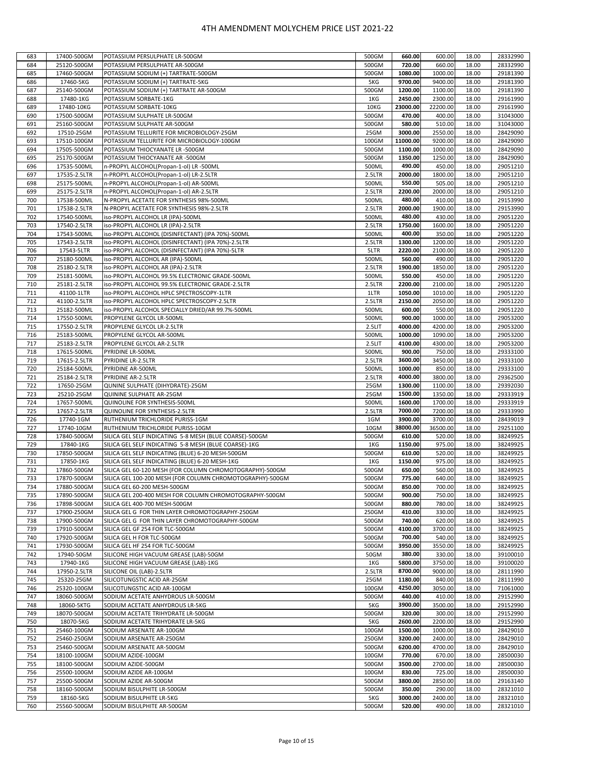| 683 | 17400-500GM  | POTASSIUM PERSULPHATE LR-500GM                            | 500GM  | 660.00   | 600.00   | 18.00 | 28332990 |
|-----|--------------|-----------------------------------------------------------|--------|----------|----------|-------|----------|
|     |              |                                                           |        |          |          |       |          |
| 684 | 25120-500GM  | POTASSIUM PERSULPHATE AR-500GM                            | 500GM  | 720.00   | 660.00   | 18.00 | 28332990 |
| 685 | 17460-500GM  | POTASSIUM SODIUM (+) TARTRATE-500GM                       | 500GM  | 1080.00  | 1000.00  | 18.00 | 29181390 |
| 686 | 17460-5KG    | POTASSIUM SODIUM (+) TARTRATE-5KG                         | 5KG    | 9700.00  | 9400.00  | 18.00 | 29181390 |
| 687 | 25140-500GM  | POTASSIUM SODIUM (+) TARTRATE AR-500GM                    | 500GM  | 1200.00  | 1100.00  | 18.00 | 29181390 |
| 688 | 17480-1KG    | POTASSIUM SORBATE-1KG                                     | 1KG    | 2450.00  | 2300.00  | 18.00 | 29161990 |
| 689 | 17480-10KG   | POTASSIUM SORBATE-10KG                                    | 10KG   | 23000.00 | 22200.00 | 18.00 | 29161990 |
| 690 | 17500-500GM  | POTASSIUM SULPHATE LR-500GM                               | 500GM  | 470.00   | 400.00   | 18.00 | 31043000 |
| 691 | 25160-500GM  | POTASSIUM SULPHATE AR-500GM                               | 500GM  | 580.00   | 510.00   | 18.00 | 31043000 |
| 692 | 17510-25GM   | POTASSIUM TELLURITE FOR MICROBIOLOGY-25GM                 | 25GM   | 3000.00  | 2550.00  | 18.00 | 28429090 |
| 693 | 17510-100GM  | POTASSIUM TELLURITE FOR MICROBIOLOGY-100GM                | 100GM  | 11000.00 | 9200.00  | 18.00 | 28429090 |
| 694 | 17505-500GM  | POTASSIUM THIOCYANATE LR -500GM                           | 500GM  |          |          |       | 28429090 |
|     |              |                                                           |        | 1100.00  | 1000.00  | 18.00 |          |
| 695 | 25170-500GM  | POTASSIUM THIOCYANATE AR -500GM                           | 500GM  | 1350.00  | 1250.00  | 18.00 | 28429090 |
| 696 | 17535-500ML  | n-PROPYL ALCOHOL(Propan-1-ol) LR -500ML                   | 500ML  | 490.00   | 450.00   | 18.00 | 29051210 |
| 697 | 17535-2.5LTR | n-PROPYL ALCOHOL(Propan-1-ol) LR-2.5LTR                   | 2.5LTR | 2000.00  | 1800.00  | 18.00 | 29051210 |
| 698 | 25175-500ML  | n-PROPYL ALCOHOL(Propan-1-ol) AR-500ML                    | 500ML  | 550.00   | 505.00   | 18.00 | 29051210 |
| 699 | 25175-2.5LTR | n-PROPYL ALCOHOL(Propan-1-ol) AR-2.5LTR                   | 2.5LTR | 2200.00  | 2000.00  | 18.00 | 29051210 |
| 700 | 17538-500ML  | N-PROPYL ACETATE FOR SYNTHESIS 98%-500ML                  | 500ML  | 480.00   | 410.00   | 18.00 | 29153990 |
| 701 | 17538-2.5LTR | N-PROPYL ACETATE FOR SYNTHESIS 98%-2.5LTR                 | 2.5LTR | 2000.00  | 1900.00  | 18.00 | 29153990 |
| 702 | 17540-500ML  | iso-PROPYL ALCOHOL LR (IPA)-500ML                         | 500ML  | 480.00   | 430.00   | 18.00 | 29051220 |
| 703 | 17540-2.5LTR | iso-PROPYL ALCOHOL LR (IPA)-2.5LTR                        | 2.5LTR | 1750.00  | 1600.00  | 18.00 | 29051220 |
| 704 | 17543-500ML  | iso-PROPYL ALCOHOL (DISINFECTANT) (IPA 70%)-500ML         | 500ML  | 400.00   | 350.00   | 18.00 | 29051220 |
| 705 | 17543-2.5LTR | iso-PROPYL ALCOHOL (DISINFECTANT) (IPA 70%)-2.5LTR        | 2.5LTR | 1300.00  | 1200.00  | 18.00 | 29051220 |
|     |              |                                                           |        | 2220.00  |          |       |          |
| 706 | 17543-5LTR   | iso-PROPYL ALCOHOL (DISINFECTANT) (IPA 70%)-5LTR          | 5LTR   |          | 2100.00  | 18.00 | 29051220 |
| 707 | 25180-500ML  | iso-PROPYL ALCOHOL AR (IPA)-500ML                         | 500ML  | 560.00   | 490.00   | 18.00 | 29051220 |
| 708 | 25180-2.5LTR | iso-PROPYL ALCOHOL AR (IPA)-2.5LTR                        | 2.5LTR | 1900.00  | 1850.00  | 18.00 | 29051220 |
| 709 | 25181-500ML  | iso-PROPYL ALCOHOL 99.5% ELECTRONIC GRADE-500ML           | 500ML  | 550.00   | 450.00   | 18.00 | 29051220 |
| 710 | 25181-2.5LTR | iso-PROPYL ALCOHOL 99.5% ELECTRONIC GRADE-2.5LTR          | 2.5LTR | 2200.00  | 2100.00  | 18.00 | 29051220 |
| 711 | 41100-1LTR   | iso-PROPYL ALCOHOL HPLC SPECTROSCOPY-1LTR                 | 1LTR   | 1050.00  | 1010.00  | 18.00 | 29051220 |
| 712 | 41100-2.5LTR | iso-PROPYL ALCOHOL HPLC SPECTROSCOPY-2.5LTR               | 2.5LTR | 2150.00  | 2050.00  | 18.00 | 29051220 |
| 713 | 25182-500ML  | iso-PROPYL ALCOHOL SPECIALLY DRIED/AR 99.7%-500ML         | 500ML  | 600.00   | 550.00   | 18.00 | 29051220 |
| 714 | 17550-500ML  | PROPYLENE GLYCOL LR-500ML                                 | 500ML  | 900.00   | 1000.00  | 18.00 | 29053200 |
| 715 | 17550-2.5LTR | PROPYLENE GLYCOL LR-2.5LTR                                | 2.5LIT | 4000.00  | 4200.00  | 18.00 | 29053200 |
| 716 | 25183-500ML  | PROPYLENE GLYCOL AR-500ML                                 | 500ML  | 1000.00  | 1090.00  | 18.00 | 29053200 |
| 717 | 25183-2.5LTR | PROPYLENE GLYCOL AR-2.5LTR                                | 2.5LIT | 4100.00  | 4300.00  | 18.00 | 29053200 |
| 718 | 17615-500ML  | PYRIDINE LR-500ML                                         | 500ML  | 900.00   | 750.00   | 18.00 | 29333100 |
| 719 |              |                                                           |        | 3600.00  | 3450.00  |       |          |
|     | 17615-2.5LTR | PYRIDINE LR-2.5LTR                                        | 2.5LTR |          |          | 18.00 | 29333100 |
| 720 | 25184-500ML  | PYRIDINE AR-500ML                                         | 500ML  | 1000.00  | 850.00   | 18.00 | 29333100 |
| 721 | 25184-2.5LTR | PYRIDINE AR-2.5LTR                                        | 2.5LTR | 4000.00  | 3800.00  | 18.00 | 29362500 |
| 722 | 17650-25GM   | QUNINE SULPHATE (DIHYDRATE)-25GM                          | 25GM   | 1300.00  | 1100.00  | 18.00 | 29392030 |
| 723 | 25210-25GM   | QUININE SULPHATE AR-25GM                                  | 25GM   | 1500.00  | 1350.00  | 18.00 | 29333919 |
| 724 | 17657-500ML  | QUINOLINE FOR SYNTHESIS-500ML                             | 500ML  | 1600.00  | 1700.00  | 18.00 | 29333919 |
| 725 | 17657-2.5LTR | QUINOLINE FOR SYNTHESIS-2.5LTR                            | 2.5LTR | 7000.00  | 7200.00  | 18.00 | 29333990 |
| 726 | 17740-1GM    | RUTHENIUM TRICHLORIDE PURISS-1GM                          | 1GM    | 3900.00  | 3700.00  | 18.00 | 28439019 |
| 727 | 17740-10GM   | RUTHENIUM TRICHLORIDE PURISS-10GM                         | 10GM   | 38000.00 | 36500.00 | 18.00 | 29251100 |
| 728 | 17840-500GM  | SILICA GEL SELF INDICATING 5-8 MESH (BLUE COARSE)-500GM   | 500GM  | 610.00   | 520.00   | 18.00 | 38249925 |
| 729 | 17840-1KG    | SILICA GEL SELF INDICATING 5-8 MESH (BLUE COARSE)-1KG     | 1KG    | 1150.00  | 975.00   | 18.00 | 38249925 |
| 730 | 17850-500GM  | SILICA GEL SELF INDICATING (BLUE) 6-20 MESH-500GM         | 500GM  | 610.00   | 520.00   | 18.00 | 38249925 |
| 731 | 17850-1KG    | SILICA GEL SELF INDICATING (BLUE) 6-20 MESH-1KG           | 1KG    | 1150.00  | 975.00   | 18.00 | 38249925 |
| 732 | 17860-500GM  | SILICA GEL 60-120 MESH (FOR COLUMN CHROMOTOGRAPHY)-500GM  | 500GM  | 650.00   | 560.00   | 18.00 | 38249925 |
| 733 |              | SILICA GEL 100-200 MESH (FOR COLUMN CHROMOTOGRAPHY)-500GM |        | 775.00   | 640.00   |       | 38249925 |
|     | 17870-500GM  |                                                           | 500GM  |          |          | 18.00 |          |
| 734 | 17880-500GM  | SILICA GEL 60-200 MESH-500GM                              | 500GM  | 850.00   | 700.00   | 18.00 | 38249925 |
| 735 | 17890-500GM  | SILICA GEL 200-400 MESH FOR COLUMN CHROMOTOGRAPHY-500GM   | 500GM  | 900.00   | 750.00   | 18.00 | 38249925 |
| 736 | 17898-500GM  | SILICA GEL 400-700 MESH-500GM                             | 500GM  | 880.00   | 780.00   | 18.00 | 38249925 |
| 737 | 17900-250GM  | SILICA GEL G FOR THIN LAYER CHROMOTOGRAPHY-250GM          | 250GM  | 410.00   | 330.00   | 18.00 | 38249925 |
| 738 | 17900-500GM  | SILICA GEL G FOR THIN LAYER CHROMOTOGRAPHY-500GM          | 500GM  | 740.00   | 620.00   | 18.00 | 38249925 |
| 739 | 17910-500GM  | SILICA GEL GF 254 FOR TLC-500GM                           | 500GM  | 4100.00  | 3700.00  | 18.00 | 38249925 |
| 740 | 17920-500GM  | SILICA GEL H FOR TLC-500GM                                | 500GM  | 700.00   | 540.00   | 18.00 | 38249925 |
| 741 | 17930-500GM  | SILICA GEL HF 254 FOR TLC-500GM                           | 500GM  | 3950.00  | 3550.00  | 18.00 | 38249925 |
| 742 | 17940-50GM   | SILICONE HIGH VACUUM GREASE (LAB)-50GM                    | 50GM   | 380.00   | 330.00   | 18.00 | 39100010 |
| 743 | 17940-1KG    | SILICONE HIGH VACUUM GREASE (LAB)-1KG                     | 1KG    | 5800.00  | 3750.00  | 18.00 | 39100020 |
| 744 | 17950-2.5LTR | SILICONE OIL (LAB)-2.5LTR                                 | 2.5LTR | 8700.00  | 9000.00  | 18.00 | 28111990 |
| 745 | 25320-25GM   | SILICOTUNGSTIC ACID AR-25GM                               | 25GM   | 1180.00  | 840.00   | 18.00 | 28111990 |
| 746 | 25320-100GM  | SILICOTUNGSTIC ACID AR-100GM                              | 100GM  | 4250.00  | 3050.00  | 18.00 | 71061000 |
| 747 | 18060-500GM  | SODIUM ACETATE ANHYDROUS LR-500GM                         | 500GM  | 440.00   | 410.00   | 18.00 | 29152990 |
| 748 | 18060-5KTG   | SODIUM ACETATE ANHYDROUS LR-5KG                           | 5KG    | 3900.00  | 3500.00  | 18.00 | 29152990 |
| 749 | 18070-500GM  | SODIUM ACETATE TRIHYDRATE LR-500GM                        | 500GM  | 320.00   | 300.00   | 18.00 | 29152990 |
| 750 | 18070-5KG    | SODIUM ACETATE TRIHYDRATE LR-5KG                          | 5KG    | 2600.00  | 2200.00  | 18.00 | 29152990 |
|     |              |                                                           |        | 1500.00  |          |       |          |
| 751 | 25460-100GM  | SODIUM ARSENATE AR-100GM                                  | 100GM  |          | 1000.00  | 18.00 | 28429010 |
| 752 | 25460-250GM  | SODIUM ARSENATE AR-250GM                                  | 250GM  | 3200.00  | 2400.00  | 18.00 | 28429010 |
| 753 | 25460-500GM  | SODIUM ARSENATE AR-500GM                                  | 500GM  | 6200.00  | 4700.00  | 18.00 | 28429010 |
| 754 | 18100-100GM  | SODIUM AZIDE-100GM                                        | 100GM  | 770.00   | 670.00   | 18.00 | 28500030 |
| 755 | 18100-500GM  | SODIUM AZIDE-500GM                                        | 500GM  | 3500.00  | 2700.00  | 18.00 | 28500030 |
| 756 | 25500-100GM  | SODIUM AZIDE AR-100GM                                     | 100GM  | 830.00   | 725.00   | 18.00 | 28500030 |
|     |              |                                                           |        |          |          |       |          |
| 757 | 25500-500GM  | SODIUM AZIDE AR-500GM                                     | 500GM  | 3800.00  | 2850.00  | 18.00 | 29163140 |
| 758 | 18160-500GM  | SODIUM BISULPHITE LR-500GM                                | 500GM  | 350.00   | 290.00   | 18.00 | 28321010 |
| 759 | 18160-5KG    | SODIUM BISULPHITE LR-5KG                                  | 5KG    | 3000.00  | 2400.00  | 18.00 | 28321010 |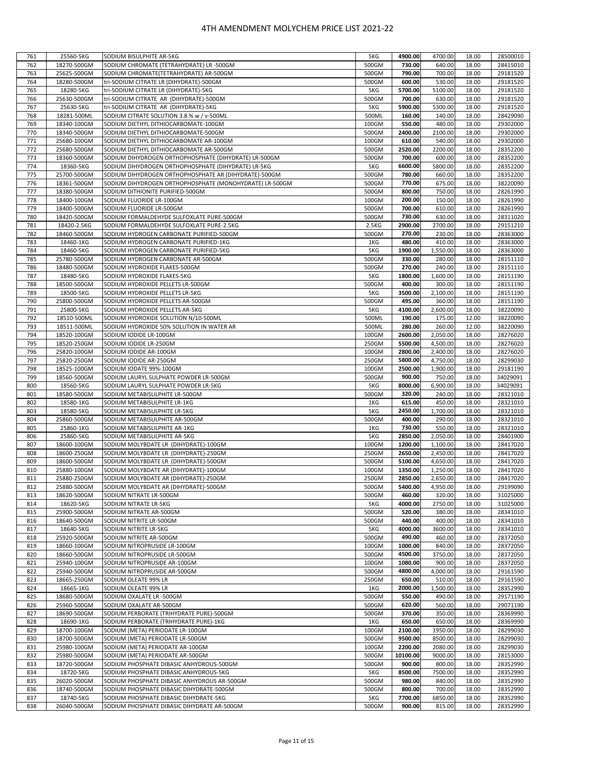| 761 | 25560-5KG   | SODIUM BISULPHITE AR-5KG                                | 5KG   | 4900.00  | 4700.00  | 18.00 | 28500010 |
|-----|-------------|---------------------------------------------------------|-------|----------|----------|-------|----------|
| 762 | 18270-500GM | SODIUM CHROMATE (TETRAHYDRATE) LR -500GM                | 500GM | 730.00   | 640.00   | 18.00 | 28415010 |
| 763 | 25625-500GM | SODIUM CHROMATE(TETRAHYDRATE) AR-500GM                  | 500GM | 790.00   | 700.00   | 18.00 | 29181520 |
|     |             |                                                         |       |          |          |       |          |
| 764 | 18280-500GM | tri-SODIUM CITRATE LR (DIHYDRATE)-500GM                 | 500GM | 600.00   | 530.00   | 18.00 | 29181520 |
| 765 | 18280-5KG   | tri-SODIUM CITRATE LR (DIHYDRATE)-5KG                   | 5KG   | 5700.00  | 5100.00  | 18.00 | 29181520 |
|     |             |                                                         |       |          |          |       |          |
| 766 | 25630-500GM | tri-SODIUM CITRATE AR (DIHYDRATE)-500GM                 | 500GM | 700.00   | 630.00   | 18.00 | 29181520 |
| 767 | 25630-5KG   | tri-SODIUM CITRATE AR (DIHYDRATE)-5KG                   | 5KG   | 5900.00  | 5300.00  | 18.00 | 29181520 |
| 768 | 18281-500ML | SODIUM CITRATE SOLUTION 3.8 % w / v-500ML               | 500ML | 160.00   | 140.00   | 18.00 | 28429090 |
|     |             |                                                         |       |          |          |       |          |
| 769 | 18340-100GM | SODIUM DIETHYL DITHIOCARBOMATE-100GM                    | 100GM | 550.00   | 480.00   | 18.00 | 29302000 |
| 770 | 18340-500GM | SODIUM DIETHYL DITHIOCARBOMATE-500GM                    | 500GM | 2400.00  | 2100.00  | 18.00 | 29302000 |
|     |             |                                                         |       |          |          |       |          |
| 771 | 25680-100GM | SODIUM DIETHYL DITHIOCARBOMATE AR-100GM                 | 100GM | 610.00   | 540.00   | 18.00 | 29302000 |
| 772 | 25680-500GM | SODIUM DIETHYL DITHIOCARBOMATE AR-500GM                 | 500GM | 2520.00  | 2200.00  | 18.00 | 28352200 |
| 773 | 18360-500GM | SODIUM DIHYDROGEN ORTHOPHOSPHATE (DIHYDRATE) LR-500GM   | 500GM | 700.00   | 600.00   | 18.00 | 28352200 |
|     |             |                                                         |       |          |          |       |          |
| 774 | 18360-5KG   | SODIUM DIHYDROGEN ORTHOPHOSPHATE (DIHYDRATE) LR-5KG     | 5KG   | 6600.00  | 5800.00  | 18.00 | 28352200 |
| 775 | 25700-500GM | SODIUM DIHYDROGEN ORTHOPHOSPHATE AR (DIHYDRATE)-500GM   | 500GM | 780.00   | 660.00   | 18.00 | 28352200 |
|     |             |                                                         |       |          |          |       |          |
| 776 | 18361-500GM | SODIUM DIHYDROGEN ORTHOPHOSPHATE (MONOHYDRATE) LR-500GM | 500GM | 770.00   | 675.00   | 18.00 | 38220090 |
| 777 | 18380-500GM | SODIUM DITHIONITE PURIFIED-500GM                        | 500GM | 800.00   | 750.00   | 18.00 | 28261990 |
| 778 | 18400-100GM | SODIUM FLUORIDE LR-100GM                                | 100GM | 200.00   | 150.00   | 18.00 | 28261990 |
|     |             |                                                         |       |          |          |       |          |
| 779 | 18400-500GM | SODIUM FLUORIDE LR-500GM                                | 500GM | 700.00   | 610.00   | 18.00 | 28261990 |
| 780 | 18420-500GM | SODIUM FORMALDEHYDE SULFOXLATE PURE-500GM               | 500GM | 730.00   | 630.00   | 18.00 | 28311020 |
|     |             |                                                         |       |          |          |       |          |
| 781 | 18420-2.5KG | SODIUM FORMALDEHYDE SULFOXLATE PURE-2.5KG               | 2.5KG | 2900.00  | 2700.00  | 18.00 | 29151210 |
| 782 | 18460-500GM | SODIUM HYDROGEN CARBONATE PURIFIED-500GM                | 500GM | 270.00   | 230.00   | 18.00 | 28363000 |
| 783 | 18460-1KG   | SODIUM HYDROGEN CARBONATE PURIFIED-1KG                  | 1KG   | 480.00   | 410.00   | 18.00 |          |
|     |             |                                                         |       |          |          |       | 28363000 |
| 784 | 18460-5KG   | SODIUM HYDROGEN CARBONATE PURIFIED-5KG                  | 5KG   | 1900.00  | 1,550.00 | 18.00 | 28363000 |
| 785 | 25780-500GM | SODIUM HYDROGEN CARBONATE AR-500GM                      | 500GM | 330.00   | 280.00   | 18.00 | 28151110 |
|     |             |                                                         |       |          |          |       |          |
| 786 | 18480-500GM | SODIUM HYDROXIDE FLAKES-500GM                           | 500GM | 270.00   | 240.00   | 18.00 | 28151110 |
| 787 | 18480-5KG   | SODIUM HYDROXIDE FLAKES-5KG                             | 5KG   | 1800.00  | 1,600.00 | 18.00 | 28151190 |
| 788 | 18500-500GM | SODIUM HYDROXIDE PELLETS LR-500GM                       | 500GM | 400.00   | 300.00   | 18.00 | 28151190 |
|     |             |                                                         |       |          |          |       |          |
| 789 | 18500-5KG   | SODIUM HYDROXIDE PELLETS LR-5KG                         | 5KG   | 3500.00  | 2.100.00 | 18.00 | 28151190 |
| 790 | 25800-500GM | SODIUM HYDROXIDE PELLETS AR-500GM                       | 500GM | 495.00   | 360.00   | 18.00 | 28151190 |
|     |             |                                                         |       |          |          |       |          |
| 791 | 25800-5KG   | SODIUM HYDROXIDE PELLETS AR-5KG                         | 5KG   | 4100.00  | 2,600.00 | 18.00 | 38220090 |
| 792 | 18510-500ML | SODIUM HYDROXIDE SOLUTION N/10-500ML                    | 500ML | 190.00   | 175.00   | 12.00 | 38220090 |
| 793 | 18511-500ML | SODIUM HYDROXIDE 50% SOLUTION IN WATER AR               | 500ML | 280.00   | 260.00   | 12.00 | 38220090 |
|     |             |                                                         |       |          |          |       |          |
| 794 | 18520-100GM | SODIUM IODIDE LR-100GM                                  | 100GM | 2600.00  | 2,050.00 | 18.00 | 28276020 |
| 795 | 18520-250GM | SODIUM IODIDE LR-250GM                                  | 250GM | 5500.00  | 4,500.00 | 18.00 | 28276020 |
|     |             |                                                         |       |          |          |       |          |
| 796 | 25820-100GM | SODIUM IODIDE AR-100GM                                  | 100GM | 2800.00  | 2,400.00 | 18.00 | 28276020 |
| 797 | 25820-250GM | SODIUM IODIDE AR-250GM                                  | 250GM | 5800.00  | 4,750.00 | 18.00 | 28299030 |
| 798 | 18525-100GM | SODIUM IODATE 99%-100GM                                 | 100GM | 2500.00  | 1,900.00 | 18.00 | 29181190 |
|     |             |                                                         |       |          |          |       |          |
| 799 | 18560-500GM | SODIUM LAURYL SULPHATE POWDER LR-500GM                  | 500GM | 900.00   | 750.00   | 18.00 | 34029091 |
| 800 | 18560-5KG   | SODIUM LAURYL SULPHATE POWDER LR-5KG                    | 5KG   | 8000.00  | 6,900.00 | 18.00 | 34029091 |
|     |             |                                                         |       |          |          |       |          |
| 801 | 18580-500GM | SODIUM METABISULPHITE LR-500GM                          | 500GM | 320.00   | 240.00   | 18.00 | 28321010 |
| 802 | 18580-1KG   | SODIUM METABISULPHITE LR-1KG                            | 1KG   | 615.00   | 450.00   | 18.00 | 28321010 |
| 803 | 18580-5KG   | SODIUM METABISULPHITE LR-5KG                            | 5KG   | 2450.00  | 1,700.00 | 18.00 | 28321010 |
|     |             |                                                         |       |          |          |       |          |
| 804 | 25860-500GM | SODIUM METABISULPHITE AR-500GM                          | 500GM | 400.00   | 290.00   | 18.00 | 28321010 |
| 805 | 25860-1KG   | SODIUM METABISULPHITE AR-1KG                            | 1KG   | 730.00   | 550.00   | 18.00 | 28321010 |
|     |             |                                                         |       |          |          |       |          |
| 806 | 25860-5KG   | SODIUM METABISULPHITE AR-5KG                            | 5KG   | 2850.00  | 2,050.00 | 18.00 | 28401900 |
| 807 | 18600-100GM | SODIUM MOLYBDATE LR (DIHYDRATE)-100GM                   | 100GM | 1200.00  | 1,100.00 | 18.00 | 28417020 |
| 808 | 18600-250GM | SODIUM MOLYBDATE LR (DIHYDRATE)-250GM                   | 250GM | 2650.00  | 2,450.00 | 18.00 | 28417020 |
|     |             |                                                         |       |          |          |       |          |
| 809 | 18600-500GM | SODIUM MOLYBDATE LR (DIHYDRATE)-500GM                   | 500GM | 5100.00  | 4,650.00 | 18.00 | 28417020 |
| 810 | 25880-100GM | SODIUM MOLYBDATE AR (DIHYDRATE)-100GM                   | 100GM | 1350.00  | 1,250.00 | 18.00 | 28417020 |
|     |             |                                                         |       |          |          |       |          |
| 811 | 25880-250GM | SODIUM MOLYBDATE AR (DIHYDRATE)-250GM                   | 250GM | 2850.00  | 2,650.00 | 18.00 | 28417020 |
| 812 | 25880-500GM | SODIUM MOLYBDATE AR (DIHYDRATE)-500GM                   | 500GM | 5400.00  | 4,950.00 | 18.00 | 29199090 |
| 813 | 18620-500GM | SODIUM NITRATE LR-500GM                                 | 500GM | 460.00   | 320.00   | 18.00 | 31025000 |
|     |             |                                                         |       |          |          |       |          |
| 814 | 18620-5KG   | SODIUM NITRATE LR-5KG                                   | 5KG   | 4000.00  | 2750.00  | 18.00 | 31025000 |
| 815 | 25900-500GM | SODIUM NITRATE AR-500GM                                 | 500GM | 520.00   | 380.00   | 18.00 | 28341010 |
| 816 | 18640-500GM | SODIUM NITRITE LR-500GM                                 | 500GM | 440.00   | 400.00   | 18.00 | 28341010 |
|     |             |                                                         |       |          |          |       |          |
| 817 | 18640-5KG   | SODIUM NITRITE LR-5KG                                   | 5KG   | 4000.00  | 3600.00  | 18.00 | 28341010 |
| 818 | 25920-500GM | SODIUM NITRITE AR-500GM                                 | 500GM | 490.00   | 460.00   | 18.00 | 28372050 |
|     | 18660-100GM |                                                         |       | 1000.00  |          |       |          |
| 819 |             | SODIUM NITROPRUSIDE LR-100GM                            | 100GM |          | 840.00   | 18.00 | 28372050 |
| 820 | 18660-500GM | SODIUM NITROPRUSIDE LR-500GM                            | 500GM | 4500.00  | 3750.00  | 18.00 | 28372050 |
| 821 | 25940-100GM | SODIUM NITROPRUSIDE AR-100GM                            | 100GM | 1080.00  | 900.00   | 18.00 | 28372050 |
|     |             |                                                         |       |          |          |       |          |
| 822 | 25940-500GM | SODIUM NITROPRUSIDE AR-500GM                            | 500GM | 4800.00  | 4,000.00 | 18.00 | 29161590 |
| 823 | 18665-250GM | SODIUM OLEATE 99% LR                                    | 250GM | 650.00   | 510.00   | 18.00 | 29161590 |
|     |             |                                                         |       | 2000.00  | 1.500.00 |       |          |
| 824 | 18665-1KG   | SODIUM OLEATE 99% LR                                    | 1KG   |          |          | 18.00 | 28352990 |
| 825 | 18680-500GM | SODIUM OXALATE LR -500GM                                | 500GM | 550.00   | 490.00   | 18.00 | 29171190 |
| 826 | 25960-500GM | SODIUM OXALATE AR-500GM                                 | 500GM | 620.00   | 560.00   | 18.00 | 29071190 |
|     |             |                                                         |       |          |          |       |          |
| 827 | 18690-500GM | SODIUM PERBORATE (TRIHYDRATE PURE)-500GM                | 500GM | 370.00   | 350.00   | 18.00 | 28369990 |
| 828 | 18690-1KG   | SODIUM PERBORATE (TRIHYDRATE PURE)-1KG                  | 1KG   | 650.00   | 650.00   | 18.00 | 28369990 |
|     |             | SODIUM (META) PERIODATE LR-100GM                        | 100GM | 2100.00  | 1950.00  |       | 28299030 |
| 829 | 18700-100GM |                                                         |       |          |          | 18.00 |          |
| 830 | 18700-500GM | SODIUM (META) PERIODATE LR-500GM                        | 500GM | 9500.00  | 8500.00  | 18.00 | 28299030 |
| 831 | 25980-100GM | SODIUM (META) PERIODATE AR-100GM                        | 100GM | 2200.00  | 2080.00  | 18.00 | 28299030 |
|     |             |                                                         |       |          |          |       |          |
| 832 | 25980-500GM | SODIUM (META) PERIODATE AR-500GM                        | 500GM | 10100.00 | 9000.00  | 18.00 | 28153000 |
| 833 | 18720-500GM | SODIUM PHOSPHATE DIBASIC ANHYDROUS-500GM                | 500GM | 900.00   | 800.00   | 18.00 | 28352990 |
|     |             |                                                         | 5KG   | 8500.00  | 7500.00  |       | 28352990 |
| 834 | 18720-5KG   | SODIUM PHOSPHATE DIBASIC ANHYDROUS-5KG                  |       |          |          | 18.00 |          |
| 835 | 26020-500GM | SODIUM PHOSPHATE DIBASIC ANHYDROUS AR-500GM             | 500GM | 980.00   | 840.00   | 18.00 | 28352990 |
| 836 | 18740-500GM | SODIUM PHOSPHATE DIBASIC DIHYDRATE-500GM                | 500GM | 800.00   | 700.00   | 18.00 | 28352990 |
|     |             |                                                         |       |          |          |       |          |
| 837 | 18740-5KG   | SODIUM PHOSPHATE DIBASIC DIHYDRATE-5KG                  | 5KG   | 7700.00  | 6850.00  | 18.00 | 28352990 |
| 838 | 26040-500GM | SODIUM PHOSPHATE DIBASIC DIHYDRATE AR-500GM             | 500GM | 900.00   | 815.00   | 18.00 | 28352990 |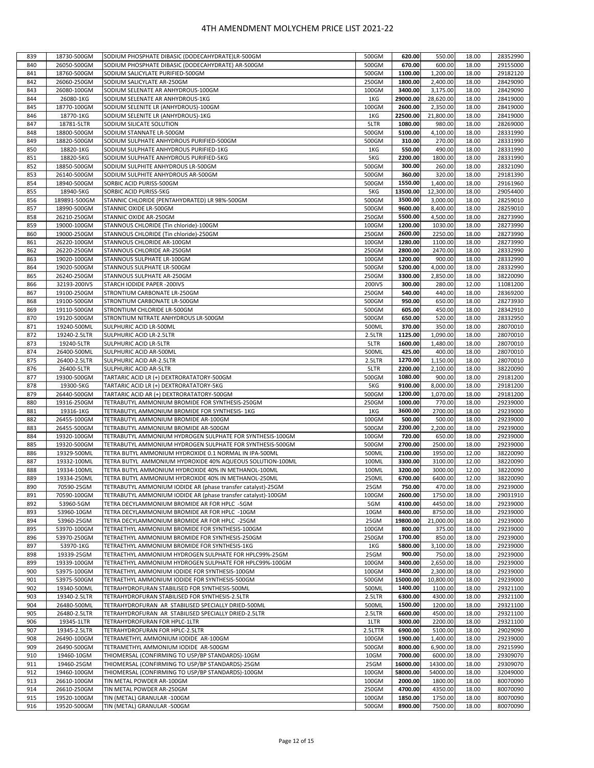| 839 | 18730-500GM  | SODIUM PHOSPHATE DIBASIC (DODECAHYDRATE)LR-500GM              | 500GM   | 620.00   | 550.00    | 18.00 | 28352990 |
|-----|--------------|---------------------------------------------------------------|---------|----------|-----------|-------|----------|
|     |              |                                                               |         |          |           |       |          |
| 840 | 26050-500GM  | SODIUM PHOSPHATE DIBASIC (DODECAHYDRATE) AR-500GM             | 500GM   | 670.00   | 600.00    | 18.00 | 29155000 |
| 841 | 18760-500GM  | SODIUM SALICYLATE PURIFIED-500GM                              | 500GM   | 1100.00  | 1,200.00  | 18.00 | 29182120 |
| 842 | 26060-250GM  | SODIUM SALICYLATE AR-250GM                                    | 250GM   | 1800.00  | 2,400.00  | 18.00 | 28429090 |
| 843 | 26080-100GM  | SODIUM SELENATE AR ANHYDROUS-100GM                            | 100GM   | 3400.00  | 3,175.00  | 18.00 | 28429090 |
| 844 | 26080-1KG    | SODIUM SELENATE AR ANHYDROUS-1KG                              | 1KG     | 29000.00 | 28,620.00 | 18.00 | 28419000 |
| 845 | 18770-100GM  | SODIUM SELENITE LR (ANHYDROUS)-100GM                          | 100GM   | 2600.00  | 2,350.00  | 18.00 | 28419000 |
| 846 | 18770-1KG    | SODIUM SELENITE LR (ANHYDROUS)-1KG                            | 1KG     | 22500.00 | 21,800.00 | 18.00 | 28419000 |
| 847 | 18781-5LTR   | SODIUM SILICATE SOLUTION                                      | 5LTR    | 1080.00  | 980.00    | 18.00 | 28269000 |
| 848 | 18800-500GM  | SODIUM STANNATE LR-500GM                                      | 500GM   | 5100.00  | 4,100.00  | 18.00 | 28331990 |
| 849 | 18820-500GM  | SODIUM SULPHATE ANHYDROUS PURIFIED-500GM                      | 500GM   | 310.00   | 270.00    | 18.00 | 28331990 |
|     |              |                                                               |         |          | 490.00    |       |          |
| 850 | 18820-1KG    | SODIUM SULPHATE ANHYDROUS PURIFIED-1KG                        | 1KG     | 550.00   |           | 18.00 | 28331990 |
| 851 | 18820-5KG    | SODIUM SULPHATE ANHYDROUS PURIFIED-5KG                        | 5KG     | 2200.00  | 1800.00   | 18.00 | 28331990 |
| 852 | 18850-500GM  | SODIUM SULPHITE ANHYDROUS LR-500GM                            | 500GM   | 300.00   | 260.00    | 18.00 | 28321090 |
| 853 | 26140-500GM  | SODIUM SULPHITE ANHYDROUS AR-500GM                            | 500GM   | 360.00   | 320.00    | 18.00 | 29181390 |
| 854 | 18940-500GM  | SORBIC ACID PURISS-500GM                                      | 500GM   | 1550.00  | 1,400.00  | 18.00 | 29161960 |
| 855 | 18940-5KG    | SORBIC ACID PURISS-5KG                                        | 5KG     | 13500.00 | 12,300.00 | 18.00 | 29054400 |
| 856 | 189891-500GM | STANNIC CHLORIDE (PENTAHYDRATED) LR 98%-500GM                 | 500GM   | 3500.00  | 3,000.00  | 18.00 | 28259010 |
| 857 | 18990-500GM  | STANNIC OXIDE LR-500GM                                        | 500GM   | 9600.00  | 8,400.00  | 18.00 | 28259010 |
| 858 | 26210-250GM  | STANNIC OXIDE AR-250GM                                        | 250GM   | 5500.00  | 4,500.00  | 18.00 | 28273990 |
| 859 | 19000-100GM  | STANNOUS CHLORIDE (Tin chloride)-100GM                        | 100GM   | 1200.00  | 1030.00   | 18.00 | 28273990 |
| 860 | 19000-250GM  | STANNOUS CHLORIDE (Tin chloride)-250GM                        | 250GM   | 2600.00  | 2250.00   | 18.00 | 28273990 |
| 861 | 26220-100GM  | STANNOUS CHLORIDE AR-100GM                                    | 100GM   | 1280.00  | 1100.00   | 18.00 | 28273990 |
| 862 | 26220-250GM  | STANNOUS CHLORIDE AR-250GM                                    | 250GM   | 2800.00  | 2470.00   | 18.00 | 28332990 |
| 863 | 19020-100GM  | STANNOUS SULPHATE LR-100GM                                    | 100GM   | 1200.00  | 900.00    | 18.00 | 28332990 |
| 864 | 19020-500GM  | STANNOUS SULPHATE LR-500GM                                    | 500GM   | 5200.00  | 4,000.00  | 18.00 | 28332990 |
| 865 | 26240-250GM  | STANNOUS SULPHATE AR-250GM                                    | 250GM   | 3300.00  | 2,850.00  | 18.00 | 38220090 |
|     |              |                                                               |         |          |           |       |          |
| 866 | 32193-200IVS | STARCH IODIDE PAPER -200IVS                                   | 200IVS  | 300.00   | 280.00    | 12.00 | 11081200 |
| 867 | 19100-250GM  | STRONTIUM CARBONATE LR-250GM                                  | 250GM   | 540.00   | 440.00    | 18.00 | 28369200 |
| 868 | 19100-500GM  | STRONTIUM CARBONATE LR-500GM                                  | 500GM   | 950.00   | 650.00    | 18.00 | 28273930 |
| 869 | 19110-500GM  | STRONTIUM CHLORIDE LR-500GM                                   | 500GM   | 605.00   | 450.00    | 18.00 | 28342910 |
| 870 | 19120-500GM  | STRONTIUM NITRATE ANHYDROUS LR-500GM                          | 500GM   | 650.00   | 520.00    | 18.00 | 28332950 |
| 871 | 19240-500ML  | SULPHURIC ACID LR-500ML                                       | 500ML   | 370.00   | 350.00    | 18.00 | 28070010 |
| 872 | 19240-2.5LTR | SULPHURIC ACID LR-2.5LTR                                      | 2.5LTR  | 1125.00  | 1,090.00  | 18.00 | 28070010 |
| 873 | 19240-5LTR   | SULPHURIC ACID LR-5LTR                                        | 5LTR    | 1600.00  | 1,480.00  | 18.00 | 28070010 |
| 874 | 26400-500ML  | SULPHURIC ACID AR-500ML                                       | 500ML   | 425.00   | 400.00    | 18.00 | 28070010 |
| 875 | 26400-2.5LTR | SULPHURIC ACID AR-2.5LTR                                      | 2.5LTR  | 1270.00  | 1,150.00  | 18.00 | 28070010 |
| 876 | 26400-5LTR   | SULPHURIC ACID AR-5LTR                                        | 5LTR    | 2200.00  | 2,100.00  | 18.00 | 38220090 |
| 877 | 19300-500GM  | TARTARIC ACID LR (+) DEXTRORATATORY-500GM                     | 500GM   | 1080.00  | 900.00    | 18.00 | 29181200 |
| 878 | 19300-5KG    | TARTARIC ACID LR (+) DEXTRORATATORY-5KG                       | 5KG     | 9100.00  | 8,000.00  | 18.00 | 29181200 |
| 879 | 26440-500GM  | TARTARIC ACID AR (+) DEXTRORATATORY-500GM                     | 500GM   | 1200.00  | 1,070.00  | 18.00 | 29181200 |
| 880 | 19316-250GM  | TETRABUTYL AMMONIUM BROMIDE FOR SYNTHESIS-250GM               | 250GM   | 1000.00  | 770.00    | 18.00 | 29239000 |
| 881 | 19316-1KG    | TETRABUTYL AMMONIUM BROMIDE FOR SYNTHESIS- 1KG                | 1KG     | 3600.00  | 2700.00   | 18.00 | 29239000 |
|     |              |                                                               |         |          |           |       |          |
| 882 | 26455-100GM  | TETRABUTYL AMMONIUM BROMIDE AR-100GM                          | 100GM   | 500.00   | 500.00    | 18.00 | 29239000 |
| 883 | 26455-500GM  | TETRABUTYL AMMONIUM BROMIDE AR-500GM                          | 500GM   | 2200.00  | 2,200.00  | 18.00 | 29239000 |
| 884 | 19320-100GM  | TETRABUTYL AMMONIUM HYDROGEN SULPHATE FOR SYNTHESIS-100GM     | 100GM   | 720.00   | 650.00    | 18.00 | 29239000 |
| 885 | 19320-500GM  | TETRABUTYL AMMONIUM HYDROGEN SULPHATE FOR SYNTHESIS-500GM     | 500GM   | 2700.00  | 2500.00   | 18.00 | 29239000 |
| 886 | 19329-500ML  | TETRA BUTYL AMMONIUM HYDROXIDE 0.1 NORMAL IN IPA-500ML        | 500ML   | 2100.00  | 1950.00   | 12.00 | 38220090 |
| 887 | 19332-100ML  | TETRA BUTYL AMMONIUM HYDROXIDE 40% AQUEOUS SOLUTION-100ML     | 100ML   | 3300.00  | 3100.00   | 12.00 | 38220090 |
| 888 | 19334-100ML  | TETRA BUTYL AMMONIUM HYDROXIDE 40% IN METHANOL-100ML          | 100ML   | 3200.00  | 3000.00   | 12.00 | 38220090 |
| 889 | 19334-250ML  | TETRA BUTYL AMMONIUM HYDROXIDE 40% IN METHANOL-250ML          | 250ML   | 6700.00  | 6400.00   | 12.00 | 38220090 |
| 890 | 70590-25GM   | TETRABUTYL AMMONIUM IODIDE AR (phase transfer catalyst)-25GM  | 25GM    | 750.00   | 470.00    | 18.00 | 29239000 |
| 891 | 70590-100GM  | TETRABUTYL AMMONIUM IODIDE AR (phase transfer catalyst)-100GM | 100GM   | 2600.00  | 1750.00   | 18.00 | 29031910 |
| 892 | 53960-5GM    | TETRA DECYLAMMONIUM BROMIDE AR FOR HPLC -5GM                  | 5GM     | 4100.00  | 4450.00   | 18.00 | 29239000 |
| 893 | 53960-10GM   | TETRA DECYLAMMONIUM BROMIDE AR FOR HPLC -10GM                 | 10GM    | 8400.00  | 8750.00   | 18.00 | 29239000 |
| 894 | 53960-25GM   | TETRA DECYLAMMONIUM BROMIDE AR FOR HPLC -25GM                 | 25GM    | 19800.00 | 21,000.00 | 18.00 | 29239000 |
| 895 | 53970-100GM  | TETRAETHYL AMMONIUM BROMIDE FOR SYNTHESIS-100GM               | 100GM   | 800.00   | 375.00    | 18.00 | 29239000 |
| 896 | 53970-250GM  | TETRAETHYL AMMONIUM BROMIDE FOR SYNTHESIS-250GM               | 250GM   | 1700.00  | 850.00    | 18.00 | 29239000 |
| 897 | 53970-1KG    | TETRAETHYL AMMONIUM BROMIDE FOR SYNTHESIS-1KG                 | 1KG     | 5800.00  | 3,100.00  | 18.00 | 29239000 |
| 898 | 19339-25GM   | TETRAETHYL AMMONIUM HYDROGEN SULPHATE FOR HPLC99%-25GM        | 25GM    | 900.00   | 750.00    | 18.00 | 29239000 |
|     |              |                                                               |         |          |           |       |          |
| 899 | 19339-100GM  | TETRAETHYL AMMONIUM HYDROGEN SULPHATE FOR HPLC99%-100GM       | 100GM   | 3400.00  | 2,650.00  | 18.00 | 29239000 |
| 900 | 53975-100GM  | TETRAETHYL AMMONIUM IODIDE FOR SYNTHESIS-100GM                | 100GM   | 3400.00  | 2,300.00  | 18.00 | 29239000 |
| 901 | 53975-500GM  | TETRAETHYL AMMONIUM IODIDE FOR SYNTHESIS-500GM                | 500GM   | 15000.00 | 10,800.00 | 18.00 | 29239000 |
| 902 | 19340-500ML  | TETRAHYDROFURAN STABILISED FOR SYNTHESIS-500ML                | 500ML   | 1400.00  | 1100.00   | 18.00 | 29321100 |
| 903 | 19340-2.5LTR | TETRAHYDROFURAN STABILISED FOR SYNTHESIS-2.5LTR               | 2.5LTR  | 6300.00  | 4300.00   | 18.00 | 29321100 |
| 904 | 26480-500ML  | TETRAHYDROFURAN AR STABILISED SPECIALLY DRIED-500ML           | 500ML   | 1500.00  | 1200.00   | 18.00 | 29321100 |
| 905 | 26480-2.5LTR | TETRAHYDROFURAN AR STABILISED SPECIALLY DRIED-2.5LTR          | 2.5LTR  | 6600.00  | 4500.00   | 18.00 | 29321100 |
| 906 | 19345-1LTR   | TETRAHYDROFURAN FOR HPLC-1LTR                                 | 1LTR    | 3000.00  | 2200.00   | 18.00 | 29321100 |
| 907 | 19345-2.5LTR | TETRAHYDROFURAN FOR HPLC-2.5LTR                               | 2.5LTTR | 6900.00  | 5100.00   | 18.00 | 29029090 |
| 908 | 26490-100GM  | TETRAMETHYL AMMONIUM IODIDE AR-100GM                          | 100GM   | 1900.00  | 1,400.00  | 18.00 | 29239000 |
| 909 | 26490-500GM  | TETRAMETHYL AMMONIUM IODIDE AR-500GM                          | 500GM   | 8000.00  | 6,900.00  | 18.00 | 29215990 |
| 910 | 19460-10GM   | THIOMERSAL (CONFIRMING TO USP/BP STANDARDS)-10GM              | 10GM    | 7000.00  | 6000.00   | 18.00 | 29309070 |
| 911 | 19460-25GM   | THIOMERSAL (CONFIRMING TO USP/BP STANDARDS)-25GM              | 25GM    | 16000.00 | 14300.00  | 18.00 | 29309070 |
| 912 | 19460-100GM  | THIOMERSAL (CONFIRMING TO USP/BP STANDARDS)-100GM             | 100GM   | 58000.00 | 54000.00  | 18.00 | 32049000 |
| 913 | 26610-100GM  | TIN METAL POWDER AR-100GM                                     | 100GM   | 2000.00  | 1800.00   | 18.00 | 80070090 |
| 914 | 26610-250GM  | TIN METAL POWDER AR-250GM                                     | 250GM   | 4700.00  | 4350.00   | 18.00 | 80070090 |
| 915 | 19520-100GM  | TIN (METAL) GRANULAR -100GM                                   | 100GM   | 1850.00  | 1750.00   | 18.00 | 80070090 |
| 916 | 19520-500GM  | TIN (METAL) GRANULAR -500GM                                   | 500GM   | 8900.00  | 7500.00   | 18.00 | 80070090 |
|     |              |                                                               |         |          |           |       |          |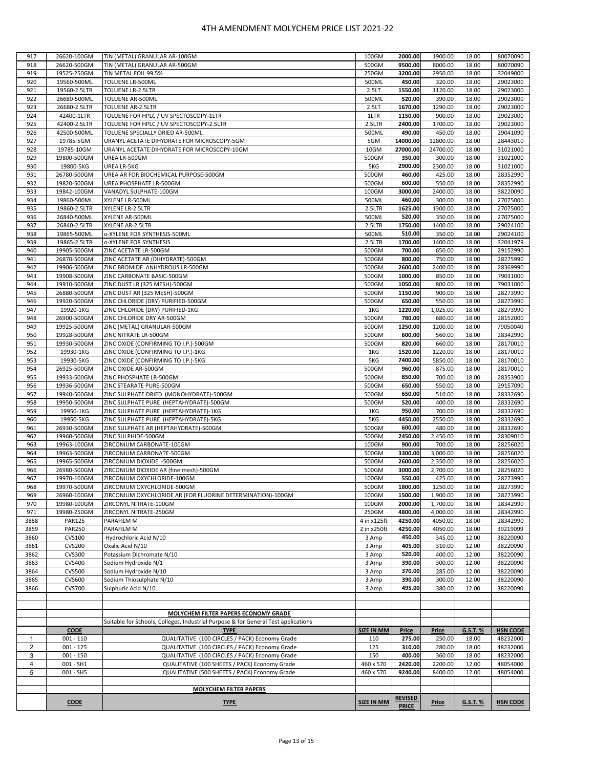| 917                     | 26620-100GM                    | TIN (METAL) GRANULAR AR-100GM                                                      | 100GM                | 2000.00            | 1900.00           | 18.00          | 80070090             |
|-------------------------|--------------------------------|------------------------------------------------------------------------------------|----------------------|--------------------|-------------------|----------------|----------------------|
| 918                     | 26620-500GM                    | TIN (METAL) GRANULAR AR-500GM                                                      | 500GM                | 9500.00            | 8000.00           | 18.00          | 80070090             |
| 919                     | 19525-250GM                    | TIN METAL FOIL 99.5%                                                               | 250GM                | 3200.00            | 2950.00           | 18.00          | 32049000             |
| 920                     | 19560-500ML                    | TOLUENE LR-500ML                                                                   | 500ML                | 450.00             | 320.00            | 18.00          | 29023000             |
| 921                     | 19560-2.5LTR                   | TOLUENE LR-2.5LTR                                                                  | 2.5LT                | 1550.00            | 1120.00           | 18.00          | 29023000             |
| 922                     | 26680-500ML                    | TOLUENE AR-500ML                                                                   | 500ML                | 520.00             | 390.00            | 18.00          | 29023000             |
| 923                     | 26680-2.5LTR                   | TOLUENE AR-2.5LTR                                                                  | 2.5LT                | 1670.00            | 1290.00           | 18.00          | 29023000             |
| 924                     | 42400-1LTR                     | TOLUENE FOR HPLC / UV SPECTOSCOPY-1LTR                                             | 1LTR                 | 1150.00            | 900.00            | 18.00          | 29023000             |
| 925                     | 42400-2.5LTR                   | TOLUENE FOR HPLC / UV SPECTOSCOPY-2.5LTR                                           | 2.5LTR               | 2400.00            | 1700.00           | 18.00          | 29023000             |
| 926                     | 42500-500ML                    | TOLUENE SPECIALLY DRIED AR-500ML                                                   | 500ML                | 490.00             | 450.00            | 18.00          | 29041090             |
| 927                     | 19785-5GM                      | URANYL ACETATE DIHYDRATE FOR MICROSCOPY-5GM                                        | 5GM                  | 14000.00           | 12800.00          | 18.00          | 28443010             |
| 928                     | 19785-10GM                     | URANYL ACETATE DIHYDRATE FOR MICROSCOPY-10GM                                       | 10GM                 | 27000.00           | 24700.00          | 18.00          | 31021000             |
| 929                     | 19800-500GM                    | UREA LR-500GM                                                                      | 500GM                | 350.00             | 300.00            | 18.00          | 31021000             |
| 930                     | 19800-5KG                      | UREA LR-5KG                                                                        | 5KG                  | 2900.00            | 2300.00           | 18.00          | 31021000             |
| 931                     | 26780-500GM                    | UREA AR FOR BIOCHEMICAL PURPOSE-500GM                                              | 500GM                | 460.00             | 425.00            | 18.00          | 28352990             |
| 932                     | 19820-500GM                    | UREA PHOSPHATE LR-500GM                                                            | 500GM                | 600.00             | 550.00            | 18.00          | 28352990             |
| 933                     | 19842-100GM                    | VANADYL SULPHATE-100GM                                                             | 100GM                | 3000.00            | 2400.00           | 18.00          | 38220090             |
| 934                     | 19860-500ML                    | XYLENE LR-500ML                                                                    | 500ML                | 460.00             | 300.00            | 18.00          | 27075000             |
| 935                     | 19860-2.5LTR                   | XYLENE LR-2.5LTR                                                                   | 2.5LTR               | 1625.00            | 1300.00           | 18.00          | 27075000             |
| 936                     | 26840-500ML                    | XYLENE AR-500ML                                                                    | 500ML                | 520.00             | 350.00            | 18.00          | 27075000             |
| 937                     | 26840-2.5LTR                   | XYLENE AR-2.5LTR                                                                   | 2.5LTR               | 1750.00            | 1400.00           | 18.00          | 29024100             |
| 938                     | 19865-500ML                    | o-XYLENE FOR SYNTHESIS-500ML                                                       | 500ML                | 510.00             | 350.00            | 18.00          | 29024100             |
| 939                     | 19865-2.5LTR                   | o-XYLENE FOR SYNTHESIS                                                             | 2.5LTR<br>500GM      | 1700.00            | 1400.00           | 18.00          | 32041979             |
| 940                     | 19905-500GM                    | ZINC ACETATE LR-500GM                                                              |                      | 700.00<br>800.00   | 650.00            | 18.00          | 29152990             |
| 941                     | 26870-500GM                    | ZINC ACETATE AR (DIHYDRATE)-500GM                                                  | 500GM                |                    | 750.00            | 18.00          | 28275990             |
| 942<br>943              | 19906-500GM<br>19908-500GM     | ZINC BROMIDE ANHYDROUS LR-500GM<br>ZINC CARBONATE BASIC-500GM                      | 500GM<br>500GM       | 2600.00<br>1000.00 | 2400.00<br>850.00 | 18.00<br>18.00 | 28369990<br>79031000 |
| 944                     | 19910-500GM                    | ZINC DUST LR (325 MESH)-500GM                                                      | 500GM                | 1050.00            | 800.00            | 18.00          | 79031000             |
| 945                     | 26880-500GM                    | ZINC DUST AR (325 MESH)-500GM                                                      | 500GM                | 1150.00            | 900.00            | 18.00          | 28273990             |
| 946                     | 19920-500GM                    | ZINC CHLORIDE (DRY) PURIFIED-500GM                                                 | 500GM                | 650.00             | 550.00            | 18.00          | 28273990             |
| 947                     | 19920-1KG                      | ZINC CHLORIDE (DRY) PURIFIED-1KG                                                   | 1KG                  | 1220.00            | 1,025.00          | 18.00          | 28273990             |
| 948                     | 26900-500GM                    | ZINC CHLORIDE DRY AR-500GM                                                         | 500GM                | 780.00             | 680.00            | 18.00          | 28152000             |
| 949                     | 19925-500GM                    | ZINC (METAL) GRANULAR-500GM                                                        | 500GM                | 1250.00            | 1200.00           | 18.00          | 79050040             |
| 950                     | 19928-500GM                    | ZINC NITRATE LR-500GM                                                              | 500GM                | 600.00             | 560.00            | 18.00          | 28342990             |
| 951                     | 19930-500GM                    | ZINC OXIDE (CONFIRMING TO I.P.)-500GM                                              | 500GM                | 820.00             | 660.00            | 18.00          | 28170010             |
| 952                     | 19930-1KG                      | ZINC OXIDE (CONFIRMING TO I.P.)-1KG                                                | 1KG                  | 1520.00            | 1220.00           | 18.00          | 28170010             |
| 953                     | 19930-5KG                      | ZINC OXIDE (CONFIRMING TO I.P.)-5KG                                                | 5 <sub>KG</sub>      | 7400.00            | 5850.00           | 18.00          | 28170010             |
| 954                     | 26925-500GM                    | ZINC OXIDE AR-500GM                                                                | 500GM                | 960.00             | 875.00            | 18.00          | 28170010             |
| 955                     | 19933-500GM                    | ZINC PHOSPHATE LR-500GM                                                            | 500GM                | 850.00             | 700.00            | 18.00          | 28353900             |
| 956                     | 19936-500GM                    | ZINC STEARATE PURE-500GM                                                           | 500GM                | 650.00             | 550.00            | 18.00          | 29157090             |
| 957                     | 19940-500GM                    | ZINC SULPHATE DRIED (MONOHYDRATE)-500GM                                            | 500GM                | 650.00             | 510.00            | 18.00          | 28332690             |
| 958                     | 19950-500GM                    | ZINC SULPHATE PURE (HEPTAHYDRATE)-500GM                                            | 500GM                | 520.00             | 400.00            | 18.00          | 28332690             |
| 959                     | 19950-1KG                      | ZINC SULPHATE PURE (HEPTAHYDRATE)-1KG                                              | 1KG                  | 950.00             | 700.00            | 18.00          | 28332690             |
| 960                     | 19950-5KG                      | ZINC SULPHATE PURE (HEPTAHYDRATE)-5KG                                              | 5KG                  | 4450.00            | 2550.00           | 18.00          | 28332690             |
| 961                     | 26930-500GM                    | ZINC SULPHATE AR (HEPTAHYDRATE)-500GM                                              | 500GM                | 600.00             | 480.00            | 18.00          | 28332690             |
| 962                     | 19960-500GM                    | ZINC SULPHIDE-500GM                                                                | 500GM                | 2450.00            | 2,450.00          | 18.00          | 28309010             |
| 963                     | 19963-100GM                    | ZIRCONIUM CARBONATE-100GM                                                          | 100GM                | 900.00             | 700.00            | 18.00          | 28256020             |
| 964                     | 19963-500GM                    | ZIRCONIUM CARBONATE-500GM                                                          | 500GM                | 3300.00            | 3,000.00          | 18.00          | 28256020             |
| 965                     | 19965-500GM                    | ZIRCONIUM DIOXIDE -500GM                                                           | 500GM                | 2600.00            | 2,350.00          | 18.00          | 28256020             |
| 966                     | 26980-500GM                    | ZIRCONIUM DIOXIDE AR (fine mesh)-500GM                                             | 500GM                | 3000.00            | 2,700.00          | 18.00          | 28256020             |
| 967                     | 19970-100GM                    | ZIRCONIUM OXYCHLORIDE-100GM                                                        | 100GM                | 550.00             | 425.00            | 18.00          | 28273990             |
| 968                     | 19970-500GM                    | ZIRCONIUM OXYCHLORIDE-500GM                                                        | 500GM                | 1800.00            | 1250.00           | 18.00          | 28273990             |
| 969                     | 26960-100GM                    | ZIRCONIUM OXYCHLORIDE AR (FOR FLUORINE DETERMINATION)-100GM                        | 100GM                | 1500.00            | 1,900.00          | 18.00          | 28273990             |
| 970                     | 19980-100GM                    | ZIRCONYL NITRATE-100GM                                                             | 100GM                | 2000.00            | 1,700.00          | 18.00          | 28342990             |
| 971                     | 19980-250GM                    | ZIRCONYL NITRATE-250GM                                                             | 250GM                | 4800.00            | 4,000.00          | 18.00          | 28342990             |
| 3858                    | <b>PAR125</b>                  | PARAFILM M                                                                         | 4 in x125ft          | 4250.00            | 4050.00           | 18.00          | 28342990             |
| 3859                    | <b>PAR250</b><br><b>CVS100</b> | PARAFILM M                                                                         | 2 in x250ft<br>3 Amp | 4250.00<br>450.00  | 4050.00<br>345.00 | 18.00          | 39219099<br>38220090 |
| 3860<br>3861            | <b>CVS200</b>                  | Hydrochloric Acid N/10<br>Oxalic Acid N/10                                         |                      | 405.00             | 310.00            | 12.00<br>12.00 | 38220090             |
| 3862                    | <b>CVS300</b>                  | Potassium Dichromate N/10                                                          | 3 Amp<br>3 Amp       | 520.00             | 400.00            | 12.00          | 38220090             |
| 3863                    | <b>CVS400</b>                  | Sodium Hydroxide N/1                                                               | 3 Amp                | 390.00             | 300.00            | 12.00          | 38220090             |
| 3864                    | <b>CVS500</b>                  | Sodium Hydroxide N/10                                                              | 3 Amp                | 370.00             | 285.00            | 12.00          | 38220090             |
| 3865                    | <b>CVS600</b>                  | Sodium Thiosulphate N/10                                                           | 3 Amp                | 390.00             | 300.00            | 12.00          | 38220090             |
| 3866                    | <b>CVS700</b>                  | Sulphuric Acid N/10                                                                | 3 Amp                | 495.00             | 380.00            | 12.00          | 38220090             |
|                         |                                |                                                                                    |                      |                    |                   |                |                      |
|                         |                                |                                                                                    |                      |                    |                   |                |                      |
|                         |                                | MOLYCHEM FILTER PAPERS ECONOMY GRADE                                               |                      |                    |                   |                |                      |
|                         |                                | Suitable for Schools, Colleges, Industrial Purpose & for General Test applications |                      |                    |                   |                |                      |
|                         | <b>CODE</b>                    | <b>TYPE</b>                                                                        | <b>SIZE IN MM</b>    | <b>Price</b>       | <b>Price</b>      | G.S.T.%        | <b>HSN CODE</b>      |
| 1                       | $001 - 110$                    | QUALITATIVE (100 CIRCLES / PACK) Economy Grade                                     | 110                  | 275.00             | 250.00            | 18.00          | 48232000             |
| $\overline{\mathbf{c}}$ | $001 - 125$                    | QUALITATIVE (100 CIRCLES / PACK) Economy Grade                                     | 125                  | 310.00             | 280.00            | 18.00          | 48232000             |
| 3                       | $001 - 150$                    | QUALITATIVE (100 CIRCLES / PACK) Economy Grade                                     | 150                  | 400.00             | 360.00            | 18.00          | 48232000             |
| 4                       | 001 - SH1                      | QUALITATIVE (100 SHEETS / PACK) Economy Grade                                      | 460 x 570            | 2420.00            | 2200.00           | 12.00          | 48054000             |
| 5                       | 001 - SH5                      | QUALITATIVE (500 SHEETS / PACK) Economy Grade                                      | 460 x 570            | 9240.00            | 8400.00           | 12.00          | 48054000             |
|                         |                                |                                                                                    |                      |                    |                   |                |                      |
|                         |                                | <b>MOLYCHEM FILTER PAPERS</b>                                                      |                      |                    |                   |                |                      |
|                         | <b>CODE</b>                    | <b>TYPE</b>                                                                        | <b>SIZE IN MM</b>    | <b>REVISED</b>     | <u>Price</u>      | G.S.T. %       | <b>HSN CODE</b>      |
|                         |                                |                                                                                    |                      | <b>PRICE</b>       |                   |                |                      |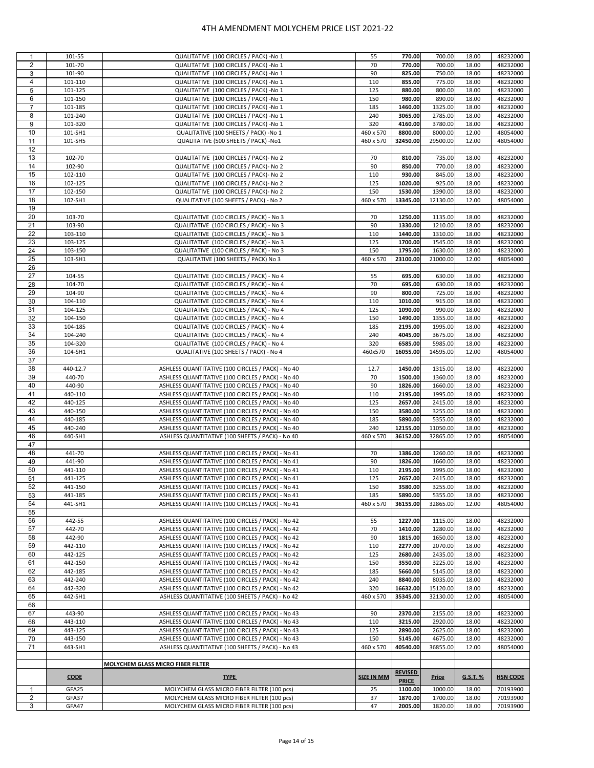| 1              | 101-55      | QUALITATIVE (100 CIRCLES / PACK) -No 1            | 55         | 770.00         | 700.00       | 18.00    | 48232000        |
|----------------|-------------|---------------------------------------------------|------------|----------------|--------------|----------|-----------------|
| $\overline{2}$ | 101-70      | QUALITATIVE (100 CIRCLES / PACK) -No 1            | 70         | 770.00         | 700.00       | 18.00    | 48232000        |
|                |             |                                                   |            |                |              |          |                 |
| 3              | 101-90      | QUALITATIVE (100 CIRCLES / PACK) -No 1            | 90         | 825.00         | 750.00       | 18.00    | 48232000        |
| 4              | 101-110     | QUALITATIVE (100 CIRCLES / PACK) -No 1            | 110        | 855.00         | 775.00       | 18.00    | 48232000        |
|                |             |                                                   |            |                |              |          |                 |
| 5              | 101-125     | QUALITATIVE (100 CIRCLES / PACK) -No 1            | 125        | 880.00         | 800.00       | 18.00    | 48232000        |
| 6              | 101-150     | QUALITATIVE (100 CIRCLES / PACK) -No 1            | 150        | 980.00         | 890.00       | 18.00    | 48232000        |
|                |             |                                                   |            |                |              |          |                 |
| $\overline{7}$ | 101-185     | QUALITATIVE (100 CIRCLES / PACK) -No 1            | 185        | 1460.00        | 1325.00      | 18.00    | 48232000        |
| 8              | 101-240     | QUALITATIVE (100 CIRCLES / PACK) -No 1            | 240        | 3065.00        | 2785.00      | 18.00    | 48232000        |
|                |             |                                                   |            |                |              |          |                 |
| 9              | 101-320     | QUALITATIVE (100 CIRCLES / PACK) -No 1            | 320        | 4160.00        | 3780.00      | 18.00    | 48232000        |
| 10             | 101-SH1     | QUALITATIVE (100 SHEETS / PACK) -No 1             | 460 x 570  | 8800.00        | 8000.00      | 12.00    | 48054000        |
| 11             |             |                                                   |            | 32450.00       |              |          |                 |
|                | 101-SH5     | QUALITATIVE (500 SHEETS / PACK) -No1              | 460 x 570  |                | 29500.00     | 12.00    | 48054000        |
| 12             |             |                                                   |            |                |              |          |                 |
| 13             | 102-70      | QUALITATIVE (100 CIRCLES / PACK)- No 2            | 70         | 810.00         | 735.00       | 18.00    | 48232000        |
|                |             |                                                   |            |                |              |          |                 |
| 14             | 102-90      | QUALITATIVE (100 CIRCLES / PACK)- No 2            | 90         | 850.00         | 770.00       | 18.00    | 48232000        |
| 15             | 102-110     | QUALITATIVE (100 CIRCLES / PACK)- No 2            | 110        | 930.00         | 845.00       | 18.00    | 48232000        |
|                |             |                                                   |            |                |              |          |                 |
| 16             | 102-125     | QUALITATIVE (100 CIRCLES / PACK)- No 2            | 125        | 1020.00        | 925.00       | 18.00    | 48232000        |
| 17             | 102-150     | QUALITATIVE (100 CIRCLES / PACK)- No 2            | 150        | 1530.00        | 1390.00      | 18.00    | 48232000        |
|                |             |                                                   |            |                |              |          |                 |
| 18             | 102-SH1     | QUALITATIVE (100 SHEETS / PACK) - No 2            | 460 x 570  | 13345.00       | 12130.00     | 12.00    | 48054000        |
| 19             |             |                                                   |            |                |              |          |                 |
|                |             |                                                   |            |                |              |          |                 |
| 20             | 103-70      | QUALITATIVE (100 CIRCLES / PACK) - No 3           | 70         | 1250.00        | 1135.00      | 18.00    | 48232000        |
| 21             | 103-90      | QUALITATIVE (100 CIRCLES / PACK) - No 3           | 90         | 1330.00        | 1210.00      | 18.00    | 48232000        |
|                |             |                                                   |            |                |              |          |                 |
| 22             | 103-110     | QUALITATIVE (100 CIRCLES / PACK) - No 3           | 110        | 1440.00        | 1310.00      | 18.00    | 48232000        |
| 23             | 103-125     | QUALITATIVE (100 CIRCLES / PACK) - No 3           | 125        | 1700.00        | 1545.00      | 18.00    | 48232000        |
| 24             | 103-150     | QUALITATIVE (100 CIRCLES / PACK) - No 3           | 150        | 1795.00        | 1630.00      | 18.00    | 48232000        |
|                |             |                                                   |            |                |              |          |                 |
| 25             | 103-SH1     | QUALITATIVE (100 SHEETS / PACK) No 3              | 460 x 570  | 23100.00       | 21000.00     | 12.00    | 48054000        |
| 26             |             |                                                   |            |                |              |          |                 |
|                |             |                                                   |            |                |              |          |                 |
| 27             | 104-55      | QUALITATIVE (100 CIRCLES / PACK) - No 4           | 55         | 695.00         | 630.00       | 18.00    | 48232000        |
| 28             | 104-70      | QUALITATIVE (100 CIRCLES / PACK) - No 4           | 70         | 695.00         | 630.00       | 18.00    | 48232000        |
|                |             |                                                   |            |                |              |          |                 |
| 29             | 104-90      | QUALITATIVE (100 CIRCLES / PACK) - No 4           | 90         | 800.00         | 725.00       | 18.00    | 48232000        |
| 30             | 104-110     | QUALITATIVE (100 CIRCLES / PACK) - No 4           | 110        | 1010.00        | 915.00       | 18.00    | 48232000        |
| 31             | 104-125     | QUALITATIVE (100 CIRCLES / PACK) - No 4           | 125        | 1090.00        | 990.00       | 18.00    | 48232000        |
|                |             |                                                   |            |                |              |          |                 |
| 32             | 104-150     | QUALITATIVE (100 CIRCLES / PACK) - No 4           | 150        | 1490.00        | 1355.00      | 18.00    | 48232000        |
| 33             | 104-185     | QUALITATIVE (100 CIRCLES / PACK) - No 4           | 185        | 2195.00        | 1995.00      | 18.00    | 48232000        |
|                |             |                                                   |            |                |              |          |                 |
| 34             | 104-240     | QUALITATIVE (100 CIRCLES / PACK) - No 4           | 240        | 4045.00        | 3675.00      | 18.00    | 48232000        |
| 35             | 104-320     | QUALITATIVE (100 CIRCLES / PACK) - No 4           | 320        | 6585.00        | 5985.00      | 18.00    | 48232000        |
| 36             | 104-SH1     | QUALITATIVE (100 SHEETS / PACK) - No 4            | 460x570    | 16055.00       | 14595.00     | 12.00    | 48054000        |
|                |             |                                                   |            |                |              |          |                 |
| 37             |             |                                                   |            |                |              |          |                 |
| 38             | 440-12.7    | ASHLESS QUANTITATIVE (100 CIRCLES / PACK) - No 40 | 12.7       | 1450.00        | 1315.00      | 18.00    | 48232000        |
|                |             |                                                   |            |                |              |          |                 |
| 39             | 440-70      | ASHLESS QUANTITATIVE (100 CIRCLES / PACK) - No 40 | 70         | 1500.00        | 1360.00      | 18.00    | 48232000        |
| 40             | 440-90      | ASHLESS QUANTITATIVE (100 CIRCLES / PACK) - No 40 | 90         | 1826.00        | 1660.00      | 18.00    | 48232000        |
| 41             |             |                                                   |            |                |              |          |                 |
|                | 440-110     | ASHLESS QUANTITATIVE (100 CIRCLES / PACK) - No 40 | 110        | 2195.00        | 1995.00      | 18.00    | 48232000        |
| 42             | 440-125     | ASHLESS QUANTITATIVE (100 CIRCLES / PACK) - No 40 | 125        | 2657.00        | 2415.00      | 18.00    | 48232000        |
| 43             | 440-150     | ASHLESS QUANTITATIVE (100 CIRCLES / PACK) - No 40 | 150        | 3580.00        | 3255.00      | 18.00    | 48232000        |
|                |             |                                                   |            |                |              |          |                 |
| 44             | 440-185     | ASHLESS QUANTITATIVE (100 CIRCLES / PACK) - No 40 | 185        | 5890.00        | 5355.00      | 18.00    | 48232000        |
| 45             | 440-240     | ASHLESS QUANTITATIVE (100 CIRCLES / PACK) - No 40 | 240        | 12155.00       | 11050.00     | 18.00    | 48232000        |
| 46             | 440-SH1     | ASHLESS QUANTITATIVE (100 SHEETS / PACK) - No 40  | 460 x 570  | 36152.00       | 32865.00     | 12.00    | 48054000        |
|                |             |                                                   |            |                |              |          |                 |
| 47             |             |                                                   |            |                |              |          |                 |
| 48             | 441-70      | ASHLESS QUANTITATIVE (100 CIRCLES / PACK) - No 41 | 70         | 1386.00        | 1260.00      | 18.00    | 48232000        |
|                |             |                                                   |            |                |              |          |                 |
| 49             | 441-90      | ASHLESS QUANTITATIVE (100 CIRCLES / PACK) - No 41 | 90         | 1826.00        | 1660.00      | 18.00    | 48232000        |
| 50             | 441-110     | ASHLESS QUANTITATIVE (100 CIRCLES / PACK) - No 41 | 110        | 2195.00        | 1995.00      | 18.00    | 48232000        |
| 51             |             |                                                   | 125        | 2657.00        | 2415.00      |          |                 |
|                | 441-125     | ASHLESS QUANTITATIVE (100 CIRCLES / PACK) - No 41 |            |                |              | 18.00    | 48232000        |
| 52             | 441-150     | ASHLESS QUANTITATIVE (100 CIRCLES / PACK) - No 41 | 150        | 3580.00        | 3255.00      | 18.00    | 48232000        |
| 53             | 441-185     | ASHLESS QUANTITATIVE (100 CIRCLES / PACK) - No 41 | 185        | 5890.00        | 5355.00      | 18.00    | 48232000        |
|                |             |                                                   |            |                | 32865.00     |          |                 |
| 54             | 441-SH1     | ASHLESS QUANTITATIVE (100 CIRCLES / PACK) - No 41 | 460 x 570  | 36155.00       |              | 12.00    | 48054000        |
| 55             |             |                                                   |            |                |              |          |                 |
| 56             | 442-55      | ASHLESS QUANTITATIVE (100 CIRCLES / PACK) - No 42 | 55         | 1227.00        | 1115.00      | 18.00    | 48232000        |
|                |             | ASHLESS QUANTITATIVE (100 CIRCLES / PACK) - No 42 |            | 1410.00        |              |          |                 |
| 57             | 442-70      |                                                   | 70         |                | 1280.00      | 18.00    | 48232000        |
| 58             | 442-90      | ASHLESS QUANTITATIVE (100 CIRCLES / PACK) - No 42 | 90         | 1815.00        | 1650.00      | 18.00    | 48232000        |
| 59             | 442-110     | ASHLESS QUANTITATIVE (100 CIRCLES / PACK) - No 42 | 110        | 2277.00        | 2070.00      | 18.00    | 48232000        |
|                |             |                                                   |            |                |              |          |                 |
| 60             | 442-125     | ASHLESS QUANTITATIVE (100 CIRCLES / PACK) - No 42 | 125        | 2680.00        | 2435.00      | 18.00    | 48232000        |
| 61             | 442-150     | ASHLESS QUANTITATIVE (100 CIRCLES / PACK) - No 42 | 150        | 3550.00        | 3225.00      | 18.00    | 48232000        |
| 62             | 442-185     | ASHLESS QUANTITATIVE (100 CIRCLES / PACK) - No 42 | 185        | 5660.00        | 5145.00      | 18.00    | 48232000        |
|                |             |                                                   |            |                |              |          |                 |
| 63             | 442-240     | ASHLESS QUANTITATIVE (100 CIRCLES / PACK) - No 42 | 240        | 8840.00        | 8035.00      | 18.00    | 48232000        |
| 64             | 442-320     | ASHLESS QUANTITATIVE (100 CIRCLES / PACK) - No 42 | 320        | 16632.00       | 15120.00     | 18.00    | 48232000        |
|                |             |                                                   |            |                |              |          |                 |
| 65             | 442-SH1     | ASHLESS QUANTITATIVE (100 SHEETS / PACK) - No 42  | 460 x 570  | 35345.00       | 32130.00     | 12.00    | 48054000        |
| 66             |             |                                                   |            |                |              |          |                 |
| 67             | 443-90      | ASHLESS QUANTITATIVE (100 CIRCLES / PACK) - No 43 | 90         | 2370.00        | 2155.00      | 18.00    | 48232000        |
|                |             |                                                   |            |                |              |          |                 |
| 68             | 443-110     | ASHLESS QUANTITATIVE (100 CIRCLES / PACK) - No 43 | 110        | 3215.00        | 2920.00      | 18.00    | 48232000        |
| 69             | 443-125     | ASHLESS QUANTITATIVE (100 CIRCLES / PACK) - No 43 | 125        | 2890.00        | 2625.00      | 18.00    | 48232000        |
| 70             | 443-150     | ASHLESS QUANTITATIVE (100 CIRCLES / PACK) - No 43 | 150        | 5145.00        | 4675.00      | 18.00    | 48232000        |
|                |             |                                                   |            |                |              |          |                 |
| 71             | 443-SH1     | ASHLESS QUANTITATIVE (100 SHEETS / PACK) - No 43  | 460 x 570  | 40540.00       | 36855.00     | 12.00    | 48054000        |
|                |             |                                                   |            |                |              |          |                 |
|                |             | MOLYCHEM GLASS MICRO FIBER FILTER                 |            |                |              |          |                 |
|                |             |                                                   |            |                |              |          |                 |
|                | <b>CODE</b> | <b>TYPE</b>                                       | SIZE IN MM | <b>REVISED</b> | <b>Price</b> | G.S.T. % | <b>HSN CODE</b> |
|                |             |                                                   |            | <b>PRICE</b>   |              |          |                 |
| $\mathbf{1}$   | GFA25       | MOLYCHEM GLASS MICRO FIBER FILTER (100 pcs)       | 25         | 1100.00        | 1000.00      | 18.00    | 70193900        |
|                |             |                                                   |            |                |              |          |                 |
| $\overline{2}$ | GFA37       | MOLYCHEM GLASS MICRO FIBER FILTER (100 pcs)       | 37         | 1870.00        | 1700.00      | 18.00    | 70193900        |
| 3              | GFA47       | MOLYCHEM GLASS MICRO FIBER FILTER (100 pcs)       | 47         | 2005.00        | 1820.00      | 18.00    | 70193900        |